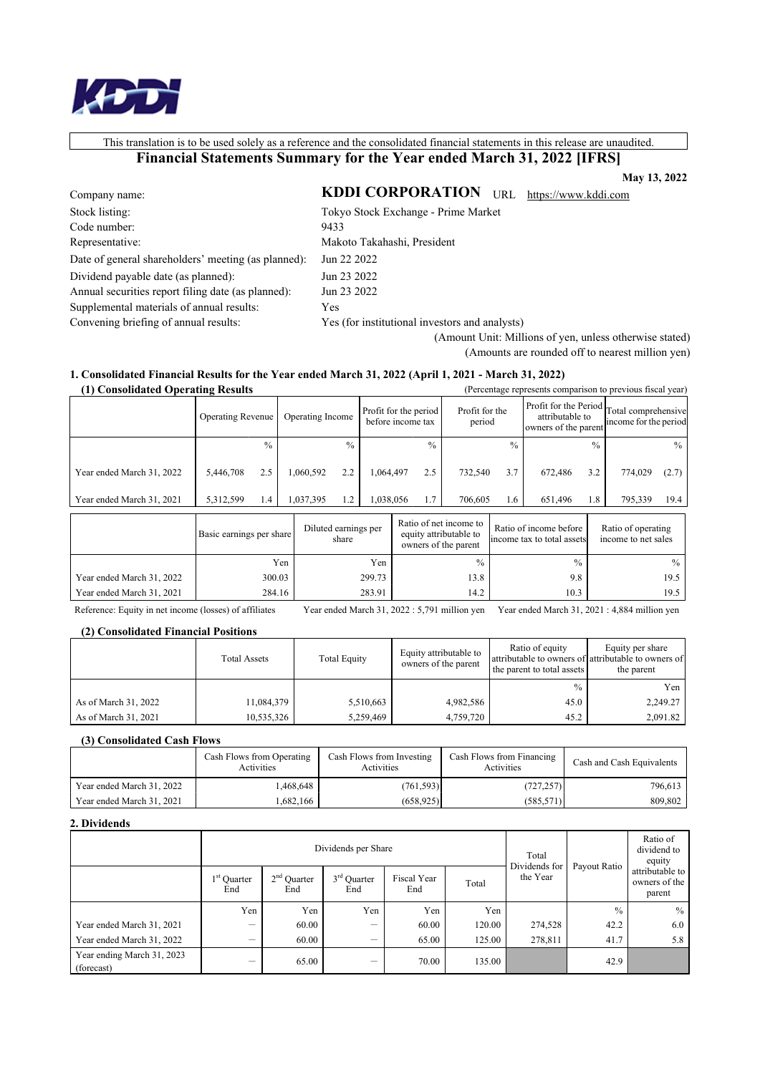

This translation is to be used solely as a reference and the consolidated financial statements in this release are unaudited.

# Financial Statements Summary for the Year ended March 31, 2022 [IFRS]

May 13, 2022 KDDI CORPORATION URL https://www.kddi.com

Company name: Stock listing: Code number: Representative: Date of general shareholders' meeting (as planned): Dividend payable date (as planned): Annual securities report filing date (as planned): Supplemental materials of annual results: Convening briefing of annual results:

Makoto Takahashi, President Jun 22 2022 Jun 23 2022 Jun 23 2022 Yes

9433

Yes (for institutional investors and analysts)

Tokyo Stock Exchange - Prime Market

(Amount Unit: Millions of yen, unless otherwise stated) (Amounts are rounded off to nearest million yen)

# 1. Consolidated Financial Results for the Year ended March 31, 2022 (April 1, 2021 - March 31, 2022)

| (1) Consolidated Operating Results |                          |               |                  |                               |                                            |           |                                                                          | (Percentage represents comparison to previous fiscal year) |                                                                   |               |                                           |         |               |
|------------------------------------|--------------------------|---------------|------------------|-------------------------------|--------------------------------------------|-----------|--------------------------------------------------------------------------|------------------------------------------------------------|-------------------------------------------------------------------|---------------|-------------------------------------------|---------|---------------|
|                                    | Operating Revenue        |               | Operating Income |                               | Profit for the period<br>before income tax |           | Profit for the<br>period                                                 |                                                            | Profit for the Period Total comprehensive<br>owners of the parent |               | income for the period                     |         |               |
|                                    |                          | $\frac{0}{0}$ |                  |                               | $\frac{0}{0}$                              |           | $\frac{0}{0}$                                                            |                                                            | $^{0/2}$                                                          |               | $\frac{0}{0}$                             |         | $\frac{0}{0}$ |
| Year ended March 31, 2022          | 5,446,708                | 2.5           |                  | 1,060,592                     | 2.2                                        | 1.064.497 | 2.5                                                                      | 732,540                                                    | 3.7                                                               | 672.486       | 3.2                                       | 774,029 | (2.7)         |
| Year ended March 31, 2021          | 5,312,599                | 1.4           |                  | 1.037.395                     | 1.2                                        | 1.038.056 | 1.7                                                                      | 706,605                                                    | 1.6                                                               | 651,496       | 1.8                                       | 795,339 | 19.4          |
|                                    | Basic earnings per share |               |                  | Diluted earnings per<br>share |                                            |           | Ratio of net income to<br>equity attributable to<br>owners of the parent |                                                            | Ratio of income before<br>lincome tax to total assetsl            |               | Ratio of operating<br>income to net sales |         |               |
|                                    |                          |               | Yen              |                               |                                            | Yen       |                                                                          | $\frac{0}{0}$                                              |                                                                   | $\frac{0}{0}$ |                                           |         | $\frac{0}{0}$ |
| Year ended March 31, 2022          |                          | 300.03        |                  |                               |                                            | 299.73    |                                                                          | 13.8                                                       |                                                                   | 9.8           |                                           |         | 19.5          |
| Year ended March 31, 2021          |                          | 284.16        |                  |                               |                                            | 283.91    |                                                                          | 14.2                                                       |                                                                   | 10.3          |                                           |         | 19.5          |

Reference: Equity in net income (losses) of affiliates

Year ended March 31, 2022 : 5,791 million yen Year ended March 31, 2021 : 4,884 million yen

# (2) Consolidated Financial Positions

|                      | <b>Total Assets</b> | <b>Total Equity</b> | Equity attributable to<br>owners of the parent | Ratio of equity<br>the parent to total assets | Equity per share<br>attributable to owners of attributable to owners of<br>the parent |
|----------------------|---------------------|---------------------|------------------------------------------------|-----------------------------------------------|---------------------------------------------------------------------------------------|
|                      |                     |                     |                                                | $\frac{0}{0}$                                 | Yen                                                                                   |
| As of March 31, 2022 | 11,084,379          | 5,510,663           | 4,982,586                                      | 45.0                                          | 2,249.27                                                                              |
| As of March 31, 2021 | 10,535,326          | 5,259,469           | 4,759,720                                      | 45.2                                          | 2,091.82                                                                              |

### (3) Consolidated Cash Flows

|                           | Cash Flows from Operating<br>Activities | Cash Flows from Investing<br>Activities | Cash Flows from Financing<br>Activities | Cash and Cash Equivalents |
|---------------------------|-----------------------------------------|-----------------------------------------|-----------------------------------------|---------------------------|
| Year ended March 31, 2022 | .468,648                                | (761,593)]                              | (727, 257)                              | 796,613                   |
| Year ended March 31, 2021 | .682.166                                | (658.925)                               | (585.571)]                              | 809,802                   |

### 2. Dividends

|                                          | Dividends per Share  |                      |                      |                    |        | Total                     |               | Ratio of<br>dividend to<br>equity          |
|------------------------------------------|----------------------|----------------------|----------------------|--------------------|--------|---------------------------|---------------|--------------------------------------------|
|                                          | $1st$ Ouarter<br>End | $2nd$ Quarter<br>End | $3rd$ Ouarter<br>End | Fiscal Year<br>End | Total  | Dividends for<br>the Year | Payout Ratio  | attributable to<br>owners of the<br>parent |
|                                          | Yen                  | Yen                  | Yen                  | Yen                | Yen    |                           | $\frac{0}{0}$ | $\%$                                       |
| Year ended March 31, 2021                | -                    | 60.00                | -                    | 60.00              | 120.00 | 274,528                   | 42.2          | 6.0                                        |
| Year ended March 31, 2022                | -                    | 60.00                |                      | 65.00              | 125.00 | 278,811                   | 41.7          | 5.8                                        |
| Year ending March 31, 2023<br>(forecast) |                      | 65.00                |                      | 70.00              | 135.00 |                           | 42.9          |                                            |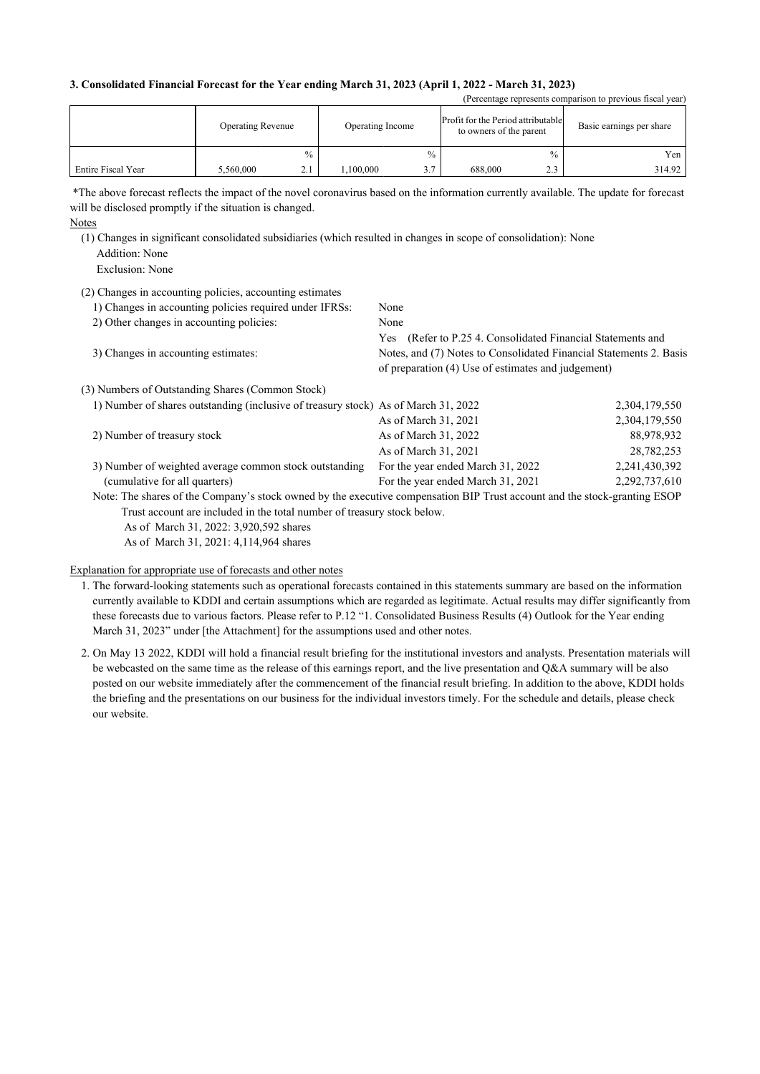### 3. Consolidated Financial Forecast for the Year ending March 31, 2023 (April 1, 2022 - March 31, 2023)

|                    | <b>Operating Revenue</b> |               | Operating Income |               | Profit for the Period attributable<br>to owners of the parent |                        | Basic earnings per share |
|--------------------|--------------------------|---------------|------------------|---------------|---------------------------------------------------------------|------------------------|--------------------------|
|                    |                          | $\frac{0}{0}$ |                  | $\frac{0}{0}$ |                                                               | $\frac{0}{0}$          | Yen                      |
| Entire Fiscal Year | 5,560,000                | 2.1           | .100.000         | 3.7           | 688,000                                                       | 2 <sub>2</sub><br>د. ک | 314.92                   |

(Percentage represents comparison to previous fiscal year)

\*The above forecast reflects the impact of the novel coronavirus based on the information currently available. The update for forecast will be disclosed promptly if the situation is changed.

(1) Changes in significant consolidated subsidiaries (which resulted in changes in scope of consolidation): None Addition: None

Exclusion: None

| (2) Changes in accounting policies, accounting estimates                                                                  |                                                                    |               |
|---------------------------------------------------------------------------------------------------------------------------|--------------------------------------------------------------------|---------------|
| 1) Changes in accounting policies required under IFRSs:                                                                   | None                                                               |               |
| 2) Other changes in accounting policies:                                                                                  | None                                                               |               |
|                                                                                                                           | Yes (Refer to P.25 4. Consolidated Financial Statements and        |               |
| 3) Changes in accounting estimates:                                                                                       | Notes, and (7) Notes to Consolidated Financial Statements 2. Basis |               |
|                                                                                                                           | of preparation (4) Use of estimates and judgement)                 |               |
| (3) Numbers of Outstanding Shares (Common Stock)                                                                          |                                                                    |               |
| 1) Number of shares outstanding (inclusive of treasury stock) As of March 31, 2022                                        |                                                                    | 2,304,179,550 |
|                                                                                                                           | As of March 31, 2021                                               | 2,304,179,550 |
| 2) Number of treasury stock                                                                                               | As of March 31, 2022                                               | 88,978,932    |
|                                                                                                                           | As of March 31, 2021                                               | 28,782,253    |
| 3) Number of weighted average common stock outstanding                                                                    | For the year ended March 31, 2022                                  | 2,241,430,392 |
| (cumulative for all quarters)                                                                                             | For the year ended March 31, 2021                                  | 2,292,737,610 |
| Note: The shares of the Company's stock owned by the executive compensation BIP Trust account and the stock-granting ESOP |                                                                    |               |
| Trust account are included in the total number of treasury stock below.                                                   |                                                                    |               |
| As of March 31, 2022: 3,920,592 shares                                                                                    |                                                                    |               |

As of March 31, 2021: 4,114,964 shares

Explanation for appropriate use of forecasts and other notes

- 1. The forward-looking statements such as operational forecasts contained in this statements summary are based on the information currently available to KDDI and certain assumptions which are regarded as legitimate. Actual results may differ significantly from these forecasts due to various factors. Please refer to P.12 "1. Consolidated Business Results (4) Outlook for the Year ending March 31, 2023" under [the Attachment] for the assumptions used and other notes.
- 2. On May 13 2022, KDDI will hold a financial result briefing for the institutional investors and analysts. Presentation materials will be webcasted on the same time as the release of this earnings report, and the live presentation and Q&A summary will be also posted on our website immediately after the commencement of the financial result briefing. In addition to the above, KDDI holds the briefing and the presentations on our business for the individual investors timely. For the schedule and details, please check our website.

Notes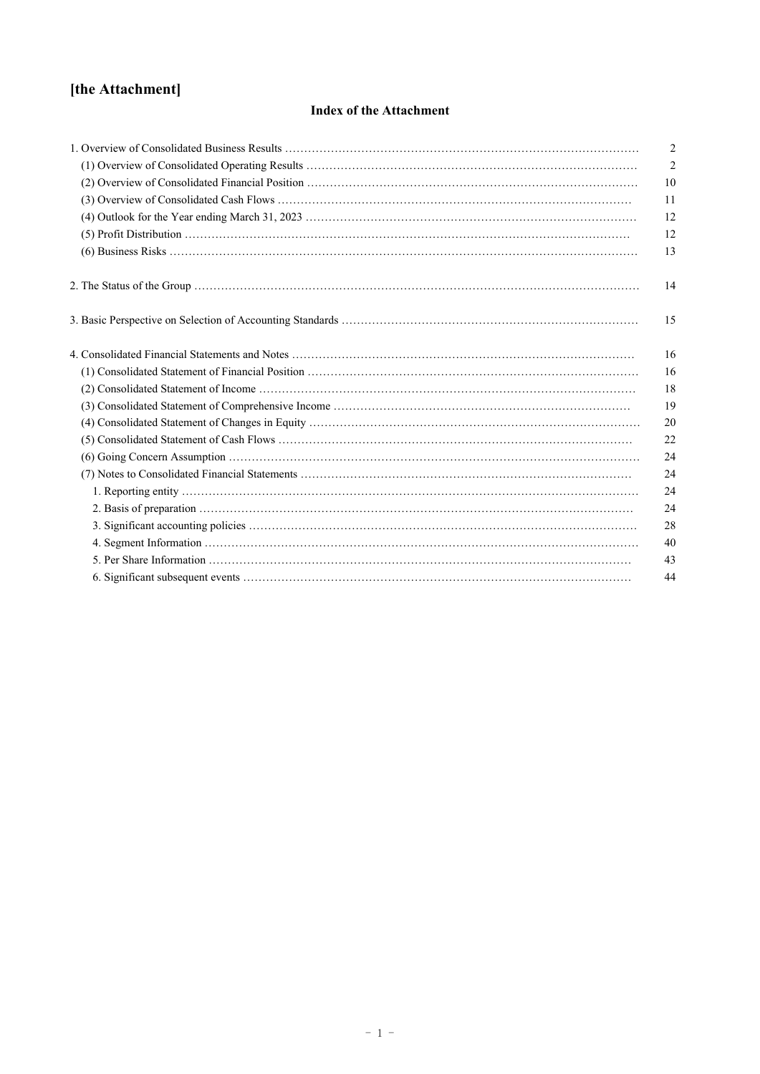# **[the Attachment]**

# **Index of the Attachment**

| $\overline{2}$ |
|----------------|
| $\mathfrak{2}$ |
| 10             |
| 11             |
| 12             |
| 12             |
| 13             |
| 14             |
| 15             |
| 16             |
| 16             |
| 18             |
| 19             |
| 20             |
| 22             |
| 24             |
| 24             |
| 24             |
| 24             |
| 28             |
| 40             |
| 43             |
| 44             |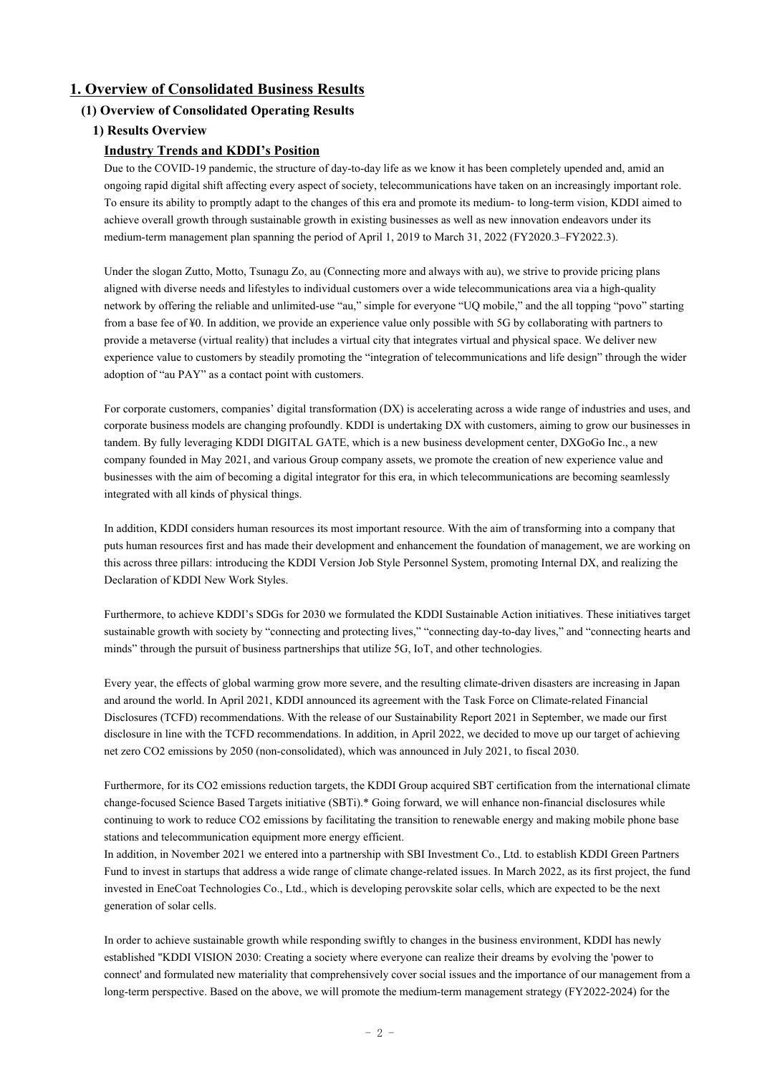# **1. Overview of Consolidated Business Results**

# **(1) Overview of Consolidated Operating Results**

# **1) Results Overview**

# **Industry Trends and KDDI's Position**

Due to the COVID-19 pandemic, the structure of day-to-day life as we know it has been completely upended and, amid an ongoing rapid digital shift affecting every aspect of society, telecommunications have taken on an increasingly important role. To ensure its ability to promptly adapt to the changes of this era and promote its medium- to long-term vision, KDDI aimed to achieve overall growth through sustainable growth in existing businesses as well as new innovation endeavors under its medium-term management plan spanning the period of April 1, 2019 to March 31, 2022 (FY2020.3–FY2022.3).

Under the slogan Zutto, Motto, Tsunagu Zo, au (Connecting more and always with au), we strive to provide pricing plans aligned with diverse needs and lifestyles to individual customers over a wide telecommunications area via a high-quality network by offering the reliable and unlimited-use "au," simple for everyone "UQ mobile," and the all topping "povo" starting from a base fee of ¥0. In addition, we provide an experience value only possible with 5G by collaborating with partners to provide a metaverse (virtual reality) that includes a virtual city that integrates virtual and physical space. We deliver new experience value to customers by steadily promoting the "integration of telecommunications and life design" through the wider adoption of "au PAY" as a contact point with customers.

For corporate customers, companies' digital transformation (DX) is accelerating across a wide range of industries and uses, and corporate business models are changing profoundly. KDDI is undertaking DX with customers, aiming to grow our businesses in tandem. By fully leveraging KDDI DIGITAL GATE, which is a new business development center, DXGoGo Inc., a new company founded in May 2021, and various Group company assets, we promote the creation of new experience value and businesses with the aim of becoming a digital integrator for this era, in which telecommunications are becoming seamlessly integrated with all kinds of physical things.

In addition, KDDI considers human resources its most important resource. With the aim of transforming into a company that puts human resources first and has made their development and enhancement the foundation of management, we are working on this across three pillars: introducing the KDDI Version Job Style Personnel System, promoting Internal DX, and realizing the Declaration of KDDI New Work Styles.

Furthermore, to achieve KDDI's SDGs for 2030 we formulated the KDDI Sustainable Action initiatives. These initiatives target sustainable growth with society by "connecting and protecting lives," "connecting day-to-day lives," and "connecting hearts and minds" through the pursuit of business partnerships that utilize 5G, IoT, and other technologies.

Every year, the effects of global warming grow more severe, and the resulting climate-driven disasters are increasing in Japan and around the world. In April 2021, KDDI announced its agreement with the Task Force on Climate-related Financial Disclosures (TCFD) recommendations. With the release of our Sustainability Report 2021 in September, we made our first disclosure in line with the TCFD recommendations. In addition, in April 2022, we decided to move up our target of achieving net zero CO2 emissions by 2050 (non-consolidated), which was announced in July 2021, to fiscal 2030.

Furthermore, for its CO2 emissions reduction targets, the KDDI Group acquired SBT certification from the international climate change-focused Science Based Targets initiative (SBTi).\* Going forward, we will enhance non-financial disclosures while continuing to work to reduce CO2 emissions by facilitating the transition to renewable energy and making mobile phone base stations and telecommunication equipment more energy efficient.

In addition, in November 2021 we entered into a partnership with SBI Investment Co., Ltd. to establish KDDI Green Partners Fund to invest in startups that address a wide range of climate change-related issues. In March 2022, as its first project, the fund invested in EneCoat Technologies Co., Ltd., which is developing perovskite solar cells, which are expected to be the next generation of solar cells.

In order to achieve sustainable growth while responding swiftly to changes in the business environment, KDDI has newly established "KDDI VISION 2030: Creating a society where everyone can realize their dreams by evolving the 'power to connect' and formulated new materiality that comprehensively cover social issues and the importance of our management from a long-term perspective. Based on the above, we will promote the medium-term management strategy (FY2022-2024) for the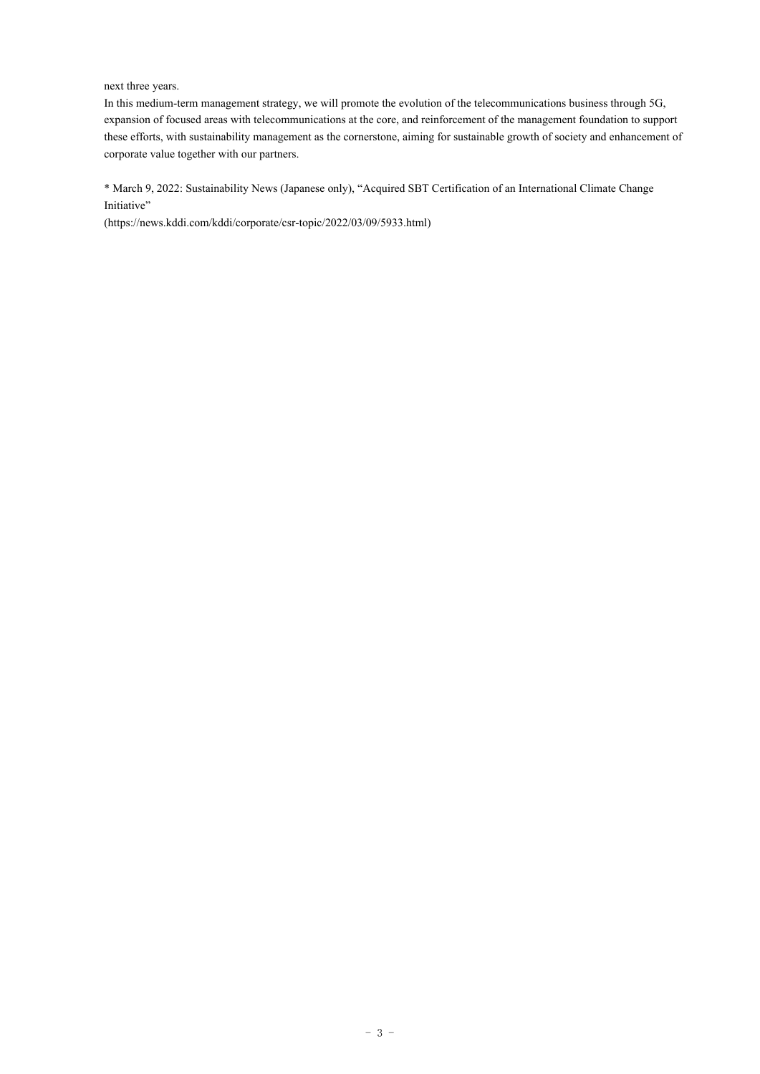### next three years.

In this medium-term management strategy, we will promote the evolution of the telecommunications business through 5G, expansion of focused areas with telecommunications at the core, and reinforcement of the management foundation to support these efforts, with sustainability management as the cornerstone, aiming for sustainable growth of society and enhancement of corporate value together with our partners.

\* March 9, 2022: Sustainability News (Japanese only), "Acquired SBT Certification of an International Climate Change Initiative"

(https://news.kddi.com/kddi/corporate/csr-topic/2022/03/09/5933.html)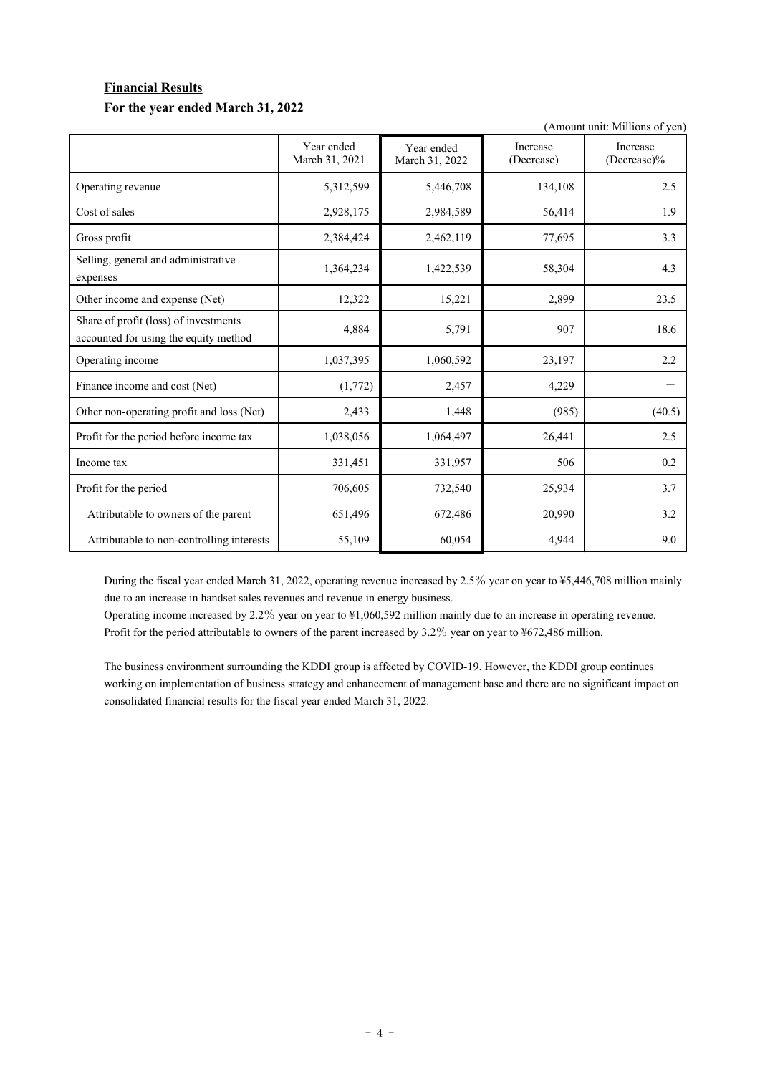# **Financial Results For the year ended March 31, 2022**

(Amount unit: Millions of yen)

|                                                                                | Year ended<br>March 31, 2021 | Year ended<br>March 31, 2022 | Increase<br>(Decrease) | Increase<br>$(Decrease)\%$ |
|--------------------------------------------------------------------------------|------------------------------|------------------------------|------------------------|----------------------------|
| Operating revenue                                                              | 5,312,599                    | 5,446,708                    | 134,108                | 2.5                        |
| Cost of sales                                                                  | 2,928,175                    | 2,984,589                    | 56,414                 | 1.9                        |
| Gross profit                                                                   | 2,384,424                    | 2,462,119                    | 77,695                 | 3.3                        |
| Selling, general and administrative<br>expenses                                | 1,364,234                    | 1,422,539                    | 58,304                 | 4.3                        |
| Other income and expense (Net)                                                 | 12,322                       | 15,221                       | 2,899                  | 23.5                       |
| Share of profit (loss) of investments<br>accounted for using the equity method | 4,884                        | 5,791                        | 907                    | 18.6                       |
| Operating income                                                               | 1,037,395                    | 1,060,592                    | 23,197                 | 2.2                        |
| Finance income and cost (Net)                                                  | (1,772)                      | 2,457                        | 4,229                  |                            |
| Other non-operating profit and loss (Net)                                      | 2,433                        | 1,448                        | (985)                  | (40.5)                     |
| Profit for the period before income tax                                        | 1,038,056                    | 1,064,497                    | 26,441                 | 2.5                        |
| Income tax                                                                     | 331,451                      | 331,957                      | 506                    | 0.2                        |
| Profit for the period                                                          | 706,605                      | 732,540                      | 25,934                 | 3.7                        |
| Attributable to owners of the parent                                           | 651,496                      | 672,486                      | 20,990                 | 3.2                        |
| Attributable to non-controlling interests                                      | 55,109                       | 60,054                       | 4,944                  | 9.0                        |

During the fiscal year ended March 31, 2022, operating revenue increased by 2.5% year on year to ¥5,446,708 million mainly due to an increase in handset sales revenues and revenue in energy business.

Operating income increased by 2.2% year on year to ¥1,060,592 million mainly due to an increase in operating revenue. Profit for the period attributable to owners of the parent increased by 3.2% year on year to ¥672,486 million.

The business environment surrounding the KDDI group is affected by COVID-19. However, the KDDI group continues working on implementation of business strategy and enhancement of management base and there are no significant impact on consolidated financial results for the fiscal year ended March 31, 2022.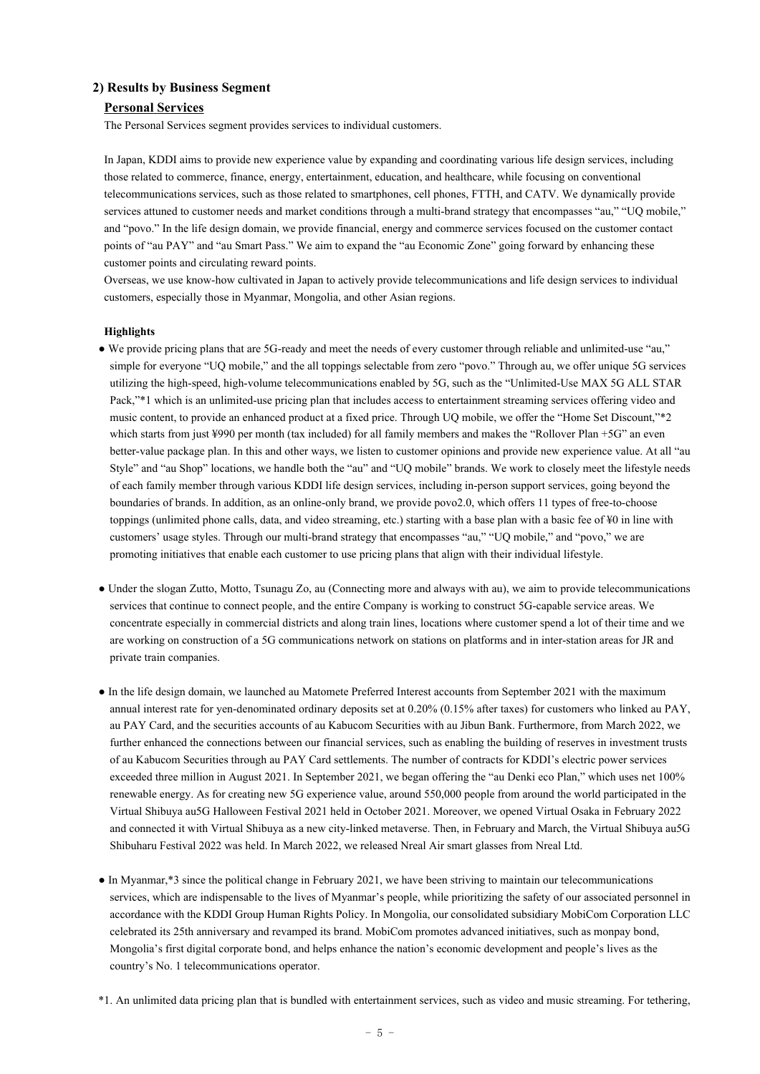### **2) Results by Business Segment**

#### **Personal Services**

The Personal Services segment provides services to individual customers.

In Japan, KDDI aims to provide new experience value by expanding and coordinating various life design services, including those related to commerce, finance, energy, entertainment, education, and healthcare, while focusing on conventional telecommunications services, such as those related to smartphones, cell phones, FTTH, and CATV. We dynamically provide services attuned to customer needs and market conditions through a multi-brand strategy that encompasses "au," "UQ mobile," and "povo." In the life design domain, we provide financial, energy and commerce services focused on the customer contact points of "au PAY" and "au Smart Pass." We aim to expand the "au Economic Zone" going forward by enhancing these customer points and circulating reward points.

Overseas, we use know-how cultivated in Japan to actively provide telecommunications and life design services to individual customers, especially those in Myanmar, Mongolia, and other Asian regions.

### **Highlights**

- We provide pricing plans that are 5G-ready and meet the needs of every customer through reliable and unlimited-use "au," simple for everyone "UQ mobile," and the all toppings selectable from zero "povo." Through au, we offer unique 5G services utilizing the high-speed, high-volume telecommunications enabled by 5G, such as the "Unlimited-Use MAX 5G ALL STAR Pack,"\*1 which is an unlimited-use pricing plan that includes access to entertainment streaming services offering video and music content, to provide an enhanced product at a fixed price. Through UQ mobile, we offer the "Home Set Discount,"\*2 which starts from just ¥990 per month (tax included) for all family members and makes the "Rollover Plan +5G" an even better-value package plan. In this and other ways, we listen to customer opinions and provide new experience value. At all "au Style" and "au Shop" locations, we handle both the "au" and "UQ mobile" brands. We work to closely meet the lifestyle needs of each family member through various KDDI life design services, including in-person support services, going beyond the boundaries of brands. In addition, as an online-only brand, we provide povo2.0, which offers 11 types of free-to-choose toppings (unlimited phone calls, data, and video streaming, etc.) starting with a base plan with a basic fee of ¥0 in line with customers' usage styles. Through our multi-brand strategy that encompasses "au," "UQ mobile," and "povo," we are promoting initiatives that enable each customer to use pricing plans that align with their individual lifestyle.
- Under the slogan Zutto, Motto, Tsunagu Zo, au (Connecting more and always with au), we aim to provide telecommunications services that continue to connect people, and the entire Company is working to construct 5G-capable service areas. We concentrate especially in commercial districts and along train lines, locations where customer spend a lot of their time and we are working on construction of a 5G communications network on stations on platforms and in inter-station areas for JR and private train companies.
- In the life design domain, we launched au Matomete Preferred Interest accounts from September 2021 with the maximum annual interest rate for yen-denominated ordinary deposits set at 0.20% (0.15% after taxes) for customers who linked au PAY, au PAY Card, and the securities accounts of au Kabucom Securities with au Jibun Bank. Furthermore, from March 2022, we further enhanced the connections between our financial services, such as enabling the building of reserves in investment trusts of au Kabucom Securities through au PAY Card settlements. The number of contracts for KDDI's electric power services exceeded three million in August 2021. In September 2021, we began offering the "au Denki eco Plan," which uses net 100% renewable energy. As for creating new 5G experience value, around 550,000 people from around the world participated in the Virtual Shibuya au5G Halloween Festival 2021 held in October 2021. Moreover, we opened Virtual Osaka in February 2022 and connected it with Virtual Shibuya as a new city-linked metaverse. Then, in February and March, the Virtual Shibuya au5G Shibuharu Festival 2022 was held. In March 2022, we released Nreal Air smart glasses from Nreal Ltd.
- In Myanmar,\*3 since the political change in February 2021, we have been striving to maintain our telecommunications services, which are indispensable to the lives of Myanmar's people, while prioritizing the safety of our associated personnel in accordance with the KDDI Group Human Rights Policy. In Mongolia, our consolidated subsidiary MobiCom Corporation LLC celebrated its 25th anniversary and revamped its brand. MobiCom promotes advanced initiatives, such as monpay bond, Mongolia's first digital corporate bond, and helps enhance the nation's economic development and people's lives as the country's No. 1 telecommunications operator.

<sup>\*1.</sup> An unlimited data pricing plan that is bundled with entertainment services, such as video and music streaming. For tethering,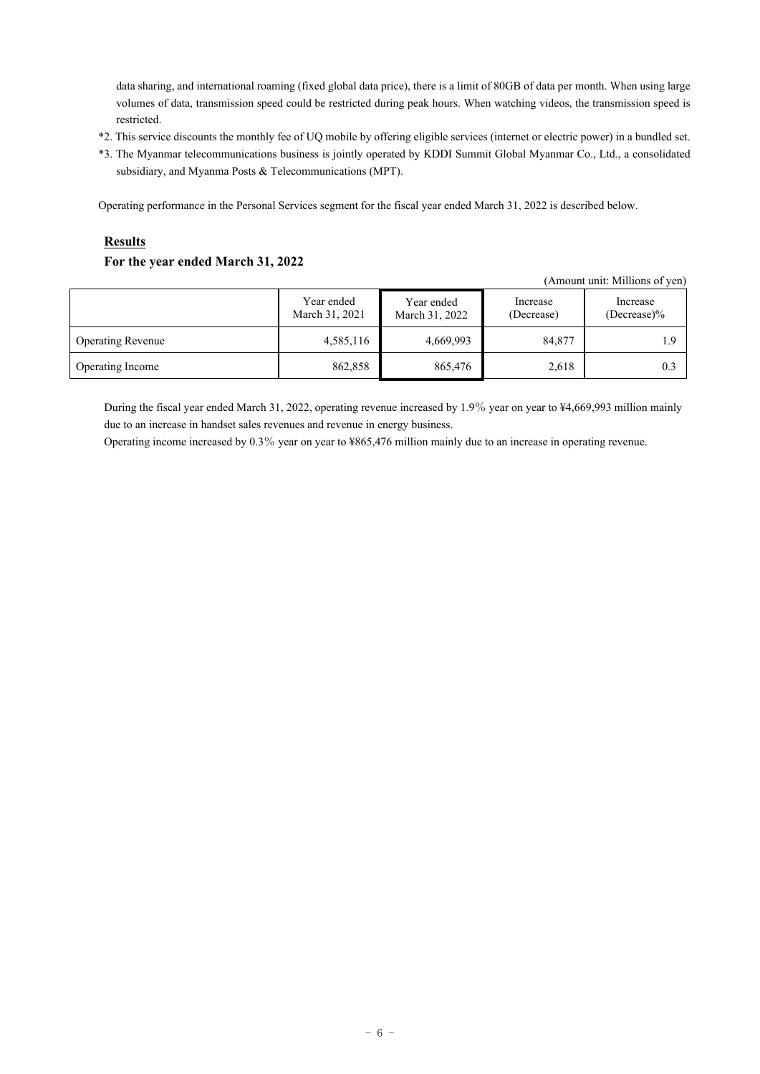data sharing, and international roaming (fixed global data price), there is a limit of 80GB of data per month. When using large volumes of data, transmission speed could be restricted during peak hours. When watching videos, the transmission speed is restricted.

- \*2. This service discounts the monthly fee of UQ mobile by offering eligible services (internet or electric power) in a bundled set.
- \*3. The Myanmar telecommunications business is jointly operated by KDDI Summit Global Myanmar Co., Ltd., a consolidated subsidiary, and Myanma Posts & Telecommunications (MPT).

Operating performance in the Personal Services segment for the fiscal year ended March 31, 2022 is described below.

# **Results**

# **For the year ended March 31, 2022**

|                          |                              |                              |                        | (Amount unit: Millions of yen) |
|--------------------------|------------------------------|------------------------------|------------------------|--------------------------------|
|                          | Year ended<br>March 31, 2021 | Year ended<br>March 31, 2022 | Increase<br>(Decrease) | Increase<br>$(Decrease)\%$     |
| <b>Operating Revenue</b> | 4,585,116                    | 4,669,993                    | 84,877                 | 1.9                            |
| Operating Income         | 862,858                      | 865,476                      | 2,618                  | 0.3                            |

During the fiscal year ended March 31, 2022, operating revenue increased by 1.9% year on year to ¥4,669,993 million mainly due to an increase in handset sales revenues and revenue in energy business.

Operating income increased by 0.3% year on year to ¥865,476 million mainly due to an increase in operating revenue.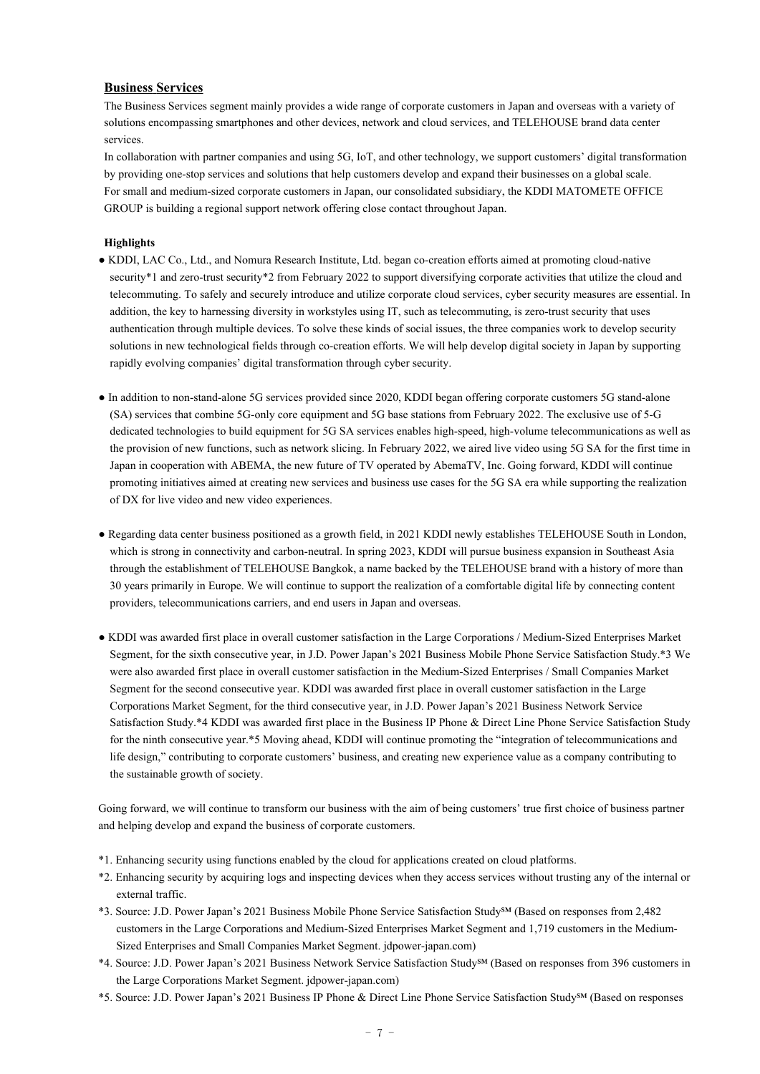### **Business Services**

The Business Services segment mainly provides a wide range of corporate customers in Japan and overseas with a variety of solutions encompassing smartphones and other devices, network and cloud services, and TELEHOUSE brand data center services.

In collaboration with partner companies and using 5G, IoT, and other technology, we support customers' digital transformation by providing one-stop services and solutions that help customers develop and expand their businesses on a global scale. For small and medium-sized corporate customers in Japan, our consolidated subsidiary, the KDDI MATOMETE OFFICE GROUP is building a regional support network offering close contact throughout Japan.

### **Highlights**

- KDDI, LAC Co., Ltd., and Nomura Research Institute, Ltd. began co-creation efforts aimed at promoting cloud-native security\*1 and zero-trust security\*2 from February 2022 to support diversifying corporate activities that utilize the cloud and telecommuting. To safely and securely introduce and utilize corporate cloud services, cyber security measures are essential. In addition, the key to harnessing diversity in workstyles using IT, such as telecommuting, is zero-trust security that uses authentication through multiple devices. To solve these kinds of social issues, the three companies work to develop security solutions in new technological fields through co-creation efforts. We will help develop digital society in Japan by supporting rapidly evolving companies' digital transformation through cyber security.
- In addition to non-stand-alone 5G services provided since 2020, KDDI began offering corporate customers 5G stand-alone (SA) services that combine 5G-only core equipment and 5G base stations from February 2022. The exclusive use of 5-G dedicated technologies to build equipment for 5G SA services enables high-speed, high-volume telecommunications as well as the provision of new functions, such as network slicing. In February 2022, we aired live video using 5G SA for the first time in Japan in cooperation with ABEMA, the new future of TV operated by AbemaTV, Inc. Going forward, KDDI will continue promoting initiatives aimed at creating new services and business use cases for the 5G SA era while supporting the realization of DX for live video and new video experiences.
- Regarding data center business positioned as a growth field, in 2021 KDDI newly establishes TELEHOUSE South in London, which is strong in connectivity and carbon-neutral. In spring 2023, KDDI will pursue business expansion in Southeast Asia through the establishment of TELEHOUSE Bangkok, a name backed by the TELEHOUSE brand with a history of more than 30 years primarily in Europe. We will continue to support the realization of a comfortable digital life by connecting content providers, telecommunications carriers, and end users in Japan and overseas.
- KDDI was awarded first place in overall customer satisfaction in the Large Corporations / Medium-Sized Enterprises Market Segment, for the sixth consecutive year, in J.D. Power Japan's 2021 Business Mobile Phone Service Satisfaction Study.\*3 We were also awarded first place in overall customer satisfaction in the Medium-Sized Enterprises / Small Companies Market Segment for the second consecutive year. KDDI was awarded first place in overall customer satisfaction in the Large Corporations Market Segment, for the third consecutive year, in J.D. Power Japan's 2021 Business Network Service Satisfaction Study.\*4 KDDI was awarded first place in the Business IP Phone & Direct Line Phone Service Satisfaction Study for the ninth consecutive year.\*5 Moving ahead, KDDI will continue promoting the "integration of telecommunications and life design," contributing to corporate customers' business, and creating new experience value as a company contributing to the sustainable growth of society.

Going forward, we will continue to transform our business with the aim of being customers' true first choice of business partner and helping develop and expand the business of corporate customers.

- \*1. Enhancing security using functions enabled by the cloud for applications created on cloud platforms.
- \*2. Enhancing security by acquiring logs and inspecting devices when they access services without trusting any of the internal or external traffic.
- \*3. Source: J.D. Power Japan's 2021 Business Mobile Phone Service Satisfaction Study℠ (Based on responses from 2,482 customers in the Large Corporations and Medium-Sized Enterprises Market Segment and 1,719 customers in the Medium-Sized Enterprises and Small Companies Market Segment. jdpower-japan.com)
- \*4. Source: J.D. Power Japan's 2021 Business Network Service Satisfaction Study℠ (Based on responses from 396 customers in the Large Corporations Market Segment. jdpower-japan.com)
- \*5. Source: J.D. Power Japan's 2021 Business IP Phone & Direct Line Phone Service Satisfaction Study℠ (Based on responses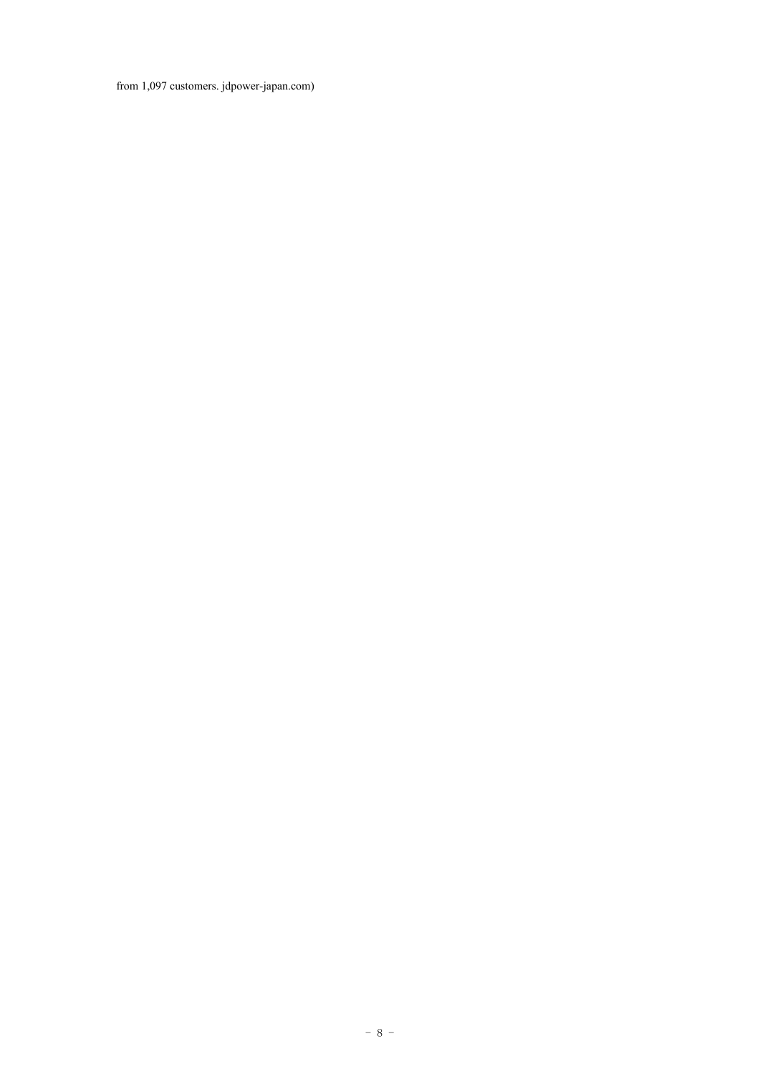from 1,097 customers. jdpower-japan.com)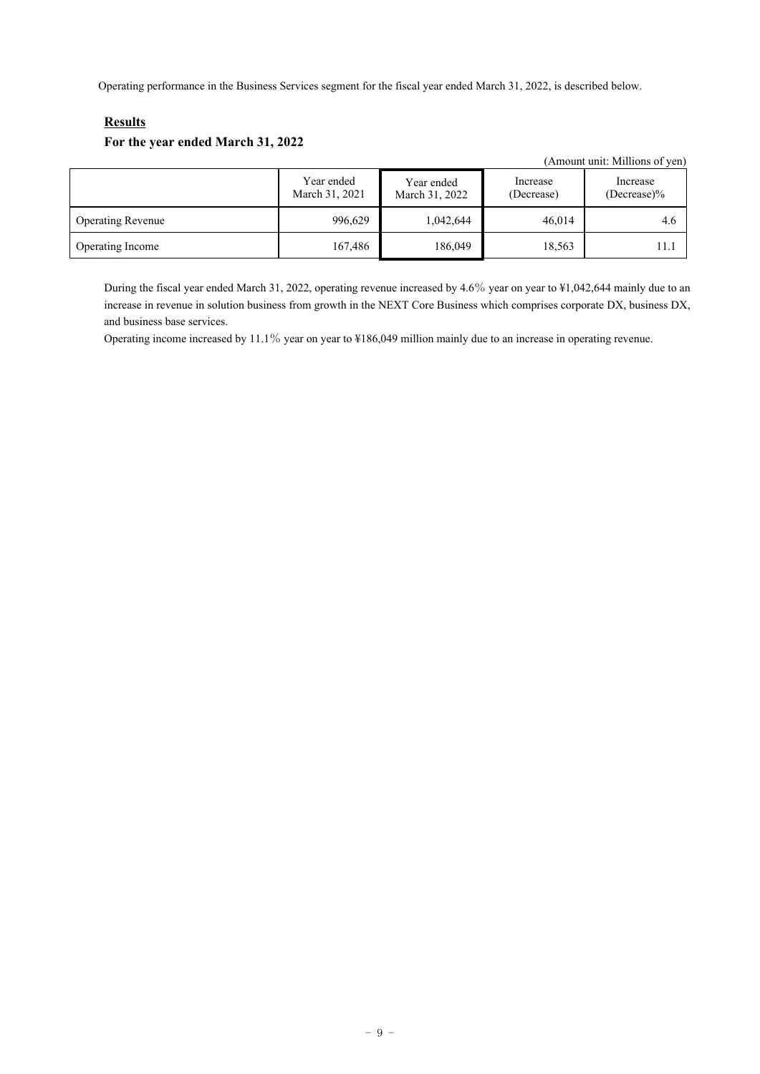Operating performance in the Business Services segment for the fiscal year ended March 31, 2022, is described below.

# **Results**

# **For the year ended March 31, 2022**

|                          |                              |                              |                        | (Amount unit: Millions of yen) |
|--------------------------|------------------------------|------------------------------|------------------------|--------------------------------|
|                          | Year ended<br>March 31, 2021 | Year ended<br>March 31, 2022 | Increase<br>(Decrease) | Increase<br>$(Decrease)\%$     |
| <b>Operating Revenue</b> | 996,629                      | 1,042,644                    | 46,014                 | 4.6                            |
| Operating Income         | 167,486                      | 186,049                      | 18,563                 | 11.1                           |

During the fiscal year ended March 31, 2022, operating revenue increased by 4.6% year on year to ¥1,042,644 mainly due to an increase in revenue in solution business from growth in the NEXT Core Business which comprises corporate DX, business DX, and business base services.

Operating income increased by 11.1% year on year to ¥186,049 million mainly due to an increase in operating revenue.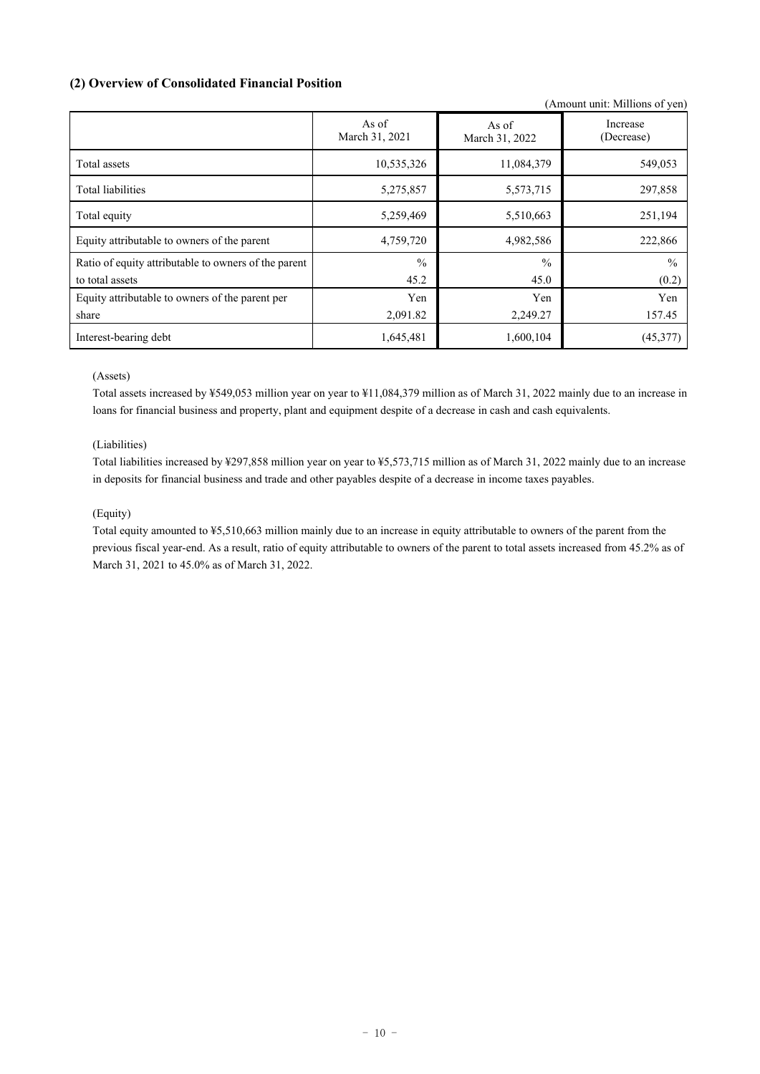# **(2) Overview of Consolidated Financial Position**

|                                                      |                         |                         | (Amount unit: Millions of yen) |
|------------------------------------------------------|-------------------------|-------------------------|--------------------------------|
|                                                      | As of<br>March 31, 2021 | As of<br>March 31, 2022 | Increase<br>(Decrease)         |
| Total assets                                         | 10,535,326              | 11,084,379              | 549,053                        |
| Total liabilities                                    | 5,275,857               | 5,573,715               | 297,858                        |
| Total equity                                         | 5,259,469               | 5,510,663               | 251,194                        |
| Equity attributable to owners of the parent          | 4,759,720               | 4,982,586               | 222,866                        |
| Ratio of equity attributable to owners of the parent | $\frac{0}{0}$           | $\frac{0}{0}$           | $\frac{0}{0}$                  |
| to total assets                                      | 45.2                    | 45.0                    | (0.2)                          |
| Equity attributable to owners of the parent per      | Yen                     | Yen                     | Yen                            |
| share                                                | 2,091.82                | 2,249.27                | 157.45                         |
| Interest-bearing debt                                | 1,645,481               | 1,600,104               | (45,377)                       |

# (Assets)

Total assets increased by ¥549,053 million year on year to ¥11,084,379 million as of March 31, 2022 mainly due to an increase in loans for financial business and property, plant and equipment despite of a decrease in cash and cash equivalents.

# (Liabilities)

Total liabilities increased by ¥297,858 million year on year to ¥5,573,715 million as of March 31, 2022 mainly due to an increase in deposits for financial business and trade and other payables despite of a decrease in income taxes payables.

# (Equity)

Total equity amounted to ¥5,510,663 million mainly due to an increase in equity attributable to owners of the parent from the previous fiscal year-end. As a result, ratio of equity attributable to owners of the parent to total assets increased from 45.2% as of March 31, 2021 to 45.0% as of March 31, 2022.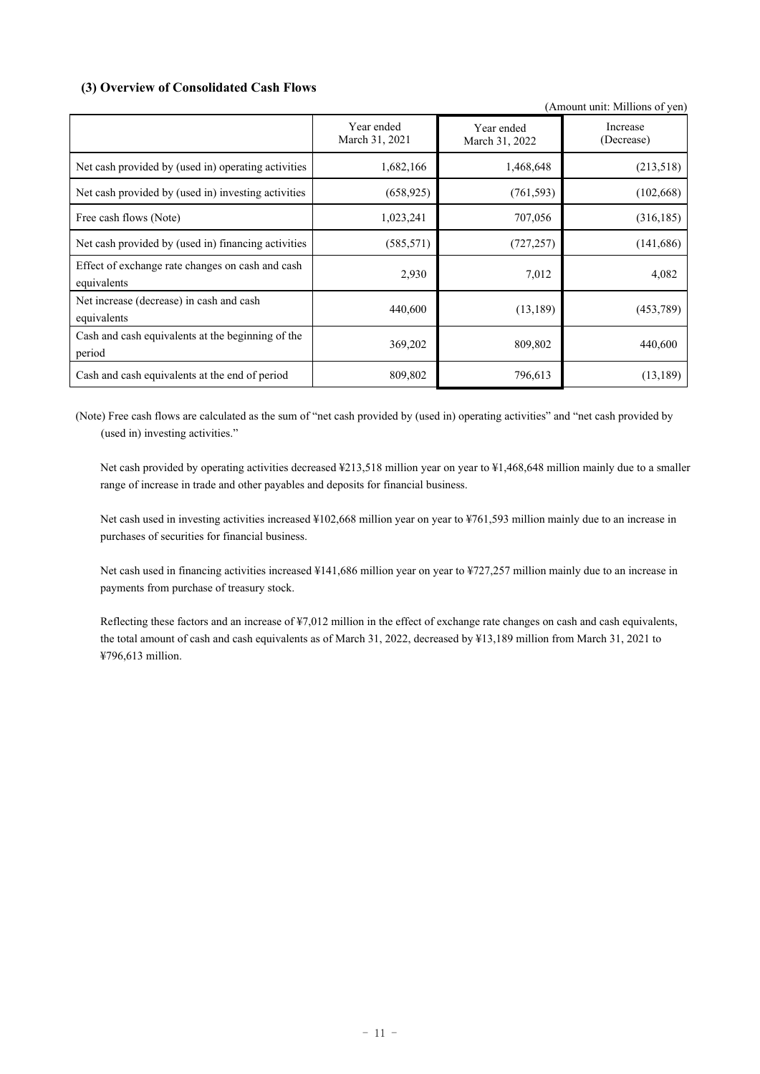# **(3) Overview of Consolidated Cash Flows**

|                                                                 |                              |                              | (Amount unit: Millions of yen) |
|-----------------------------------------------------------------|------------------------------|------------------------------|--------------------------------|
|                                                                 | Year ended<br>March 31, 2021 | Year ended<br>March 31, 2022 | Increase<br>(Decrease)         |
| Net cash provided by (used in) operating activities             | 1,682,166                    | 1,468,648                    | (213,518)                      |
| Net cash provided by (used in) investing activities             | (658, 925)                   | (761, 593)                   | (102, 668)                     |
| Free cash flows (Note)                                          | 1,023,241                    | 707,056                      | (316, 185)                     |
| Net cash provided by (used in) financing activities             | (585, 571)                   | (727, 257)                   | (141,686)                      |
| Effect of exchange rate changes on cash and cash<br>equivalents | 2,930                        | 7,012                        | 4,082                          |
| Net increase (decrease) in cash and cash<br>equivalents         | 440,600                      | (13, 189)                    | (453, 789)                     |
| Cash and cash equivalents at the beginning of the<br>period     | 369,202                      | 809,802                      | 440,600                        |
| Cash and cash equivalents at the end of period                  | 809,802                      | 796,613                      | (13, 189)                      |

(Note) Free cash flows are calculated as the sum of "net cash provided by (used in) operating activities" and "net cash provided by (used in) investing activities."

Net cash provided by operating activities decreased ¥213,518 million year on year to ¥1,468,648 million mainly due to a smaller range of increase in trade and other payables and deposits for financial business.

Net cash used in investing activities increased ¥102,668 million year on year to ¥761,593 million mainly due to an increase in purchases of securities for financial business.

Net cash used in financing activities increased ¥141,686 million year on year to ¥727,257 million mainly due to an increase in payments from purchase of treasury stock.

Reflecting these factors and an increase of ¥7,012 million in the effect of exchange rate changes on cash and cash equivalents, the total amount of cash and cash equivalents as of March 31, 2022, decreased by ¥13,189 million from March 31, 2021 to ¥796,613 million.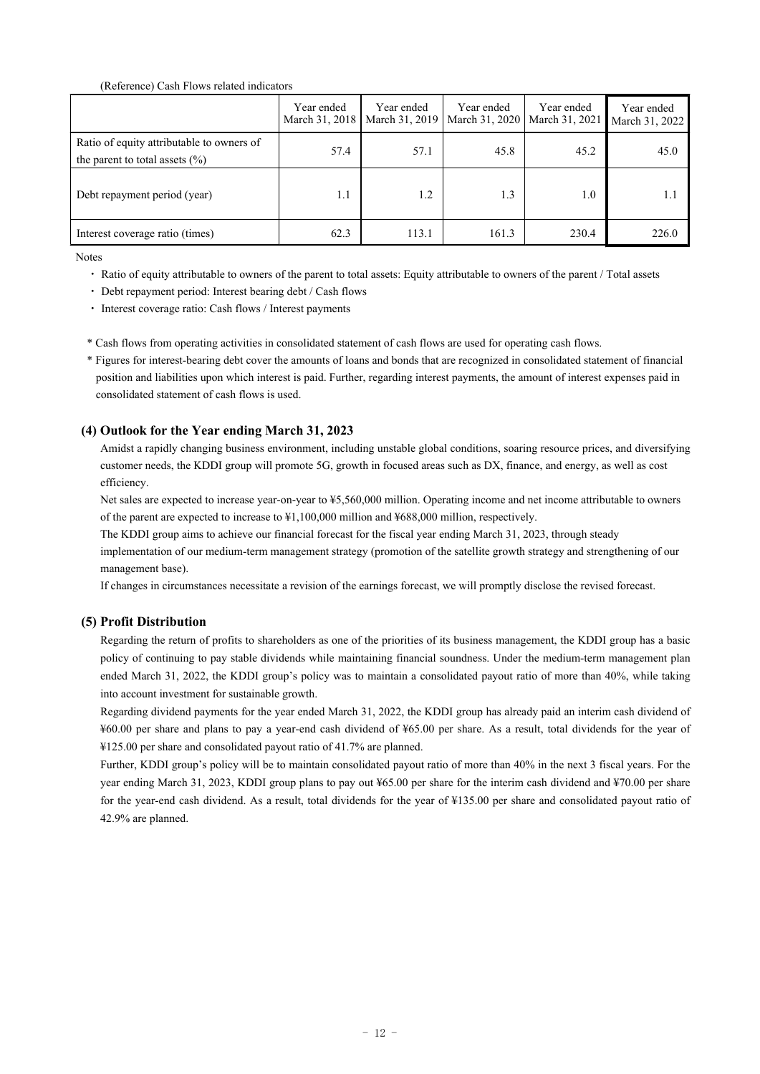#### (Reference) Cash Flows related indicators

|                                                                                 | Year ended<br>March 31, 2018 | Year ended<br>March 31, 2019 | Year ended<br>March 31, 2020   March 31, 2021 | Year ended | Year ended<br>March 31, 2022 |
|---------------------------------------------------------------------------------|------------------------------|------------------------------|-----------------------------------------------|------------|------------------------------|
| Ratio of equity attributable to owners of<br>the parent to total assets $(\% )$ | 57.4                         | 57.1                         | 45.8                                          | 45.2       | 45.0                         |
| Debt repayment period (year)                                                    | 1.1                          | 1.2                          | 1.3                                           | 1.0        | 1.1                          |
| Interest coverage ratio (times)                                                 | 62.3                         | 113.1                        | 161.3                                         | 230.4      | 226.0                        |

Notes

- Ratio of equity attributable to owners of the parent to total assets: Equity attributable to owners of the parent / Total assets
- ・ Debt repayment period: Interest bearing debt / Cash flows
- ・ Interest coverage ratio: Cash flows / Interest payments
- \* Cash flows from operating activities in consolidated statement of cash flows are used for operating cash flows.
- \* Figures for interest-bearing debt cover the amounts of loans and bonds that are recognized in consolidated statement of financial position and liabilities upon which interest is paid. Further, regarding interest payments, the amount of interest expenses paid in consolidated statement of cash flows is used.

## **(4) Outlook for the Year ending March 31, 2023**

Amidst a rapidly changing business environment, including unstable global conditions, soaring resource prices, and diversifying customer needs, the KDDI group will promote 5G, growth in focused areas such as DX, finance, and energy, as well as cost efficiency.

Net sales are expected to increase year-on-year to ¥5,560,000 million. Operating income and net income attributable to owners of the parent are expected to increase to ¥1,100,000 million and ¥688,000 million, respectively.

The KDDI group aims to achieve our financial forecast for the fiscal year ending March 31, 2023, through steady

implementation of our medium-term management strategy (promotion of the satellite growth strategy and strengthening of our management base).

If changes in circumstances necessitate a revision of the earnings forecast, we will promptly disclose the revised forecast.

# **(5) Profit Distribution**

Regarding the return of profits to shareholders as one of the priorities of its business management, the KDDI group has a basic policy of continuing to pay stable dividends while maintaining financial soundness. Under the medium-term management plan ended March 31, 2022, the KDDI group's policy was to maintain a consolidated payout ratio of more than 40%, while taking into account investment for sustainable growth.

Regarding dividend payments for the year ended March 31, 2022, the KDDI group has already paid an interim cash dividend of ¥60.00 per share and plans to pay a year-end cash dividend of ¥65.00 per share. As a result, total dividends for the year of ¥125.00 per share and consolidated payout ratio of 41.7% are planned.

Further, KDDI group's policy will be to maintain consolidated payout ratio of more than 40% in the next 3 fiscal years. For the year ending March 31, 2023, KDDI group plans to pay out ¥65.00 per share for the interim cash dividend and ¥70.00 per share for the year-end cash dividend. As a result, total dividends for the year of ¥135.00 per share and consolidated payout ratio of 42.9% are planned.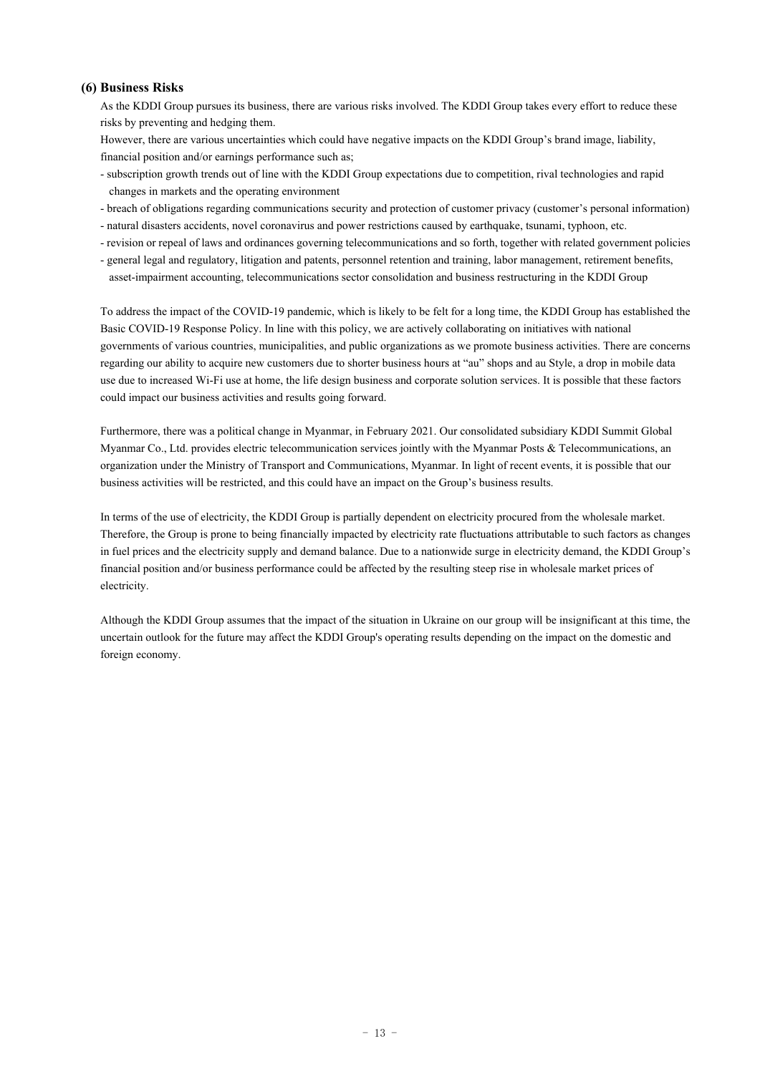# **(6) Business Risks**

As the KDDI Group pursues its business, there are various risks involved. The KDDI Group takes every effort to reduce these risks by preventing and hedging them.

However, there are various uncertainties which could have negative impacts on the KDDI Group's brand image, liability, financial position and/or earnings performance such as;

- subscription growth trends out of line with the KDDI Group expectations due to competition, rival technologies and rapid changes in markets and the operating environment
- breach of obligations regarding communications security and protection of customer privacy (customer's personal information)
- natural disasters accidents, novel coronavirus and power restrictions caused by earthquake, tsunami, typhoon, etc.
- revision or repeal of laws and ordinances governing telecommunications and so forth, together with related government policies
- general legal and regulatory, litigation and patents, personnel retention and training, labor management, retirement benefits, asset-impairment accounting, telecommunications sector consolidation and business restructuring in the KDDI Group

To address the impact of the COVID-19 pandemic, which is likely to be felt for a long time, the KDDI Group has established the Basic COVID-19 Response Policy. In line with this policy, we are actively collaborating on initiatives with national governments of various countries, municipalities, and public organizations as we promote business activities. There are concerns regarding our ability to acquire new customers due to shorter business hours at "au" shops and au Style, a drop in mobile data use due to increased Wi-Fi use at home, the life design business and corporate solution services. It is possible that these factors could impact our business activities and results going forward.

Furthermore, there was a political change in Myanmar, in February 2021. Our consolidated subsidiary KDDI Summit Global Myanmar Co., Ltd. provides electric telecommunication services jointly with the Myanmar Posts & Telecommunications, an organization under the Ministry of Transport and Communications, Myanmar. In light of recent events, it is possible that our business activities will be restricted, and this could have an impact on the Group's business results.

In terms of the use of electricity, the KDDI Group is partially dependent on electricity procured from the wholesale market. Therefore, the Group is prone to being financially impacted by electricity rate fluctuations attributable to such factors as changes in fuel prices and the electricity supply and demand balance. Due to a nationwide surge in electricity demand, the KDDI Group's financial position and/or business performance could be affected by the resulting steep rise in wholesale market prices of electricity.

Although the KDDI Group assumes that the impact of the situation in Ukraine on our group will be insignificant at this time, the uncertain outlook for the future may affect the KDDI Group's operating results depending on the impact on the domestic and foreign economy.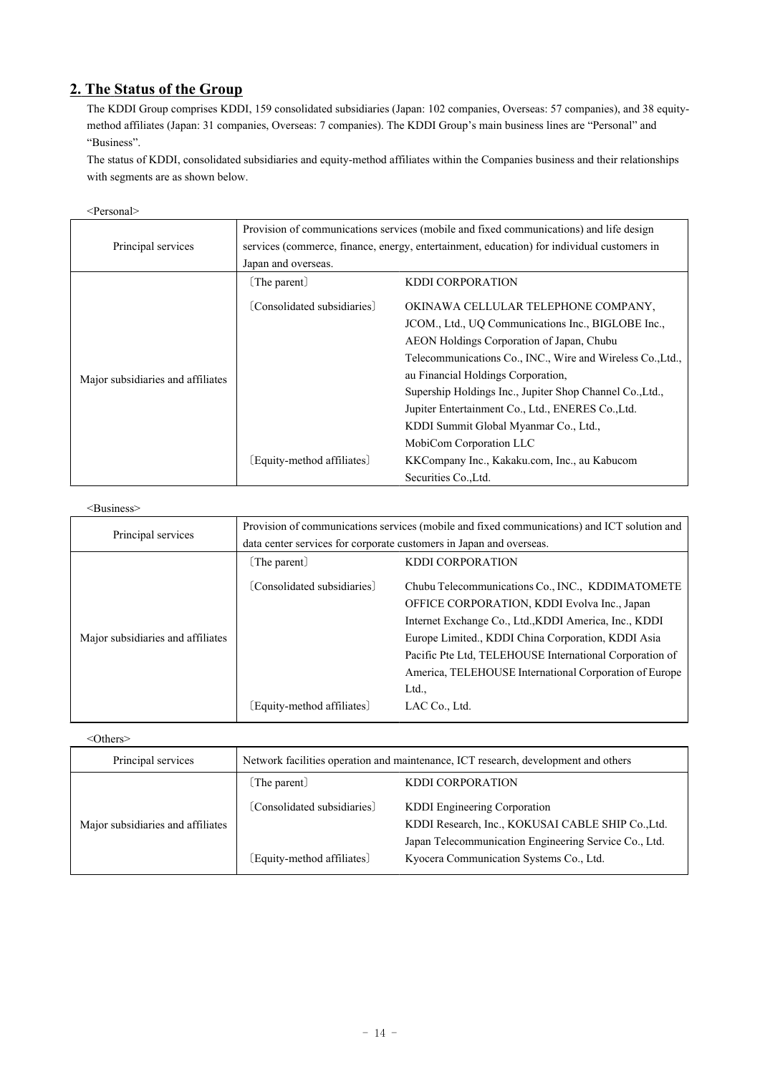# **2. The Status of the Group**

The KDDI Group comprises KDDI, 159 consolidated subsidiaries (Japan: 102 companies, Overseas: 57 companies), and 38 equitymethod affiliates (Japan: 31 companies, Overseas: 7 companies). The KDDI Group's main business lines are "Personal" and "Business".

The status of KDDI, consolidated subsidiaries and equity-method affiliates within the Companies business and their relationships with segments are as shown below.

|                                   | Provision of communications services (mobile and fixed communications) and life design     |                                                            |  |  |  |  |
|-----------------------------------|--------------------------------------------------------------------------------------------|------------------------------------------------------------|--|--|--|--|
| Principal services                | services (commerce, finance, energy, entertainment, education) for individual customers in |                                                            |  |  |  |  |
|                                   | Japan and overseas.                                                                        |                                                            |  |  |  |  |
|                                   | [The parent]                                                                               | <b>KDDI CORPORATION</b>                                    |  |  |  |  |
|                                   | [Consolidated subsidiaries]                                                                | OKINAWA CELLULAR TELEPHONE COMPANY,                        |  |  |  |  |
|                                   |                                                                                            | JCOM., Ltd., UQ Communications Inc., BIGLOBE Inc.,         |  |  |  |  |
|                                   |                                                                                            | AEON Holdings Corporation of Japan, Chubu                  |  |  |  |  |
|                                   |                                                                                            | Telecommunications Co., INC., Wire and Wireless Co., Ltd., |  |  |  |  |
| Major subsidiaries and affiliates |                                                                                            | au Financial Holdings Corporation,                         |  |  |  |  |
|                                   |                                                                                            | Supership Holdings Inc., Jupiter Shop Channel Co., Ltd.,   |  |  |  |  |
|                                   |                                                                                            | Jupiter Entertainment Co., Ltd., ENERES Co., Ltd.          |  |  |  |  |
|                                   |                                                                                            | KDDI Summit Global Myanmar Co., Ltd.,                      |  |  |  |  |
|                                   |                                                                                            | MobiCom Corporation LLC                                    |  |  |  |  |
|                                   | [Equity-method affiliates]                                                                 | KKCompany Inc., Kakaku.com, Inc., au Kabucom               |  |  |  |  |
|                                   |                                                                                            | Securities Co., Ltd.                                       |  |  |  |  |

## <Business>

| Principal services                | Provision of communications services (mobile and fixed communications) and ICT solution and |                                                         |  |  |  |  |
|-----------------------------------|---------------------------------------------------------------------------------------------|---------------------------------------------------------|--|--|--|--|
|                                   | data center services for corporate customers in Japan and overseas.                         |                                                         |  |  |  |  |
|                                   | [The parent]                                                                                | <b>KDDI CORPORATION</b>                                 |  |  |  |  |
|                                   | [Consolidated subsidiaries]                                                                 | Chubu Telecommunications Co., INC., KDDIMATOMETE        |  |  |  |  |
|                                   |                                                                                             | OFFICE CORPORATION, KDDI Evolva Inc., Japan             |  |  |  |  |
|                                   |                                                                                             | Internet Exchange Co., Ltd., KDDI America, Inc., KDDI   |  |  |  |  |
| Major subsidiaries and affiliates |                                                                                             | Europe Limited., KDDI China Corporation, KDDI Asia      |  |  |  |  |
|                                   |                                                                                             | Pacific Pte Ltd, TELEHOUSE International Corporation of |  |  |  |  |
|                                   |                                                                                             | America, TELEHOUSE International Corporation of Europe  |  |  |  |  |
|                                   |                                                                                             | Ltd.,                                                   |  |  |  |  |
|                                   | [Equity-method affiliates]                                                                  | LAC Co., Ltd.                                           |  |  |  |  |

### <Others>

| Principal services                | Network facilities operation and maintenance, ICT research, development and others |                                                       |  |  |  |
|-----------------------------------|------------------------------------------------------------------------------------|-------------------------------------------------------|--|--|--|
|                                   | [The parent]                                                                       | <b>KDDI CORPORATION</b>                               |  |  |  |
|                                   | [Consolidated subsidiaries]                                                        | KDDI Engineering Corporation                          |  |  |  |
| Major subsidiaries and affiliates |                                                                                    | KDDI Research, Inc., KOKUSAI CABLE SHIP Co., Ltd.     |  |  |  |
|                                   |                                                                                    | Japan Telecommunication Engineering Service Co., Ltd. |  |  |  |
|                                   | [Equity-method affiliates]                                                         | Kyocera Communication Systems Co., Ltd.               |  |  |  |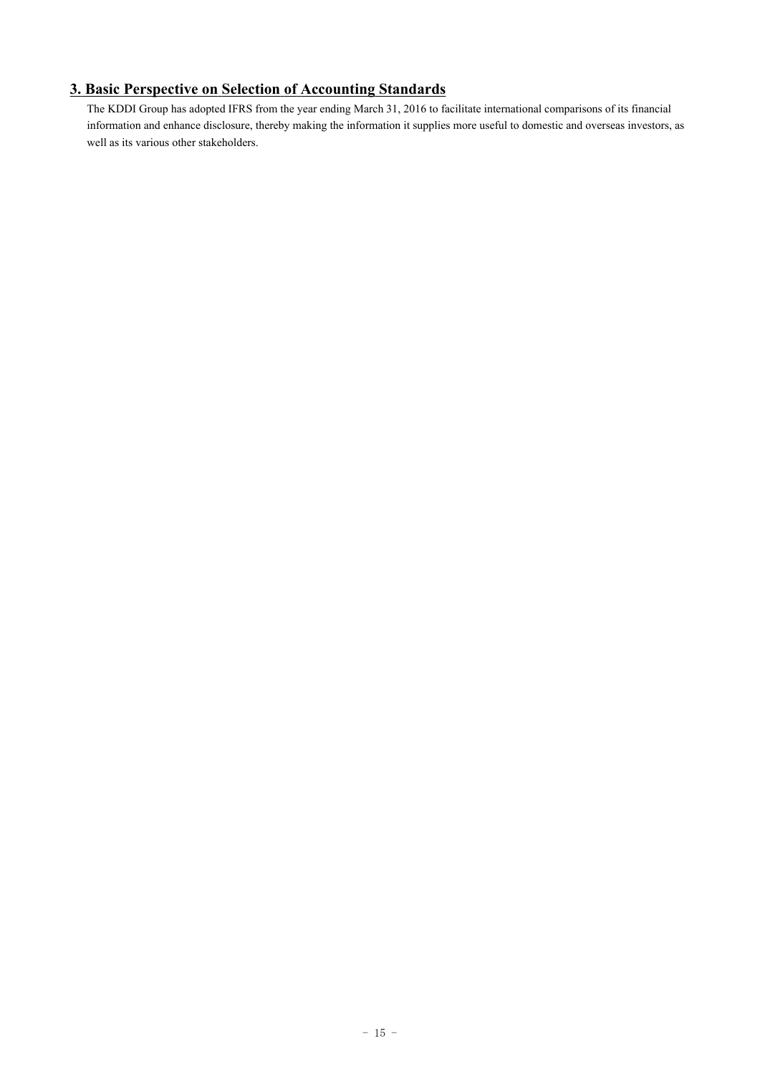# **3. Basic Perspective on Selection of Accounting Standards**

The KDDI Group has adopted IFRS from the year ending March 31, 2016 to facilitate international comparisons of its financial information and enhance disclosure, thereby making the information it supplies more useful to domestic and overseas investors, as well as its various other stakeholders.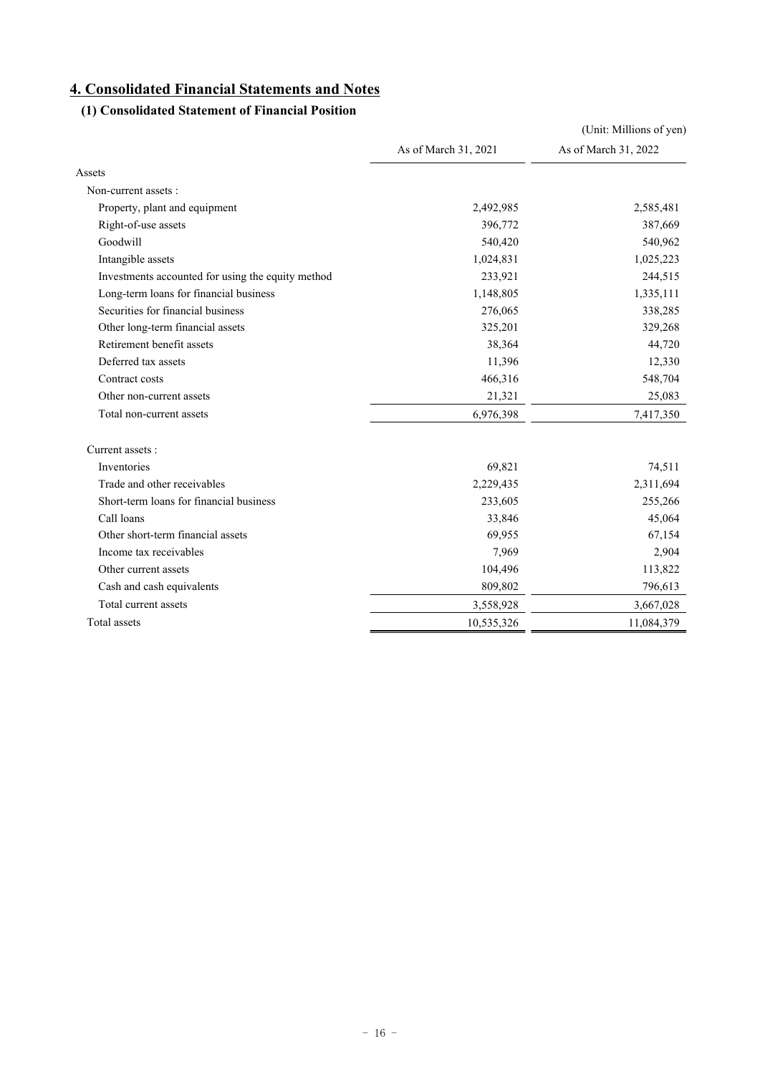# **4. Consolidated Financial Statements and Notes**

# **(1) Consolidated Statement of Financial Position**

|                                                   |                      | (Unit: Millions of yen) |
|---------------------------------------------------|----------------------|-------------------------|
|                                                   | As of March 31, 2021 | As of March 31, 2022    |
| Assets                                            |                      |                         |
| Non-current assets :                              |                      |                         |
| Property, plant and equipment                     | 2,492,985            | 2,585,481               |
| Right-of-use assets                               | 396,772              | 387,669                 |
| Goodwill                                          | 540,420              | 540,962                 |
| Intangible assets                                 | 1,024,831            | 1,025,223               |
| Investments accounted for using the equity method | 233,921              | 244,515                 |
| Long-term loans for financial business            | 1,148,805            | 1,335,111               |
| Securities for financial business                 | 276,065              | 338,285                 |
| Other long-term financial assets                  | 325,201              | 329,268                 |
| Retirement benefit assets                         | 38,364               | 44,720                  |
| Deferred tax assets                               | 11,396               | 12,330                  |
| Contract costs                                    | 466,316              | 548,704                 |
| Other non-current assets                          | 21,321               | 25,083                  |
| Total non-current assets                          | 6,976,398            | 7,417,350               |
| Current assets:                                   |                      |                         |
| Inventories                                       | 69,821               | 74,511                  |
| Trade and other receivables                       | 2,229,435            | 2,311,694               |
| Short-term loans for financial business           | 233,605              | 255,266                 |
| Call loans                                        | 33,846               | 45,064                  |
| Other short-term financial assets                 | 69,955               | 67,154                  |
| Income tax receivables                            | 7,969                | 2,904                   |
| Other current assets                              | 104,496              | 113,822                 |
| Cash and cash equivalents                         | 809,802              | 796,613                 |
| Total current assets                              | 3,558,928            | 3,667,028               |
| Total assets                                      | 10,535,326           | 11,084,379              |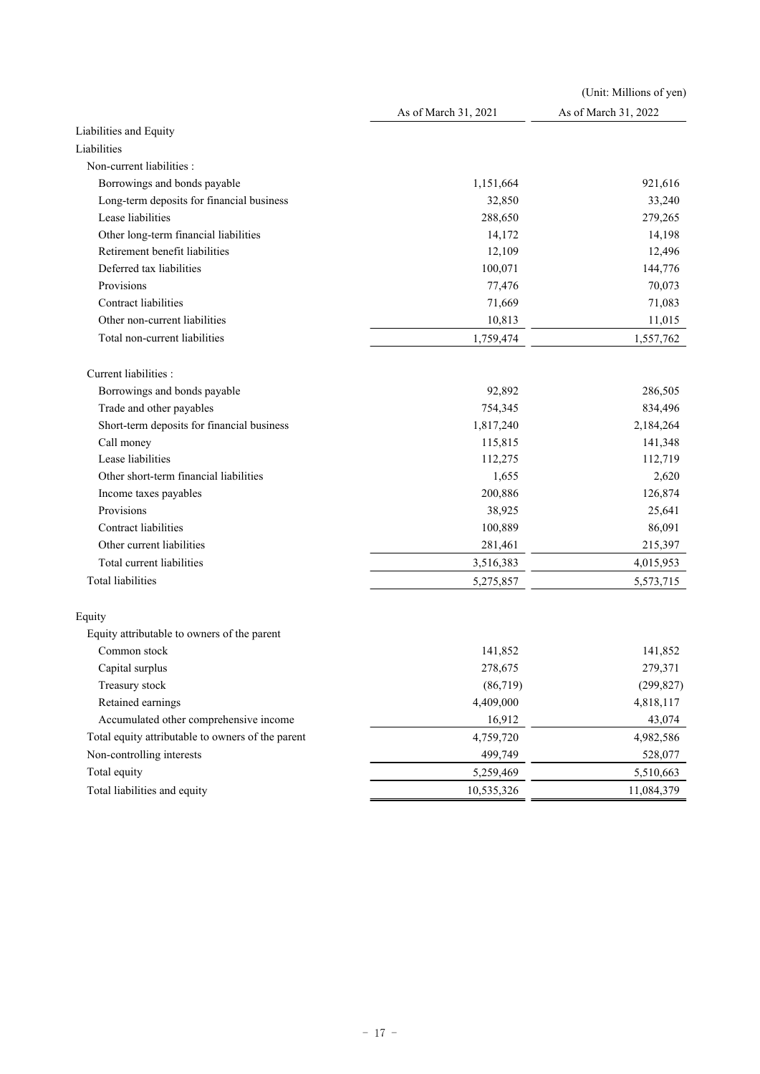|                                                   |                      | (Unit: Millions of yen) |
|---------------------------------------------------|----------------------|-------------------------|
|                                                   | As of March 31, 2021 | As of March 31, 2022    |
| Liabilities and Equity                            |                      |                         |
| Liabilities                                       |                      |                         |
| Non-current liabilities :                         |                      |                         |
| Borrowings and bonds payable                      | 1,151,664            | 921,616                 |
| Long-term deposits for financial business         | 32,850               | 33,240                  |
| Lease liabilities                                 | 288,650              | 279,265                 |
| Other long-term financial liabilities             | 14,172               | 14,198                  |
| Retirement benefit liabilities                    | 12,109               | 12,496                  |
| Deferred tax liabilities                          | 100,071              | 144,776                 |
| Provisions                                        | 77,476               | 70,073                  |
| Contract liabilities                              | 71,669               | 71,083                  |
| Other non-current liabilities                     | 10,813               | 11,015                  |
| Total non-current liabilities                     | 1,759,474            | 1,557,762               |
| Current liabilities :                             |                      |                         |
| Borrowings and bonds payable                      | 92,892               | 286,505                 |
| Trade and other payables                          | 754,345              | 834,496                 |
| Short-term deposits for financial business        | 1,817,240            | 2,184,264               |
| Call money                                        | 115,815              | 141,348                 |
| Lease liabilities                                 | 112,275              | 112,719                 |
| Other short-term financial liabilities            | 1,655                | 2,620                   |
| Income taxes payables                             | 200,886              | 126,874                 |
| Provisions                                        | 38,925               | 25,641                  |
| Contract liabilities                              | 100,889              | 86,091                  |
| Other current liabilities                         | 281,461              | 215,397                 |
| Total current liabilities                         | 3,516,383            | 4,015,953               |
| <b>Total liabilities</b>                          | 5,275,857            | 5,573,715               |
| Equity                                            |                      |                         |
| Equity attributable to owners of the parent       |                      |                         |
| Common stock                                      | 141,852              | 141,852                 |
| Capital surplus                                   | 278,675              | 279,371                 |
| Treasury stock                                    | (86, 719)            | (299, 827)              |
| Retained earnings                                 | 4,409,000            | 4,818,117               |
| Accumulated other comprehensive income            | 16,912               | 43,074                  |
| Total equity attributable to owners of the parent | 4,759,720            | 4,982,586               |
| Non-controlling interests                         | 499,749              | 528,077                 |
| Total equity                                      | 5,259,469            | 5,510,663               |
| Total liabilities and equity                      | 10,535,326           | 11,084,379              |
|                                                   |                      |                         |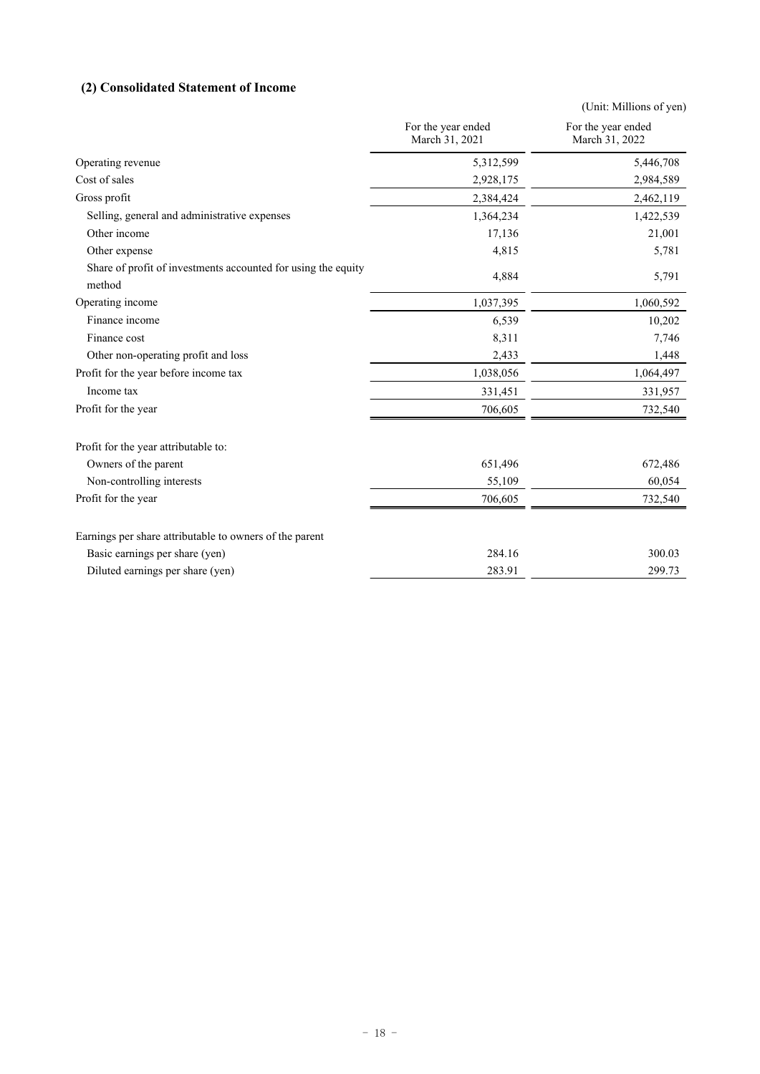# **(2) Consolidated Statement of Income**

|                                                                         |                                      | (Unit: Millions of yen)              |
|-------------------------------------------------------------------------|--------------------------------------|--------------------------------------|
|                                                                         | For the year ended<br>March 31, 2021 | For the year ended<br>March 31, 2022 |
| Operating revenue                                                       | 5,312,599                            | 5,446,708                            |
| Cost of sales                                                           | 2,928,175                            | 2,984,589                            |
| Gross profit                                                            | 2,384,424                            | 2,462,119                            |
| Selling, general and administrative expenses                            | 1,364,234                            | 1,422,539                            |
| Other income                                                            | 17,136                               | 21,001                               |
| Other expense                                                           | 4,815                                | 5,781                                |
| Share of profit of investments accounted for using the equity<br>method | 4,884                                | 5,791                                |
| Operating income                                                        | 1,037,395                            | 1,060,592                            |
| Finance income                                                          | 6,539                                | 10,202                               |
| Finance cost                                                            | 8,311                                | 7,746                                |
| Other non-operating profit and loss                                     | 2,433                                | 1,448                                |
| Profit for the year before income tax                                   | 1,038,056                            | 1,064,497                            |
| Income tax                                                              | 331,451                              | 331,957                              |
| Profit for the year                                                     | 706,605                              | 732,540                              |
| Profit for the year attributable to:                                    |                                      |                                      |
| Owners of the parent                                                    | 651,496                              | 672,486                              |
| Non-controlling interests                                               | 55,109                               | 60,054                               |
| Profit for the year                                                     | 706,605                              | 732,540                              |
| Earnings per share attributable to owners of the parent                 |                                      |                                      |
| Basic earnings per share (yen)                                          | 284.16                               | 300.03                               |
| Diluted earnings per share (yen)                                        | 283.91                               | 299.73                               |
|                                                                         |                                      |                                      |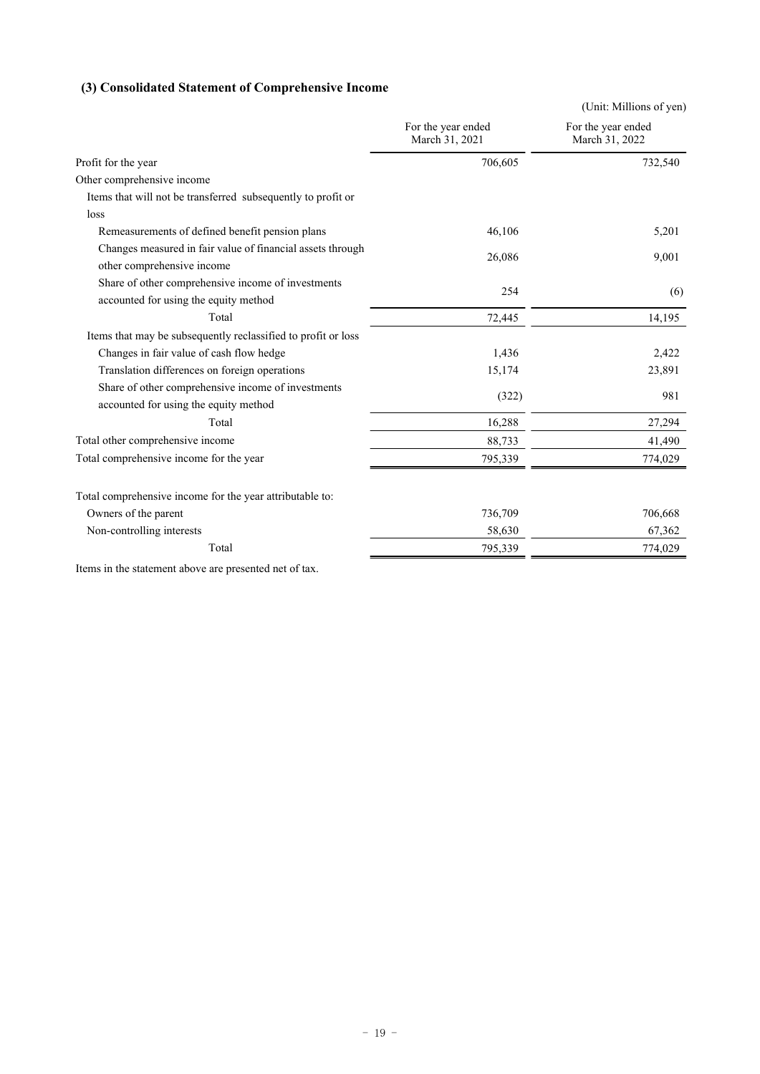# **(3) Consolidated Statement of Comprehensive Income**

| For the year ended<br>For the year ended<br>March 31, 2021<br>March 31, 2022<br>706,605<br>Profit for the year<br>Other comprehensive income<br>Items that will not be transferred subsequently to profit or<br>loss<br>Remeasurements of defined benefit pension plans<br>46,106 | 732,540<br>5,201 |
|-----------------------------------------------------------------------------------------------------------------------------------------------------------------------------------------------------------------------------------------------------------------------------------|------------------|
|                                                                                                                                                                                                                                                                                   |                  |
|                                                                                                                                                                                                                                                                                   |                  |
|                                                                                                                                                                                                                                                                                   |                  |
|                                                                                                                                                                                                                                                                                   |                  |
|                                                                                                                                                                                                                                                                                   |                  |
|                                                                                                                                                                                                                                                                                   |                  |
| Changes measured in fair value of financial assets through<br>26,086<br>other comprehensive income                                                                                                                                                                                | 9,001            |
| Share of other comprehensive income of investments<br>254<br>accounted for using the equity method                                                                                                                                                                                | (6)              |
| Total<br>72,445                                                                                                                                                                                                                                                                   | 14,195           |
| Items that may be subsequently reclassified to profit or loss                                                                                                                                                                                                                     |                  |
| Changes in fair value of cash flow hedge<br>1,436                                                                                                                                                                                                                                 | 2,422            |
| Translation differences on foreign operations<br>15,174                                                                                                                                                                                                                           | 23,891           |
| Share of other comprehensive income of investments<br>(322)<br>accounted for using the equity method                                                                                                                                                                              | 981              |
| Total<br>16,288                                                                                                                                                                                                                                                                   | 27,294           |
| Total other comprehensive income<br>88,733                                                                                                                                                                                                                                        | 41,490           |
| Total comprehensive income for the year<br>795,339                                                                                                                                                                                                                                | 774,029          |
| Total comprehensive income for the year attributable to:                                                                                                                                                                                                                          |                  |
| Owners of the parent<br>736,709                                                                                                                                                                                                                                                   | 706,668          |
| 58,630<br>Non-controlling interests                                                                                                                                                                                                                                               | 67,362           |
| Total<br>795,339                                                                                                                                                                                                                                                                  | 774,029          |

Items in the statement above are presented net of tax.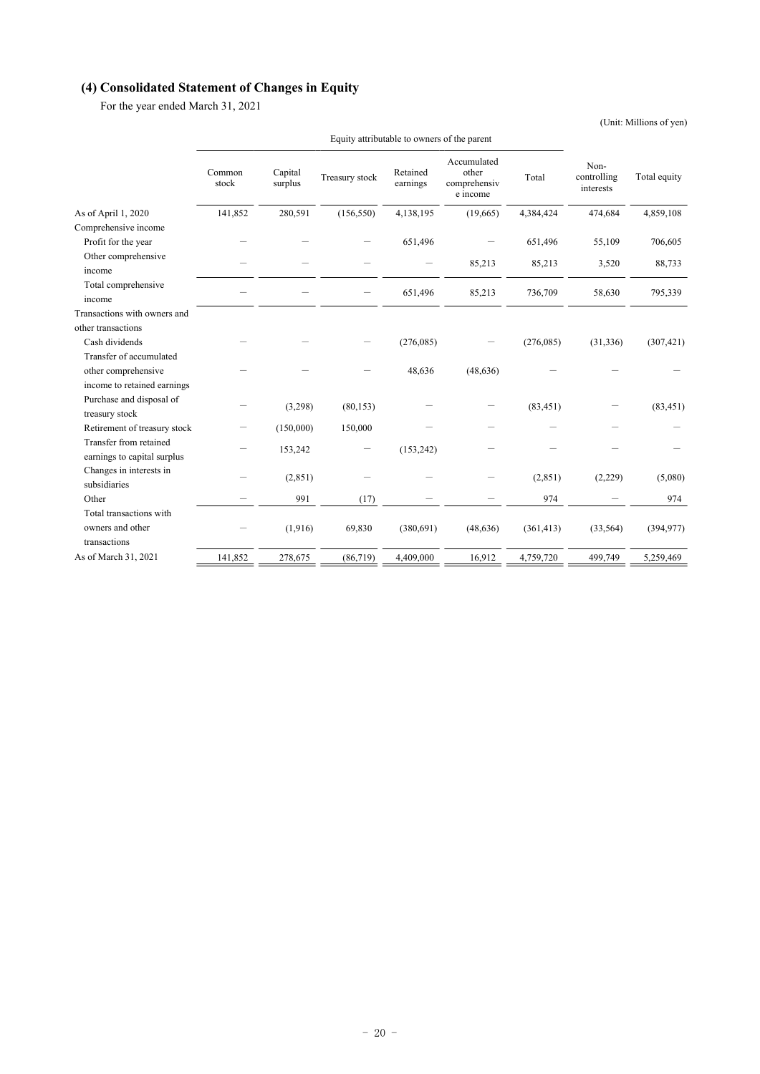# **(4) Consolidated Statement of Changes in Equity**

For the year ended March 31, 2021

(Unit: Millions of yen)

|                                                       | Common<br>stock | Capital<br>surplus | Treasury stock | Retained<br>earnings | Accumulated<br>other<br>comprehensiv<br>e income | Total      | Non-<br>controlling<br>interests | Total equity |
|-------------------------------------------------------|-----------------|--------------------|----------------|----------------------|--------------------------------------------------|------------|----------------------------------|--------------|
| As of April 1, 2020                                   | 141,852         | 280,591            | (156, 550)     | 4,138,195            | (19,665)                                         | 4,384,424  | 474,684                          | 4,859,108    |
| Comprehensive income                                  |                 |                    |                |                      |                                                  |            |                                  |              |
| Profit for the year                                   |                 |                    |                | 651,496              |                                                  | 651,496    | 55,109                           | 706,605      |
| Other comprehensive<br>income                         |                 |                    |                |                      | 85,213                                           | 85,213     | 3,520                            | 88,733       |
| Total comprehensive<br>income                         |                 |                    |                | 651,496              | 85,213                                           | 736,709    | 58,630                           | 795,339      |
| Transactions with owners and                          |                 |                    |                |                      |                                                  |            |                                  |              |
| other transactions                                    |                 |                    |                |                      |                                                  |            |                                  |              |
| Cash dividends                                        |                 |                    |                | (276, 085)           |                                                  | (276,085)  | (31, 336)                        | (307, 421)   |
| Transfer of accumulated                               |                 |                    |                |                      |                                                  |            |                                  |              |
| other comprehensive                                   |                 |                    |                | 48,636               | (48, 636)                                        |            |                                  |              |
| income to retained earnings                           |                 |                    |                |                      |                                                  |            |                                  |              |
| Purchase and disposal of<br>treasury stock            |                 | (3,298)            | (80, 153)      |                      |                                                  | (83, 451)  |                                  | (83, 451)    |
| Retirement of treasury stock                          |                 | (150,000)          | 150,000        |                      |                                                  |            |                                  |              |
| Transfer from retained<br>earnings to capital surplus |                 | 153,242            |                | (153, 242)           |                                                  |            |                                  |              |
| Changes in interests in<br>subsidiaries               |                 | (2,851)            |                |                      |                                                  | (2,851)    | (2,229)                          | (5,080)      |
| Other                                                 |                 | 991                | (17)           |                      |                                                  | 974        |                                  | 974          |
| Total transactions with                               |                 |                    |                |                      |                                                  |            |                                  |              |
| owners and other<br>transactions                      |                 | (1,916)            | 69,830         | (380, 691)           | (48, 636)                                        | (361, 413) | (33, 564)                        | (394, 977)   |
| As of March 31, 2021                                  | 141,852         | 278,675            | (86, 719)      | 4,409,000            | 16,912                                           | 4,759,720  | 499,749                          | 5,259,469    |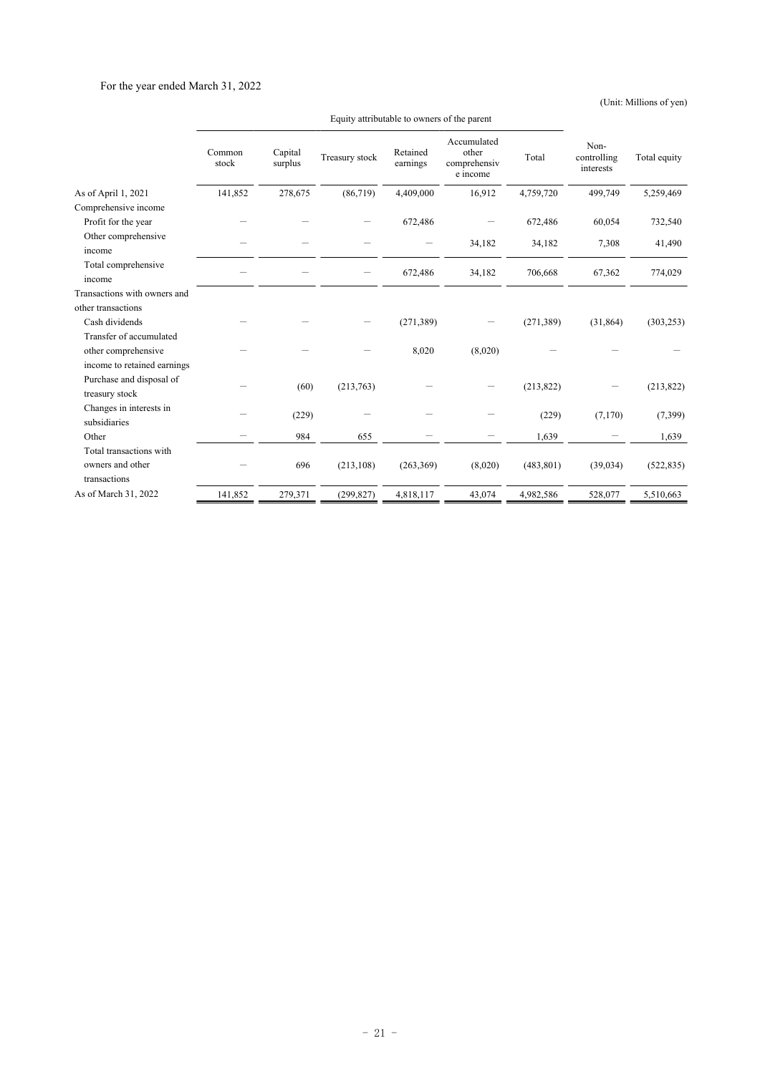# For the year ended March 31, 2022

(Unit: Millions of yen)

|                                            | Common<br>stock | Capital<br>surplus | Treasury stock | Retained<br>earnings | Accumulated<br>other<br>comprehensiv<br>e income | Total      | Non-<br>controlling<br>interests | Total equity |
|--------------------------------------------|-----------------|--------------------|----------------|----------------------|--------------------------------------------------|------------|----------------------------------|--------------|
| As of April 1, 2021                        | 141,852         | 278,675            | (86,719)       | 4,409,000            | 16,912                                           | 4,759,720  | 499,749                          | 5,259,469    |
| Comprehensive income                       |                 |                    |                |                      |                                                  |            |                                  |              |
| Profit for the year                        |                 |                    |                | 672,486              |                                                  | 672,486    | 60,054                           | 732,540      |
| Other comprehensive<br>income              |                 |                    |                |                      | 34,182                                           | 34,182     | 7,308                            | 41,490       |
| Total comprehensive<br>income              |                 |                    |                | 672,486              | 34,182                                           | 706,668    | 67,362                           | 774,029      |
| Transactions with owners and               |                 |                    |                |                      |                                                  |            |                                  |              |
| other transactions                         |                 |                    |                |                      |                                                  |            |                                  |              |
| Cash dividends                             |                 |                    |                | (271, 389)           |                                                  | (271, 389) | (31, 864)                        | (303, 253)   |
| Transfer of accumulated                    |                 |                    |                |                      |                                                  |            |                                  |              |
| other comprehensive                        |                 |                    |                | 8,020                | (8,020)                                          |            |                                  |              |
| income to retained earnings                |                 |                    |                |                      |                                                  |            |                                  |              |
| Purchase and disposal of<br>treasury stock |                 | (60)               | (213,763)      |                      |                                                  | (213, 822) |                                  | (213, 822)   |
| Changes in interests in<br>subsidiaries    |                 | (229)              |                |                      |                                                  | (229)      | (7,170)                          | (7,399)      |
| Other                                      |                 | 984                | 655            |                      |                                                  | 1,639      |                                  | 1,639        |
| Total transactions with                    |                 |                    |                |                      |                                                  |            |                                  |              |
| owners and other                           |                 | 696                | (213, 108)     | (263, 369)           | (8,020)                                          | (483, 801) | (39, 034)                        | (522, 835)   |
| transactions                               |                 |                    |                |                      |                                                  |            |                                  |              |
| As of March 31, 2022                       | 141,852         | 279,371            | (299, 827)     | 4,818,117            | 43,074                                           | 4,982,586  | 528,077                          | 5,510,663    |

Equity attributable to owners of the parent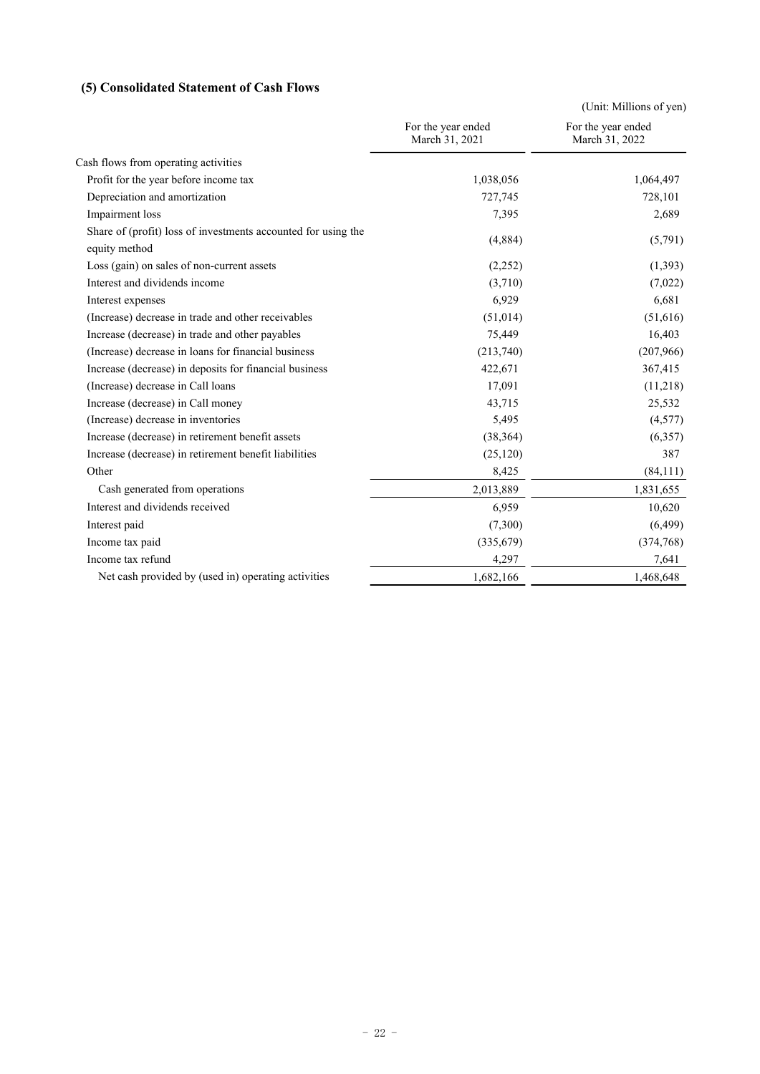# **(5) Consolidated Statement of Cash Flows**

|                                                                                |                                      | (Unit: Millions of yen)              |
|--------------------------------------------------------------------------------|--------------------------------------|--------------------------------------|
|                                                                                | For the year ended<br>March 31, 2021 | For the year ended<br>March 31, 2022 |
| Cash flows from operating activities                                           |                                      |                                      |
| Profit for the year before income tax                                          | 1,038,056                            | 1,064,497                            |
| Depreciation and amortization                                                  | 727,745                              | 728,101                              |
| Impairment loss                                                                | 7,395                                | 2,689                                |
| Share of (profit) loss of investments accounted for using the<br>equity method | (4,884)                              | (5,791)                              |
| Loss (gain) on sales of non-current assets                                     | (2,252)                              | (1,393)                              |
| Interest and dividends income                                                  | (3,710)                              | (7,022)                              |
| Interest expenses                                                              | 6,929                                | 6,681                                |
| (Increase) decrease in trade and other receivables                             | (51, 014)                            | (51,616)                             |
| Increase (decrease) in trade and other payables                                | 75,449                               | 16,403                               |
| (Increase) decrease in loans for financial business                            | (213,740)                            | (207,966)                            |
| Increase (decrease) in deposits for financial business                         | 422,671                              | 367,415                              |
| (Increase) decrease in Call loans                                              | 17,091                               | (11,218)                             |
| Increase (decrease) in Call money                                              | 43,715                               | 25,532                               |
| (Increase) decrease in inventories                                             | 5,495                                | (4,577)                              |
| Increase (decrease) in retirement benefit assets                               | (38, 364)                            | (6,357)                              |
| Increase (decrease) in retirement benefit liabilities                          | (25, 120)                            | 387                                  |
| Other                                                                          | 8,425                                | (84, 111)                            |
| Cash generated from operations                                                 | 2,013,889                            | 1,831,655                            |
| Interest and dividends received                                                | 6,959                                | 10,620                               |
| Interest paid                                                                  | (7,300)                              | (6, 499)                             |
| Income tax paid                                                                | (335, 679)                           | (374, 768)                           |
| Income tax refund                                                              | 4,297                                | 7,641                                |
| Net cash provided by (used in) operating activities                            | 1,682,166                            | 1,468,648                            |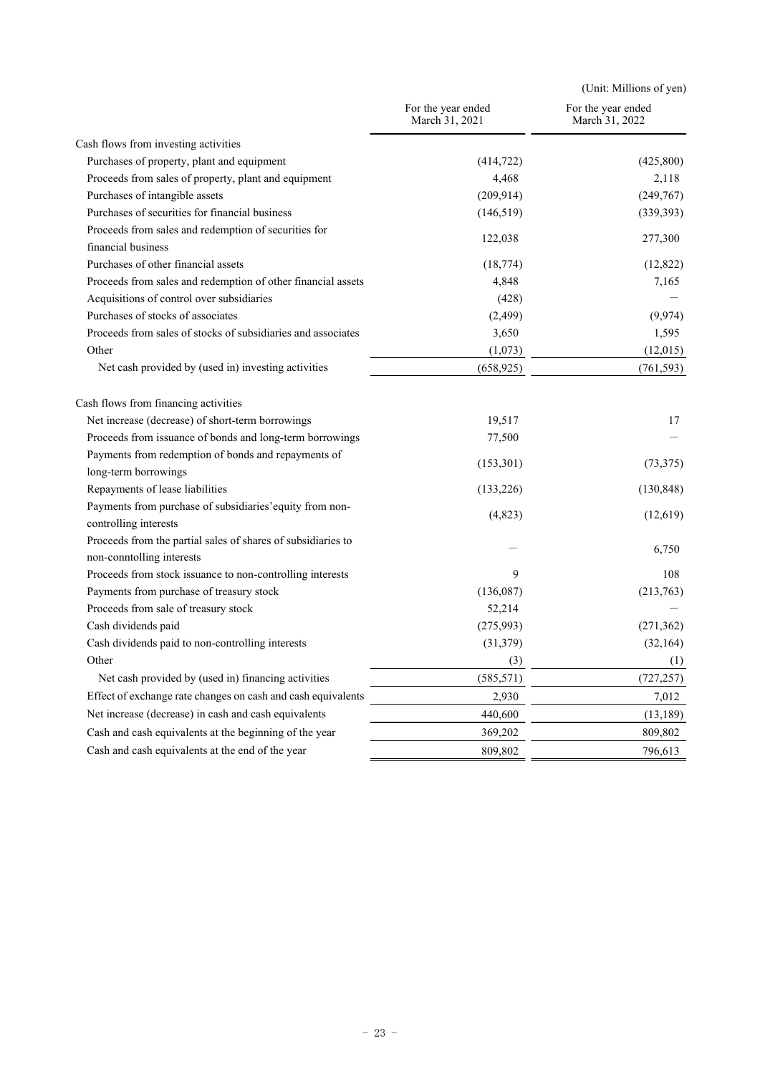|                                                                                                       |                                      | (Unit: Millions of yen)              |
|-------------------------------------------------------------------------------------------------------|--------------------------------------|--------------------------------------|
|                                                                                                       | For the year ended<br>March 31, 2021 | For the year ended<br>March 31, 2022 |
| Cash flows from investing activities                                                                  |                                      |                                      |
| Purchases of property, plant and equipment                                                            | (414, 722)                           | (425, 800)                           |
| Proceeds from sales of property, plant and equipment                                                  | 4,468                                | 2,118                                |
| Purchases of intangible assets                                                                        | (209, 914)                           | (249,767)                            |
| Purchases of securities for financial business                                                        | (146, 519)                           | (339, 393)                           |
| Proceeds from sales and redemption of securities for                                                  |                                      |                                      |
| financial business                                                                                    | 122,038                              | 277,300                              |
| Purchases of other financial assets                                                                   | (18, 774)                            | (12, 822)                            |
| Proceeds from sales and redemption of other financial assets                                          | 4,848                                | 7,165                                |
| Acquisitions of control over subsidiaries                                                             | (428)                                |                                      |
| Purchases of stocks of associates                                                                     | (2, 499)                             | (9, 974)                             |
| Proceeds from sales of stocks of subsidiaries and associates                                          | 3,650                                | 1,595                                |
| Other                                                                                                 | (1,073)                              | (12,015)                             |
| Net cash provided by (used in) investing activities                                                   | (658, 925)                           | (761, 593)                           |
| Cash flows from financing activities                                                                  |                                      |                                      |
| Net increase (decrease) of short-term borrowings                                                      | 19,517                               | 17                                   |
| Proceeds from issuance of bonds and long-term borrowings                                              | 77,500                               |                                      |
| Payments from redemption of bonds and repayments of                                                   |                                      |                                      |
| long-term borrowings                                                                                  | (153,301)                            | (73, 375)                            |
| Repayments of lease liabilities                                                                       | (133, 226)                           | (130, 848)                           |
| Payments from purchase of subsidiaries' equity from non-                                              | (4, 823)                             | (12,619)                             |
| controlling interests                                                                                 |                                      |                                      |
| Proceeds from the partial sales of shares of subsidiaries to                                          |                                      | 6,750                                |
| non-conntolling interests                                                                             | 9                                    | 108                                  |
| Proceeds from stock issuance to non-controlling interests<br>Payments from purchase of treasury stock | (136,087)                            |                                      |
| Proceeds from sale of treasury stock                                                                  | 52,214                               | (213,763)                            |
| Cash dividends paid                                                                                   | (275,993)                            | (271, 362)                           |
| Cash dividends paid to non-controlling interests                                                      | (31, 379)                            | (32, 164)                            |
| Other                                                                                                 |                                      |                                      |
| Net cash provided by (used in) financing activities                                                   | (3)                                  | (1)                                  |
|                                                                                                       | (585, 571)                           | (727, 257)                           |
| Effect of exchange rate changes on cash and cash equivalents                                          | 2,930                                | 7,012                                |
| Net increase (decrease) in cash and cash equivalents                                                  | 440,600                              | (13, 189)                            |
| Cash and cash equivalents at the beginning of the year                                                | 369,202                              | 809,802                              |
| Cash and cash equivalents at the end of the year                                                      | 809,802                              | 796,613                              |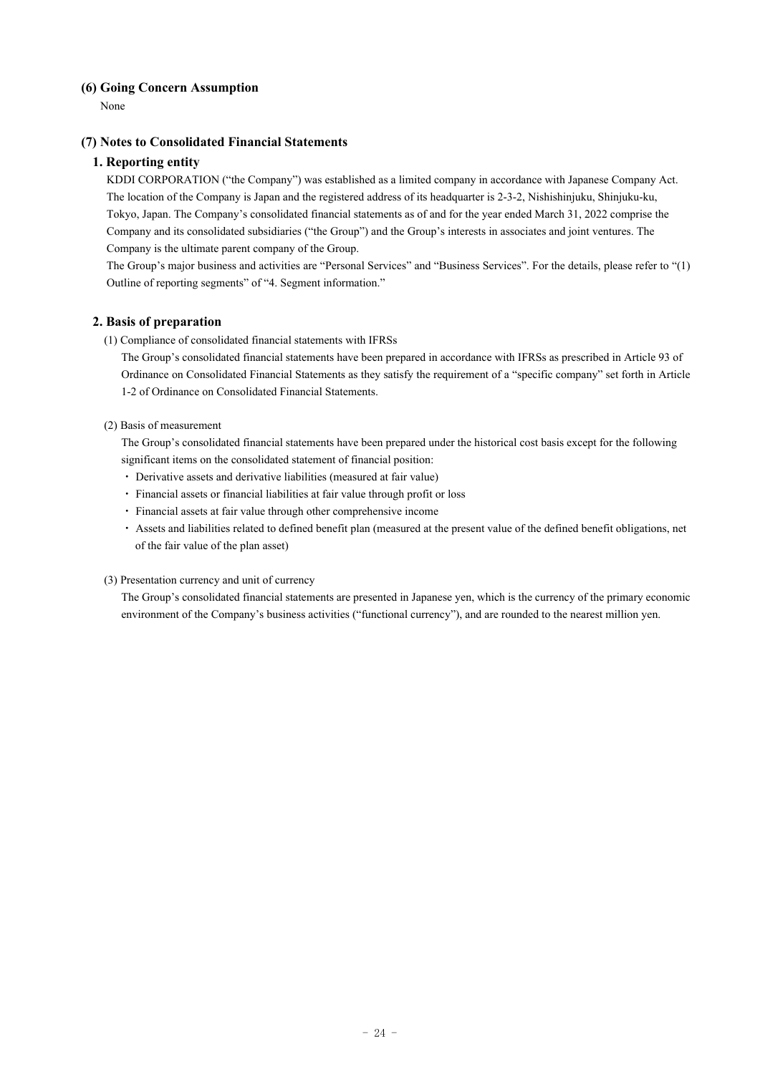# **(6) Going Concern Assumption**

None

# **(7) Notes to Consolidated Financial Statements**

# **1. Reporting entity**

KDDI CORPORATION ("the Company") was established as a limited company in accordance with Japanese Company Act. The location of the Company is Japan and the registered address of its headquarter is 2-3-2, Nishishinjuku, Shinjuku-ku, Tokyo, Japan. The Company's consolidated financial statements as of and for the year ended March 31, 2022 comprise the Company and its consolidated subsidiaries ("the Group") and the Group's interests in associates and joint ventures. The Company is the ultimate parent company of the Group.

The Group's major business and activities are "Personal Services" and "Business Services". For the details, please refer to "(1) Outline of reporting segments" of "4. Segment information."

# **2. Basis of preparation**

(1) Compliance of consolidated financial statements with IFRSs

The Group's consolidated financial statements have been prepared in accordance with IFRSs as prescribed in Article 93 of Ordinance on Consolidated Financial Statements as they satisfy the requirement of a "specific company" set forth in Article 1-2 of Ordinance on Consolidated Financial Statements.

## (2) Basis of measurement

The Group's consolidated financial statements have been prepared under the historical cost basis except for the following significant items on the consolidated statement of financial position:

- ・ Derivative assets and derivative liabilities (measured at fair value)
- ・ Financial assets or financial liabilities at fair value through profit or loss
- ・ Financial assets at fair value through other comprehensive income
- ・ Assets and liabilities related to defined benefit plan (measured at the present value of the defined benefit obligations, net of the fair value of the plan asset)

# (3) Presentation currency and unit of currency

The Group's consolidated financial statements are presented in Japanese yen, which is the currency of the primary economic environment of the Company's business activities ("functional currency"), and are rounded to the nearest million yen.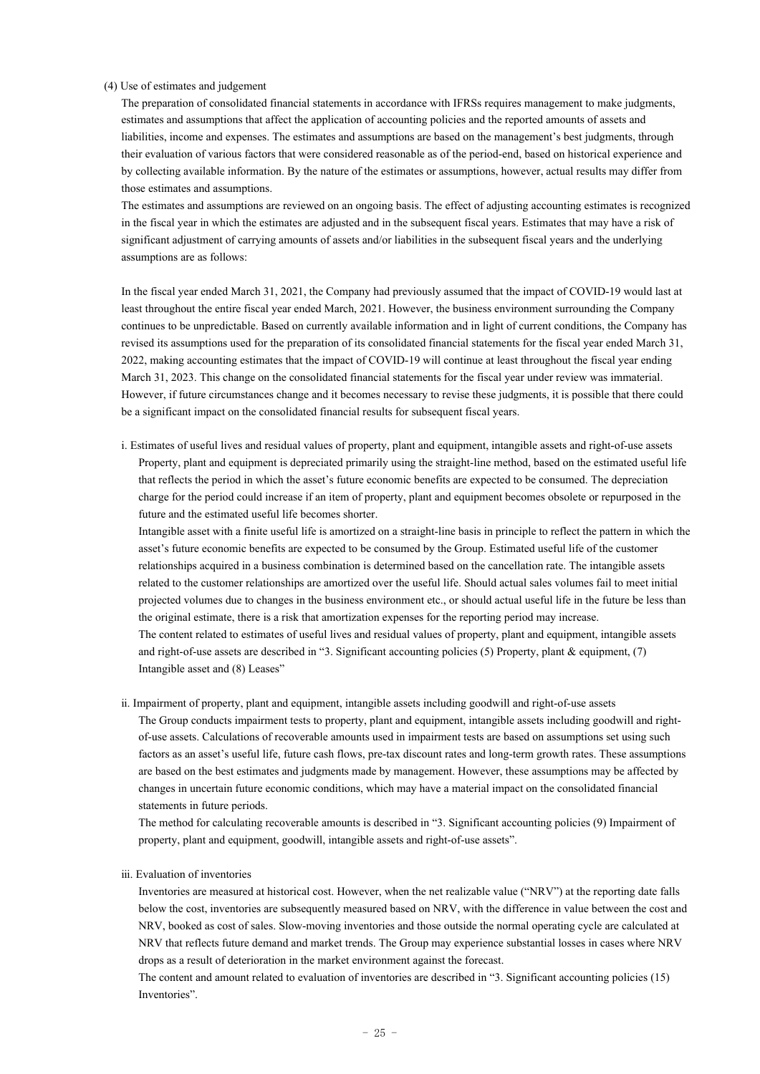#### (4) Use of estimates and judgement

The preparation of consolidated financial statements in accordance with IFRSs requires management to make judgments, estimates and assumptions that affect the application of accounting policies and the reported amounts of assets and liabilities, income and expenses. The estimates and assumptions are based on the management's best judgments, through their evaluation of various factors that were considered reasonable as of the period-end, based on historical experience and by collecting available information. By the nature of the estimates or assumptions, however, actual results may differ from those estimates and assumptions.

The estimates and assumptions are reviewed on an ongoing basis. The effect of adjusting accounting estimates is recognized in the fiscal year in which the estimates are adjusted and in the subsequent fiscal years. Estimates that may have a risk of significant adjustment of carrying amounts of assets and/or liabilities in the subsequent fiscal years and the underlying assumptions are as follows:

In the fiscal year ended March 31, 2021, the Company had previously assumed that the impact of COVID-19 would last at least throughout the entire fiscal year ended March, 2021. However, the business environment surrounding the Company continues to be unpredictable. Based on currently available information and in light of current conditions, the Company has revised its assumptions used for the preparation of its consolidated financial statements for the fiscal year ended March 31, 2022, making accounting estimates that the impact of COVID-19 will continue at least throughout the fiscal year ending March 31, 2023. This change on the consolidated financial statements for the fiscal year under review was immaterial. However, if future circumstances change and it becomes necessary to revise these judgments, it is possible that there could be a significant impact on the consolidated financial results for subsequent fiscal years.

ⅰ. Estimates of useful lives and residual values of property, plant and equipment, intangible assets and right-of-use assets Property, plant and equipment is depreciated primarily using the straight-line method, based on the estimated useful life that reflects the period in which the asset's future economic benefits are expected to be consumed. The depreciation charge for the period could increase if an item of property, plant and equipment becomes obsolete or repurposed in the future and the estimated useful life becomes shorter.

Intangible asset with a finite useful life is amortized on a straight-line basis in principle to reflect the pattern in which the asset's future economic benefits are expected to be consumed by the Group. Estimated useful life of the customer relationships acquired in a business combination is determined based on the cancellation rate. The intangible assets related to the customer relationships are amortized over the useful life. Should actual sales volumes fail to meet initial projected volumes due to changes in the business environment etc., or should actual useful life in the future be less than the original estimate, there is a risk that amortization expenses for the reporting period may increase. The content related to estimates of useful lives and residual values of property, plant and equipment, intangible assets and right-of-use assets are described in "3. Significant accounting policies (5) Property, plant & equipment, (7) Intangible asset and (8) Leases"

ⅱ. Impairment of property, plant and equipment, intangible assets including goodwill and right-of-use assets The Group conducts impairment tests to property, plant and equipment, intangible assets including goodwill and rightof-use assets. Calculations of recoverable amounts used in impairment tests are based on assumptions set using such factors as an asset's useful life, future cash flows, pre-tax discount rates and long-term growth rates. These assumptions are based on the best estimates and judgments made by management. However, these assumptions may be affected by changes in uncertain future economic conditions, which may have a material impact on the consolidated financial statements in future periods.

The method for calculating recoverable amounts is described in "3. Significant accounting policies (9) Impairment of property, plant and equipment, goodwill, intangible assets and right-of-use assets".

### ⅲ. Evaluation of inventories

Inventories are measured at historical cost. However, when the net realizable value ("NRV") at the reporting date falls below the cost, inventories are subsequently measured based on NRV, with the difference in value between the cost and NRV, booked as cost of sales. Slow-moving inventories and those outside the normal operating cycle are calculated at NRV that reflects future demand and market trends. The Group may experience substantial losses in cases where NRV drops as a result of deterioration in the market environment against the forecast.

The content and amount related to evaluation of inventories are described in "3. Significant accounting policies (15) Inventories".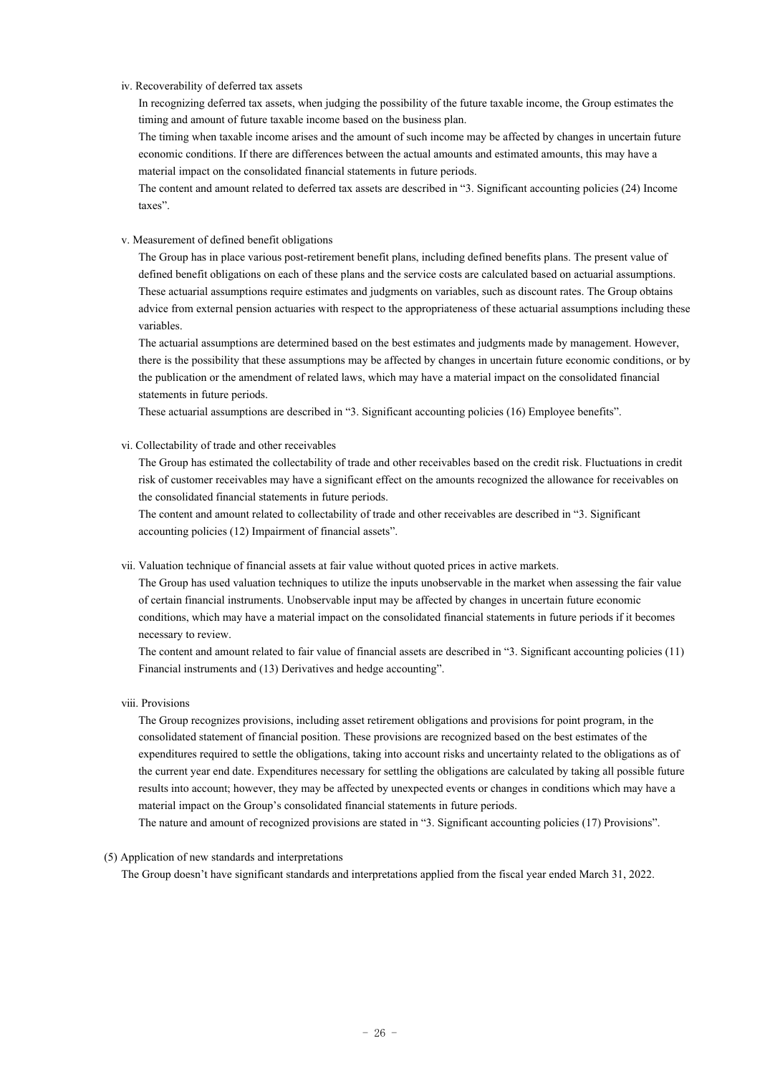#### ⅳ. Recoverability of deferred tax assets

In recognizing deferred tax assets, when judging the possibility of the future taxable income, the Group estimates the timing and amount of future taxable income based on the business plan.

The timing when taxable income arises and the amount of such income may be affected by changes in uncertain future economic conditions. If there are differences between the actual amounts and estimated amounts, this may have a material impact on the consolidated financial statements in future periods.

The content and amount related to deferred tax assets are described in "3. Significant accounting policies (24) Income taxes".

#### ⅴ. Measurement of defined benefit obligations

The Group has in place various post-retirement benefit plans, including defined benefits plans. The present value of defined benefit obligations on each of these plans and the service costs are calculated based on actuarial assumptions. These actuarial assumptions require estimates and judgments on variables, such as discount rates. The Group obtains advice from external pension actuaries with respect to the appropriateness of these actuarial assumptions including these variables.

The actuarial assumptions are determined based on the best estimates and judgments made by management. However, there is the possibility that these assumptions may be affected by changes in uncertain future economic conditions, or by the publication or the amendment of related laws, which may have a material impact on the consolidated financial statements in future periods.

These actuarial assumptions are described in "3. Significant accounting policies (16) Employee benefits".

#### ⅵ. Collectability of trade and other receivables

The Group has estimated the collectability of trade and other receivables based on the credit risk. Fluctuations in credit risk of customer receivables may have a significant effect on the amounts recognized the allowance for receivables on the consolidated financial statements in future periods.

The content and amount related to collectability of trade and other receivables are described in "3. Significant accounting policies (12) Impairment of financial assets".

#### ⅶ. Valuation technique of financial assets at fair value without quoted prices in active markets.

The Group has used valuation techniques to utilize the inputs unobservable in the market when assessing the fair value of certain financial instruments. Unobservable input may be affected by changes in uncertain future economic conditions, which may have a material impact on the consolidated financial statements in future periods if it becomes necessary to review.

The content and amount related to fair value of financial assets are described in "3. Significant accounting policies (11) Financial instruments and (13) Derivatives and hedge accounting".

## ⅷ. Provisions

The Group recognizes provisions, including asset retirement obligations and provisions for point program, in the consolidated statement of financial position. These provisions are recognized based on the best estimates of the expenditures required to settle the obligations, taking into account risks and uncertainty related to the obligations as of the current year end date. Expenditures necessary for settling the obligations are calculated by taking all possible future results into account; however, they may be affected by unexpected events or changes in conditions which may have a material impact on the Group's consolidated financial statements in future periods.

The nature and amount of recognized provisions are stated in "3. Significant accounting policies (17) Provisions".

### (5) Application of new standards and interpretations

The Group doesn't have significant standards and interpretations applied from the fiscal year ended March 31, 2022.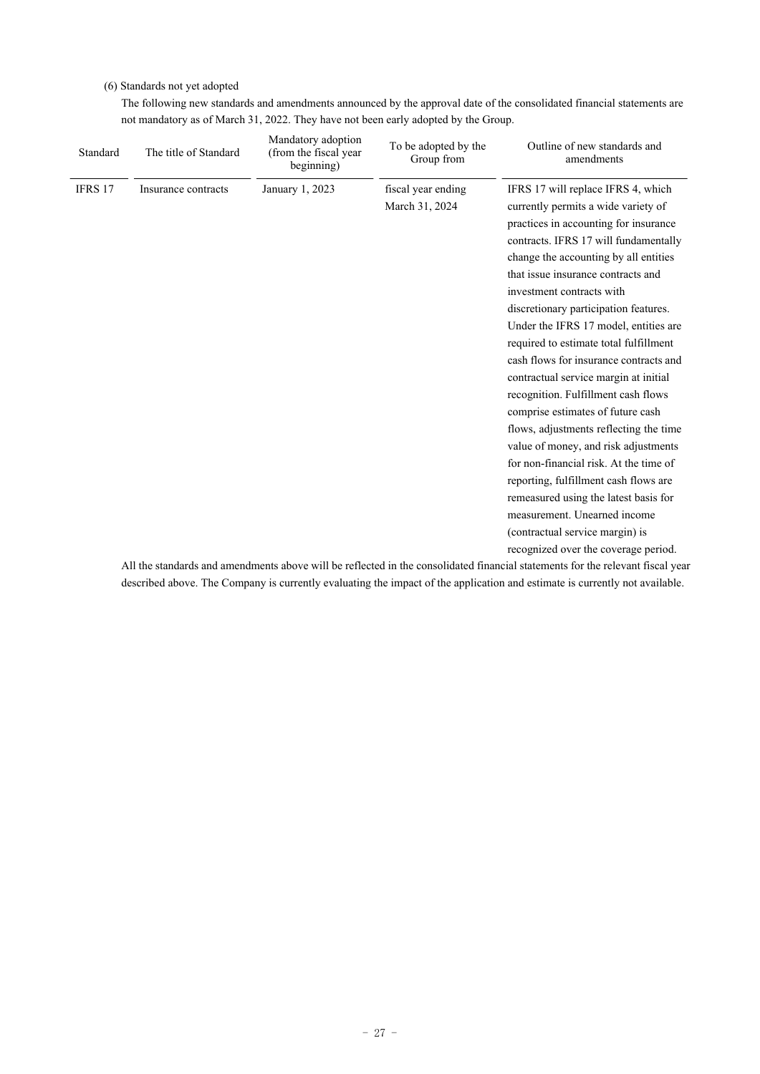# (6) Standards not yet adopted

The following new standards and amendments announced by the approval date of the consolidated financial statements are not mandatory as of March 31, 2022. They have not been early adopted by the Group.

| Standard | The title of Standard | Mandatory adoption<br>(from the fiscal year<br>beginning) | To be adopted by the<br>Group from | Outline of new standards and<br>amendments                                                                                     |
|----------|-----------------------|-----------------------------------------------------------|------------------------------------|--------------------------------------------------------------------------------------------------------------------------------|
| IFRS 17  | Insurance contracts   | January 1, 2023                                           | fiscal year ending                 | IFRS 17 will replace IFRS 4, which                                                                                             |
|          |                       |                                                           | March 31, 2024                     | currently permits a wide variety of                                                                                            |
|          |                       |                                                           |                                    | practices in accounting for insurance                                                                                          |
|          |                       |                                                           |                                    | contracts. IFRS 17 will fundamentally                                                                                          |
|          |                       |                                                           |                                    | change the accounting by all entities                                                                                          |
|          |                       |                                                           |                                    | that issue insurance contracts and                                                                                             |
|          |                       |                                                           |                                    | investment contracts with                                                                                                      |
|          |                       |                                                           |                                    | discretionary participation features.                                                                                          |
|          |                       |                                                           |                                    | Under the IFRS 17 model, entities are                                                                                          |
|          |                       |                                                           |                                    | required to estimate total fulfillment                                                                                         |
|          |                       |                                                           |                                    | cash flows for insurance contracts and                                                                                         |
|          |                       |                                                           |                                    | contractual service margin at initial                                                                                          |
|          |                       |                                                           |                                    | recognition. Fulfillment cash flows                                                                                            |
|          |                       |                                                           |                                    | comprise estimates of future cash                                                                                              |
|          |                       |                                                           |                                    | flows, adjustments reflecting the time                                                                                         |
|          |                       |                                                           |                                    | value of money, and risk adjustments                                                                                           |
|          |                       |                                                           |                                    | for non-financial risk. At the time of                                                                                         |
|          |                       |                                                           |                                    | reporting, fulfillment cash flows are                                                                                          |
|          |                       |                                                           |                                    | remeasured using the latest basis for                                                                                          |
|          |                       |                                                           |                                    | measurement. Unearned income                                                                                                   |
|          |                       |                                                           |                                    | (contractual service margin) is                                                                                                |
|          |                       |                                                           |                                    | recognized over the coverage period.                                                                                           |
|          |                       |                                                           |                                    | All the standards and amendments above will be reflected in the consolidated financial statements for the relevant fiscal vear |

All the standards and amendments above will be reflected in the consolidated financial statements for the relevant fiscal year described above. The Company is currently evaluating the impact of the application and estimate is currently not available.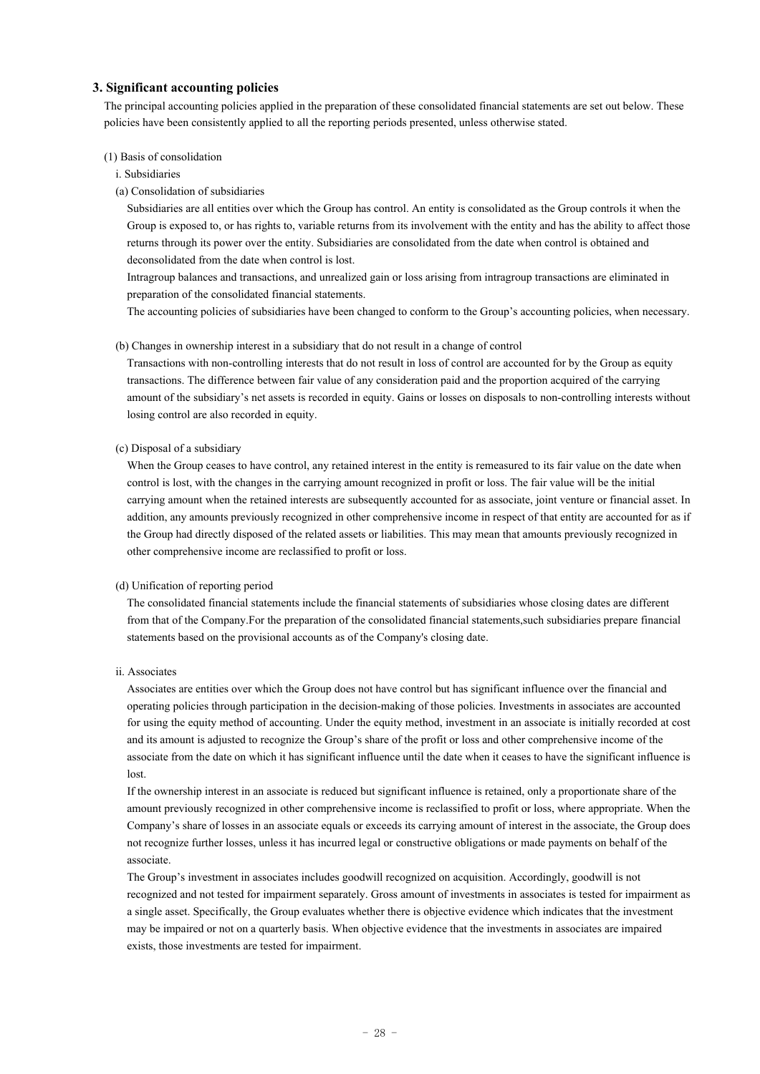# **3. Significant accounting policies**

The principal accounting policies applied in the preparation of these consolidated financial statements are set out below. These policies have been consistently applied to all the reporting periods presented, unless otherwise stated.

#### (1) Basis of consolidation

- i. Subsidiaries
- (a) Consolidation of subsidiaries

Subsidiaries are all entities over which the Group has control. An entity is consolidated as the Group controls it when the Group is exposed to, or has rights to, variable returns from its involvement with the entity and has the ability to affect those returns through its power over the entity. Subsidiaries are consolidated from the date when control is obtained and deconsolidated from the date when control is lost.

Intragroup balances and transactions, and unrealized gain or loss arising from intragroup transactions are eliminated in preparation of the consolidated financial statements.

The accounting policies of subsidiaries have been changed to conform to the Group's accounting policies, when necessary.

#### (b) Changes in ownership interest in a subsidiary that do not result in a change of control

Transactions with non-controlling interests that do not result in loss of control are accounted for by the Group as equity transactions. The difference between fair value of any consideration paid and the proportion acquired of the carrying amount of the subsidiary's net assets is recorded in equity. Gains or losses on disposals to non-controlling interests without losing control are also recorded in equity.

(c) Disposal of a subsidiary

When the Group ceases to have control, any retained interest in the entity is remeasured to its fair value on the date when control is lost, with the changes in the carrying amount recognized in profit or loss. The fair value will be the initial carrying amount when the retained interests are subsequently accounted for as associate, joint venture or financial asset. In addition, any amounts previously recognized in other comprehensive income in respect of that entity are accounted for as if the Group had directly disposed of the related assets or liabilities. This may mean that amounts previously recognized in other comprehensive income are reclassified to profit or loss.

#### (d) Unification of reporting period

The consolidated financial statements include the financial statements of subsidiaries whose closing dates are different from that of the Company.For the preparation of the consolidated financial statements,such subsidiaries prepare financial statements based on the provisional accounts as of the Company's closing date.

ii. Associates

Associates are entities over which the Group does not have control but has significant influence over the financial and operating policies through participation in the decision-making of those policies. Investments in associates are accounted for using the equity method of accounting. Under the equity method, investment in an associate is initially recorded at cost and its amount is adjusted to recognize the Group's share of the profit or loss and other comprehensive income of the associate from the date on which it has significant influence until the date when it ceases to have the significant influence is lost.

If the ownership interest in an associate is reduced but significant influence is retained, only a proportionate share of the amount previously recognized in other comprehensive income is reclassified to profit or loss, where appropriate. When the Company's share of losses in an associate equals or exceeds its carrying amount of interest in the associate, the Group does not recognize further losses, unless it has incurred legal or constructive obligations or made payments on behalf of the associate.

The Group's investment in associates includes goodwill recognized on acquisition. Accordingly, goodwill is not recognized and not tested for impairment separately. Gross amount of investments in associates is tested for impairment as a single asset. Specifically, the Group evaluates whether there is objective evidence which indicates that the investment may be impaired or not on a quarterly basis. When objective evidence that the investments in associates are impaired exists, those investments are tested for impairment.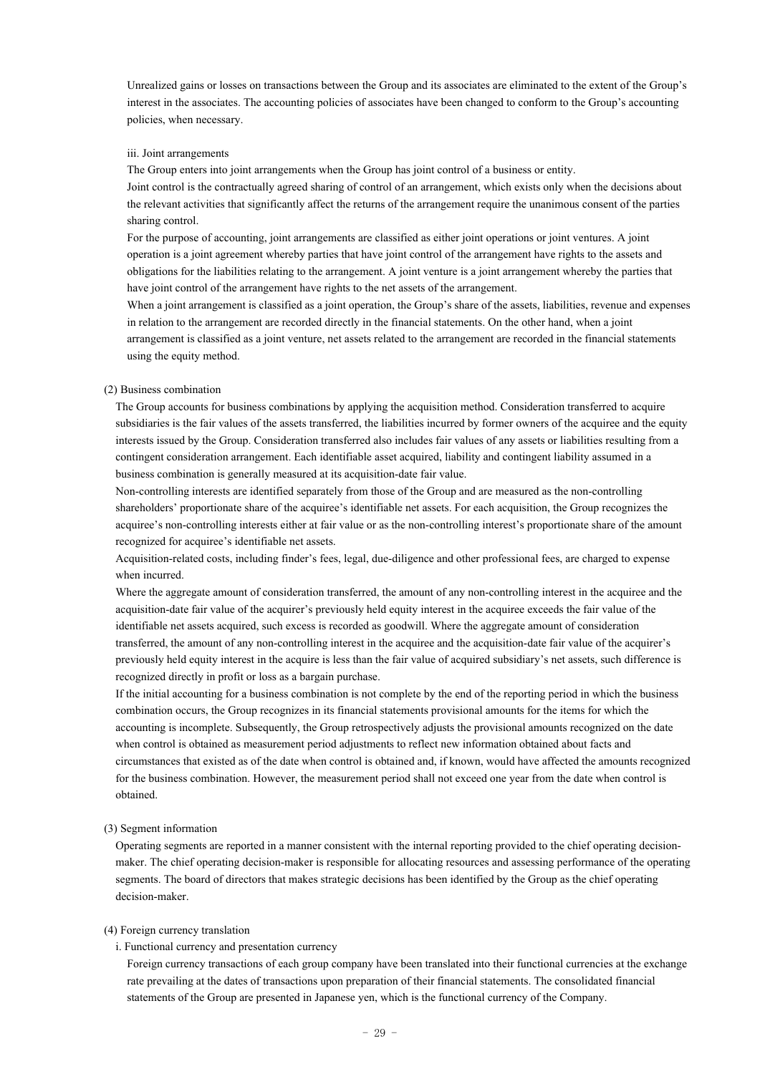Unrealized gains or losses on transactions between the Group and its associates are eliminated to the extent of the Group's interest in the associates. The accounting policies of associates have been changed to conform to the Group's accounting policies, when necessary.

#### iii. Joint arrangements

The Group enters into joint arrangements when the Group has joint control of a business or entity. Joint control is the contractually agreed sharing of control of an arrangement, which exists only when the decisions about the relevant activities that significantly affect the returns of the arrangement require the unanimous consent of the parties sharing control.

For the purpose of accounting, joint arrangements are classified as either joint operations or joint ventures. A joint operation is a joint agreement whereby parties that have joint control of the arrangement have rights to the assets and obligations for the liabilities relating to the arrangement. A joint venture is a joint arrangement whereby the parties that have joint control of the arrangement have rights to the net assets of the arrangement.

When a joint arrangement is classified as a joint operation, the Group's share of the assets, liabilities, revenue and expenses in relation to the arrangement are recorded directly in the financial statements. On the other hand, when a joint arrangement is classified as a joint venture, net assets related to the arrangement are recorded in the financial statements using the equity method.

#### (2) Business combination

The Group accounts for business combinations by applying the acquisition method. Consideration transferred to acquire subsidiaries is the fair values of the assets transferred, the liabilities incurred by former owners of the acquiree and the equity interests issued by the Group. Consideration transferred also includes fair values of any assets or liabilities resulting from a contingent consideration arrangement. Each identifiable asset acquired, liability and contingent liability assumed in a business combination is generally measured at its acquisition-date fair value.

Non-controlling interests are identified separately from those of the Group and are measured as the non-controlling shareholders' proportionate share of the acquiree's identifiable net assets. For each acquisition, the Group recognizes the acquiree's non-controlling interests either at fair value or as the non-controlling interest's proportionate share of the amount recognized for acquiree's identifiable net assets.

Acquisition-related costs, including finder's fees, legal, due-diligence and other professional fees, are charged to expense when incurred.

Where the aggregate amount of consideration transferred, the amount of any non-controlling interest in the acquiree and the acquisition-date fair value of the acquirer's previously held equity interest in the acquiree exceeds the fair value of the identifiable net assets acquired, such excess is recorded as goodwill. Where the aggregate amount of consideration transferred, the amount of any non-controlling interest in the acquiree and the acquisition-date fair value of the acquirer's previously held equity interest in the acquire is less than the fair value of acquired subsidiary's net assets, such difference is recognized directly in profit or loss as a bargain purchase.

If the initial accounting for a business combination is not complete by the end of the reporting period in which the business combination occurs, the Group recognizes in its financial statements provisional amounts for the items for which the accounting is incomplete. Subsequently, the Group retrospectively adjusts the provisional amounts recognized on the date when control is obtained as measurement period adjustments to reflect new information obtained about facts and circumstances that existed as of the date when control is obtained and, if known, would have affected the amounts recognized for the business combination. However, the measurement period shall not exceed one year from the date when control is obtained.

### (3) Segment information

Operating segments are reported in a manner consistent with the internal reporting provided to the chief operating decisionmaker. The chief operating decision-maker is responsible for allocating resources and assessing performance of the operating segments. The board of directors that makes strategic decisions has been identified by the Group as the chief operating decision-maker.

#### (4) Foreign currency translation

### i. Functional currency and presentation currency

Foreign currency transactions of each group company have been translated into their functional currencies at the exchange rate prevailing at the dates of transactions upon preparation of their financial statements. The consolidated financial statements of the Group are presented in Japanese yen, which is the functional currency of the Company.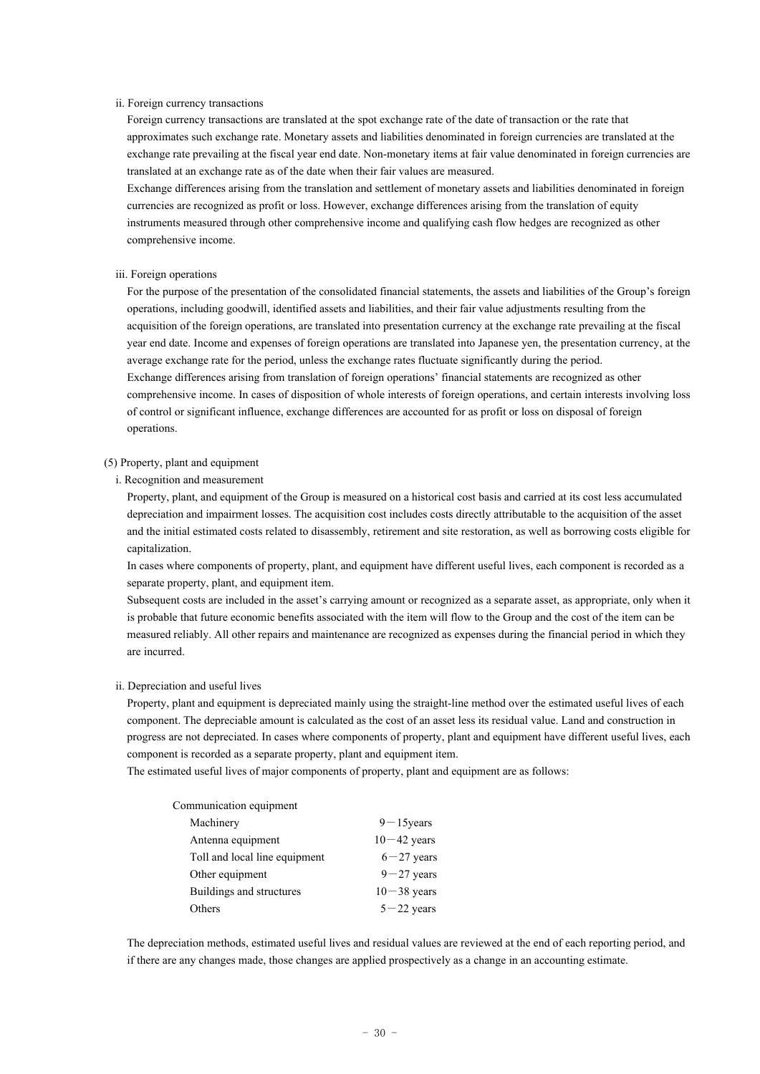### ii. Foreign currency transactions

Foreign currency transactions are translated at the spot exchange rate of the date of transaction or the rate that approximates such exchange rate. Monetary assets and liabilities denominated in foreign currencies are translated at the exchange rate prevailing at the fiscal year end date. Non-monetary items at fair value denominated in foreign currencies are translated at an exchange rate as of the date when their fair values are measured.

Exchange differences arising from the translation and settlement of monetary assets and liabilities denominated in foreign currencies are recognized as profit or loss. However, exchange differences arising from the translation of equity instruments measured through other comprehensive income and qualifying cash flow hedges are recognized as other comprehensive income.

#### iii. Foreign operations

For the purpose of the presentation of the consolidated financial statements, the assets and liabilities of the Group's foreign operations, including goodwill, identified assets and liabilities, and their fair value adjustments resulting from the acquisition of the foreign operations, are translated into presentation currency at the exchange rate prevailing at the fiscal year end date. Income and expenses of foreign operations are translated into Japanese yen, the presentation currency, at the average exchange rate for the period, unless the exchange rates fluctuate significantly during the period. Exchange differences arising from translation of foreign operations' financial statements are recognized as other comprehensive income. In cases of disposition of whole interests of foreign operations, and certain interests involving loss of control or significant influence, exchange differences are accounted for as profit or loss on disposal of foreign operations.

#### (5) Property, plant and equipment

i. Recognition and measurement

Property, plant, and equipment of the Group is measured on a historical cost basis and carried at its cost less accumulated depreciation and impairment losses. The acquisition cost includes costs directly attributable to the acquisition of the asset and the initial estimated costs related to disassembly, retirement and site restoration, as well as borrowing costs eligible for capitalization.

In cases where components of property, plant, and equipment have different useful lives, each component is recorded as a separate property, plant, and equipment item.

Subsequent costs are included in the asset's carrying amount or recognized as a separate asset, as appropriate, only when it is probable that future economic benefits associated with the item will flow to the Group and the cost of the item can be measured reliably. All other repairs and maintenance are recognized as expenses during the financial period in which they are incurred.

#### ii. Depreciation and useful lives

Property, plant and equipment is depreciated mainly using the straight-line method over the estimated useful lives of each component. The depreciable amount is calculated as the cost of an asset less its residual value. Land and construction in progress are not depreciated. In cases where components of property, plant and equipment have different useful lives, each component is recorded as a separate property, plant and equipment item.

The estimated useful lives of major components of property, plant and equipment are as follows:

| Communication equipment       |                 |
|-------------------------------|-----------------|
| Machinery                     | $9 - 15$ years  |
| Antenna equipment             | $10 - 42$ years |
| Toll and local line equipment | $6 - 27$ years  |
| Other equipment               | $9 - 27$ years  |
| Buildings and structures      | $10 - 38$ years |
| Others                        | $5 - 22$ years  |

The depreciation methods, estimated useful lives and residual values are reviewed at the end of each reporting period, and if there are any changes made, those changes are applied prospectively as a change in an accounting estimate.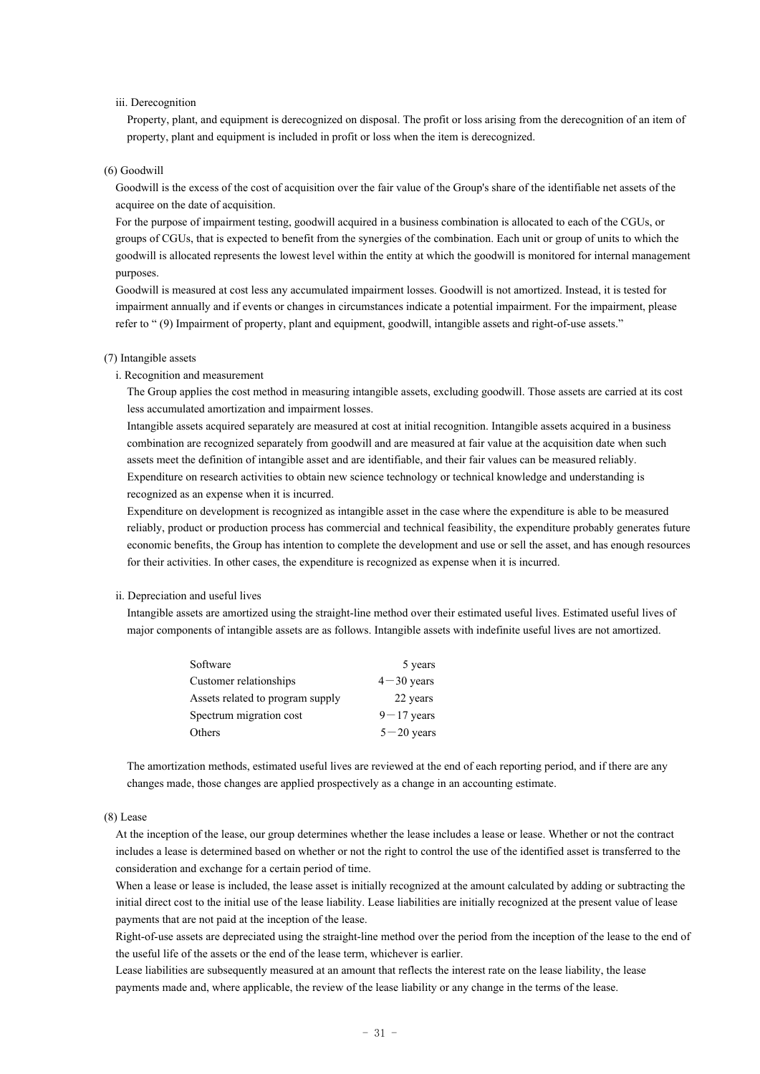#### iii. Derecognition

Property, plant, and equipment is derecognized on disposal. The profit or loss arising from the derecognition of an item of property, plant and equipment is included in profit or loss when the item is derecognized.

#### (6) Goodwill

Goodwill is the excess of the cost of acquisition over the fair value of the Group's share of the identifiable net assets of the acquiree on the date of acquisition.

For the purpose of impairment testing, goodwill acquired in a business combination is allocated to each of the CGUs, or groups of CGUs, that is expected to benefit from the synergies of the combination. Each unit or group of units to which the goodwill is allocated represents the lowest level within the entity at which the goodwill is monitored for internal management purposes.

Goodwill is measured at cost less any accumulated impairment losses. Goodwill is not amortized. Instead, it is tested for impairment annually and if events or changes in circumstances indicate a potential impairment. For the impairment, please refer to " (9) Impairment of property, plant and equipment, goodwill, intangible assets and right-of-use assets."

#### (7) Intangible assets

i. Recognition and measurement

The Group applies the cost method in measuring intangible assets, excluding goodwill. Those assets are carried at its cost less accumulated amortization and impairment losses.

Intangible assets acquired separately are measured at cost at initial recognition. Intangible assets acquired in a business combination are recognized separately from goodwill and are measured at fair value at the acquisition date when such assets meet the definition of intangible asset and are identifiable, and their fair values can be measured reliably. Expenditure on research activities to obtain new science technology or technical knowledge and understanding is recognized as an expense when it is incurred.

Expenditure on development is recognized as intangible asset in the case where the expenditure is able to be measured reliably, product or production process has commercial and technical feasibility, the expenditure probably generates future economic benefits, the Group has intention to complete the development and use or sell the asset, and has enough resources for their activities. In other cases, the expenditure is recognized as expense when it is incurred.

### ii. Depreciation and useful lives

Intangible assets are amortized using the straight-line method over their estimated useful lives. Estimated useful lives of major components of intangible assets are as follows. Intangible assets with indefinite useful lives are not amortized.

| Software                         | 5 years        |
|----------------------------------|----------------|
| Customer relationships           | $4 - 30$ years |
| Assets related to program supply | 22 years       |
| Spectrum migration cost          | $9 - 17$ years |
| Others                           | $5 - 20$ years |

The amortization methods, estimated useful lives are reviewed at the end of each reporting period, and if there are any changes made, those changes are applied prospectively as a change in an accounting estimate.

## (8) Lease

At the inception of the lease, our group determines whether the lease includes a lease or lease. Whether or not the contract includes a lease is determined based on whether or not the right to control the use of the identified asset is transferred to the consideration and exchange for a certain period of time.

When a lease or lease is included, the lease asset is initially recognized at the amount calculated by adding or subtracting the initial direct cost to the initial use of the lease liability. Lease liabilities are initially recognized at the present value of lease payments that are not paid at the inception of the lease.

Right-of-use assets are depreciated using the straight-line method over the period from the inception of the lease to the end of the useful life of the assets or the end of the lease term, whichever is earlier.

Lease liabilities are subsequently measured at an amount that reflects the interest rate on the lease liability, the lease payments made and, where applicable, the review of the lease liability or any change in the terms of the lease.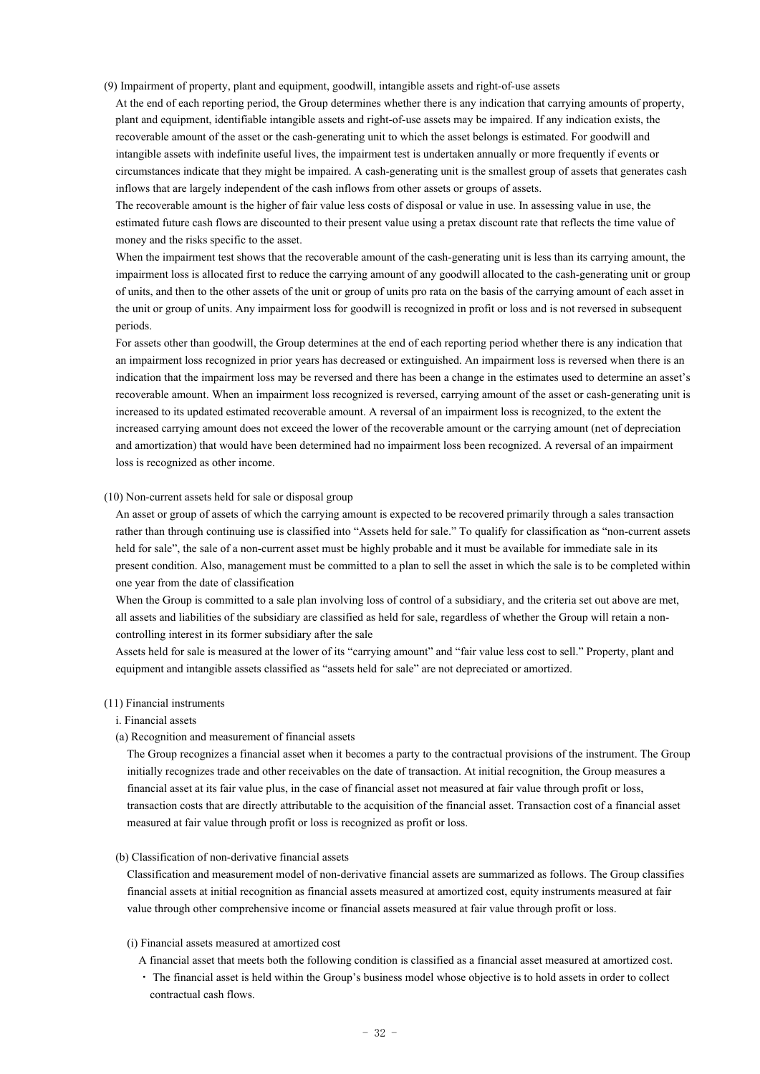(9) Impairment of property, plant and equipment, goodwill, intangible assets and right-of-use assets

At the end of each reporting period, the Group determines whether there is any indication that carrying amounts of property, plant and equipment, identifiable intangible assets and right-of-use assets may be impaired. If any indication exists, the recoverable amount of the asset or the cash-generating unit to which the asset belongs is estimated. For goodwill and intangible assets with indefinite useful lives, the impairment test is undertaken annually or more frequently if events or circumstances indicate that they might be impaired. A cash-generating unit is the smallest group of assets that generates cash inflows that are largely independent of the cash inflows from other assets or groups of assets.

The recoverable amount is the higher of fair value less costs of disposal or value in use. In assessing value in use, the estimated future cash flows are discounted to their present value using a pretax discount rate that reflects the time value of money and the risks specific to the asset.

When the impairment test shows that the recoverable amount of the cash-generating unit is less than its carrying amount, the impairment loss is allocated first to reduce the carrying amount of any goodwill allocated to the cash-generating unit or group of units, and then to the other assets of the unit or group of units pro rata on the basis of the carrying amount of each asset in the unit or group of units. Any impairment loss for goodwill is recognized in profit or loss and is not reversed in subsequent periods.

For assets other than goodwill, the Group determines at the end of each reporting period whether there is any indication that an impairment loss recognized in prior years has decreased or extinguished. An impairment loss is reversed when there is an indication that the impairment loss may be reversed and there has been a change in the estimates used to determine an asset's recoverable amount. When an impairment loss recognized is reversed, carrying amount of the asset or cash-generating unit is increased to its updated estimated recoverable amount. A reversal of an impairment loss is recognized, to the extent the increased carrying amount does not exceed the lower of the recoverable amount or the carrying amount (net of depreciation and amortization) that would have been determined had no impairment loss been recognized. A reversal of an impairment loss is recognized as other income.

### (10) Non-current assets held for sale or disposal group

An asset or group of assets of which the carrying amount is expected to be recovered primarily through a sales transaction rather than through continuing use is classified into "Assets held for sale." To qualify for classification as "non-current assets held for sale", the sale of a non-current asset must be highly probable and it must be available for immediate sale in its present condition. Also, management must be committed to a plan to sell the asset in which the sale is to be completed within one year from the date of classification

When the Group is committed to a sale plan involving loss of control of a subsidiary, and the criteria set out above are met, all assets and liabilities of the subsidiary are classified as held for sale, regardless of whether the Group will retain a noncontrolling interest in its former subsidiary after the sale

Assets held for sale is measured at the lower of its "carrying amount" and "fair value less cost to sell." Property, plant and equipment and intangible assets classified as "assets held for sale" are not depreciated or amortized.

#### (11) Financial instruments

i. Financial assets

### (a) Recognition and measurement of financial assets

The Group recognizes a financial asset when it becomes a party to the contractual provisions of the instrument. The Group initially recognizes trade and other receivables on the date of transaction. At initial recognition, the Group measures a financial asset at its fair value plus, in the case of financial asset not measured at fair value through profit or loss, transaction costs that are directly attributable to the acquisition of the financial asset. Transaction cost of a financial asset measured at fair value through profit or loss is recognized as profit or loss.

## (b) Classification of non-derivative financial assets

Classification and measurement model of non-derivative financial assets are summarized as follows. The Group classifies financial assets at initial recognition as financial assets measured at amortized cost, equity instruments measured at fair value through other comprehensive income or financial assets measured at fair value through profit or loss.

# (i) Financial assets measured at amortized cost

- A financial asset that meets both the following condition is classified as a financial asset measured at amortized cost.
- ・ The financial asset is held within the Group's business model whose objective is to hold assets in order to collect contractual cash flows.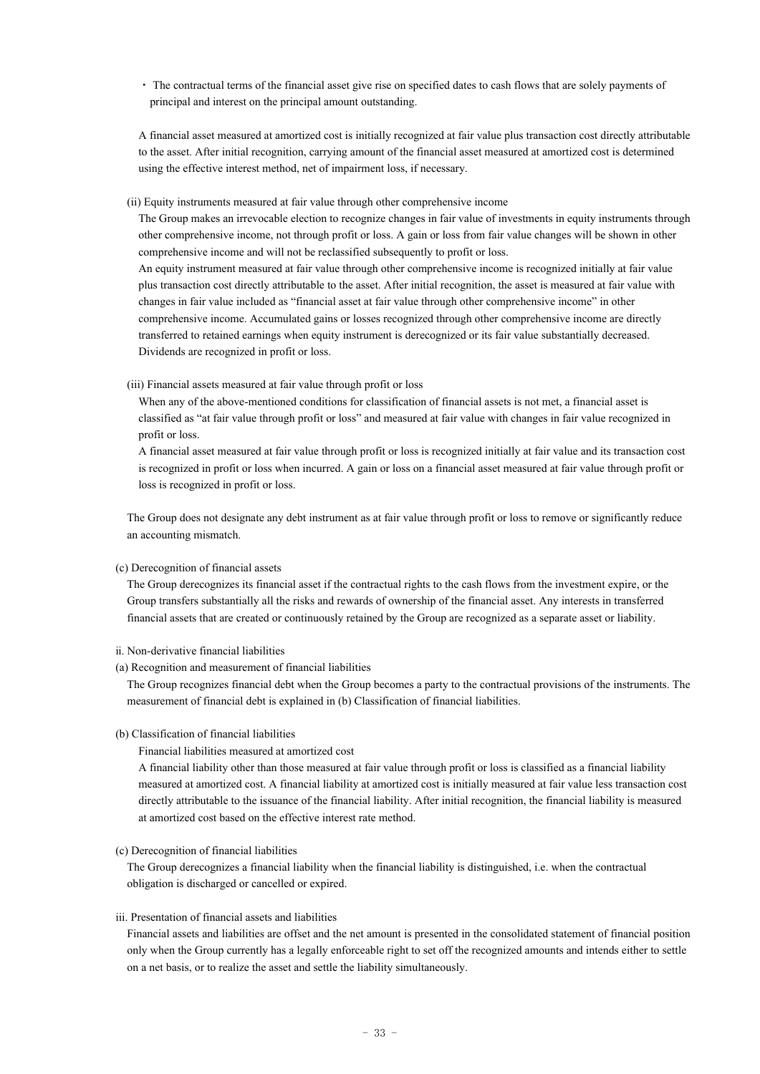・ The contractual terms of the financial asset give rise on specified dates to cash flows that are solely payments of principal and interest on the principal amount outstanding.

A financial asset measured at amortized cost is initially recognized at fair value plus transaction cost directly attributable to the asset. After initial recognition, carrying amount of the financial asset measured at amortized cost is determined using the effective interest method, net of impairment loss, if necessary.

### (ii) Equity instruments measured at fair value through other comprehensive income

The Group makes an irrevocable election to recognize changes in fair value of investments in equity instruments through other comprehensive income, not through profit or loss. A gain or loss from fair value changes will be shown in other comprehensive income and will not be reclassified subsequently to profit or loss.

An equity instrument measured at fair value through other comprehensive income is recognized initially at fair value plus transaction cost directly attributable to the asset. After initial recognition, the asset is measured at fair value with changes in fair value included as "financial asset at fair value through other comprehensive income" in other comprehensive income. Accumulated gains or losses recognized through other comprehensive income are directly transferred to retained earnings when equity instrument is derecognized or its fair value substantially decreased. Dividends are recognized in profit or loss.

### (iii) Financial assets measured at fair value through profit or loss

When any of the above-mentioned conditions for classification of financial assets is not met, a financial asset is classified as "at fair value through profit or loss" and measured at fair value with changes in fair value recognized in profit or loss.

A financial asset measured at fair value through profit or loss is recognized initially at fair value and its transaction cost is recognized in profit or loss when incurred. A gain or loss on a financial asset measured at fair value through profit or loss is recognized in profit or loss.

The Group does not designate any debt instrument as at fair value through profit or loss to remove or significantly reduce an accounting mismatch.

### (c) Derecognition of financial assets

The Group derecognizes its financial asset if the contractual rights to the cash flows from the investment expire, or the Group transfers substantially all the risks and rewards of ownership of the financial asset. Any interests in transferred financial assets that are created or continuously retained by the Group are recognized as a separate asset or liability.

#### ⅱ. Non-derivative financial liabilities

(a) Recognition and measurement of financial liabilities

The Group recognizes financial debt when the Group becomes a party to the contractual provisions of the instruments. The measurement of financial debt is explained in (b) Classification of financial liabilities.

### (b) Classification of financial liabilities

Financial liabilities measured at amortized cost

A financial liability other than those measured at fair value through profit or loss is classified as a financial liability measured at amortized cost. A financial liability at amortized cost is initially measured at fair value less transaction cost directly attributable to the issuance of the financial liability. After initial recognition, the financial liability is measured at amortized cost based on the effective interest rate method.

### (c) Derecognition of financial liabilities

The Group derecognizes a financial liability when the financial liability is distinguished, i.e. when the contractual obligation is discharged or cancelled or expired.

#### iii. Presentation of financial assets and liabilities

Financial assets and liabilities are offset and the net amount is presented in the consolidated statement of financial position only when the Group currently has a legally enforceable right to set off the recognized amounts and intends either to settle on a net basis, or to realize the asset and settle the liability simultaneously.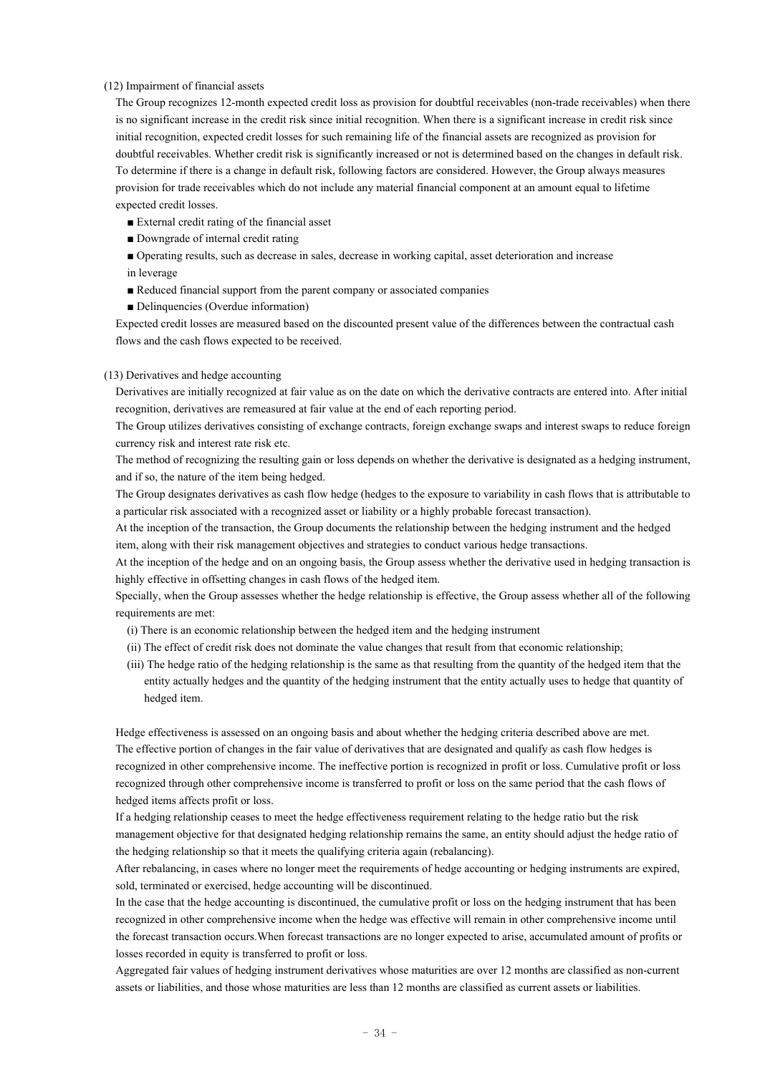#### (12) Impairment of financial assets

The Group recognizes 12-month expected credit loss as provision for doubtful receivables (non-trade receivables) when there is no significant increase in the credit risk since initial recognition. When there is a significant increase in credit risk since initial recognition, expected credit losses for such remaining life of the financial assets are recognized as provision for doubtful receivables. Whether credit risk is significantly increased or not is determined based on the changes in default risk. To determine if there is a change in default risk, following factors are considered. However, the Group always measures provision for trade receivables which do not include any material financial component at an amount equal to lifetime expected credit losses.

- External credit rating of the financial asset
- Downgrade of internal credit rating
- Operating results, such as decrease in sales, decrease in working capital, asset deterioration and increase in leverage
- Reduced financial support from the parent company or associated companies
- Delinquencies (Overdue information)

Expected credit losses are measured based on the discounted present value of the differences between the contractual cash flows and the cash flows expected to be received.

#### (13) Derivatives and hedge accounting

Derivatives are initially recognized at fair value as on the date on which the derivative contracts are entered into. After initial recognition, derivatives are remeasured at fair value at the end of each reporting period.

The Group utilizes derivatives consisting of exchange contracts, foreign exchange swaps and interest swaps to reduce foreign currency risk and interest rate risk etc.

The method of recognizing the resulting gain or loss depends on whether the derivative is designated as a hedging instrument, and if so, the nature of the item being hedged.

The Group designates derivatives as cash flow hedge (hedges to the exposure to variability in cash flows that is attributable to a particular risk associated with a recognized asset or liability or a highly probable forecast transaction).

At the inception of the transaction, the Group documents the relationship between the hedging instrument and the hedged item, along with their risk management objectives and strategies to conduct various hedge transactions.

At the inception of the hedge and on an ongoing basis, the Group assess whether the derivative used in hedging transaction is highly effective in offsetting changes in cash flows of the hedged item.

Specially, when the Group assesses whether the hedge relationship is effective, the Group assess whether all of the following requirements are met:

- (i) There is an economic relationship between the hedged item and the hedging instrument
- (ii) The effect of credit risk does not dominate the value changes that result from that economic relationship;
- (iii) The hedge ratio of the hedging relationship is the same as that resulting from the quantity of the hedged item that the entity actually hedges and the quantity of the hedging instrument that the entity actually uses to hedge that quantity of hedged item.

Hedge effectiveness is assessed on an ongoing basis and about whether the hedging criteria described above are met. The effective portion of changes in the fair value of derivatives that are designated and qualify as cash flow hedges is recognized in other comprehensive income. The ineffective portion is recognized in profit or loss. Cumulative profit or loss recognized through other comprehensive income is transferred to profit or loss on the same period that the cash flows of hedged items affects profit or loss.

If a hedging relationship ceases to meet the hedge effectiveness requirement relating to the hedge ratio but the risk management objective for that designated hedging relationship remains the same, an entity should adjust the hedge ratio of the hedging relationship so that it meets the qualifying criteria again (rebalancing).

After rebalancing, in cases where no longer meet the requirements of hedge accounting or hedging instruments are expired, sold, terminated or exercised, hedge accounting will be discontinued.

In the case that the hedge accounting is discontinued, the cumulative profit or loss on the hedging instrument that has been recognized in other comprehensive income when the hedge was effective will remain in other comprehensive income until the forecast transaction occurs.When forecast transactions are no longer expected to arise, accumulated amount of profits or losses recorded in equity is transferred to profit or loss.

Aggregated fair values of hedging instrument derivatives whose maturities are over 12 months are classified as non-current assets or liabilities, and those whose maturities are less than 12 months are classified as current assets or liabilities.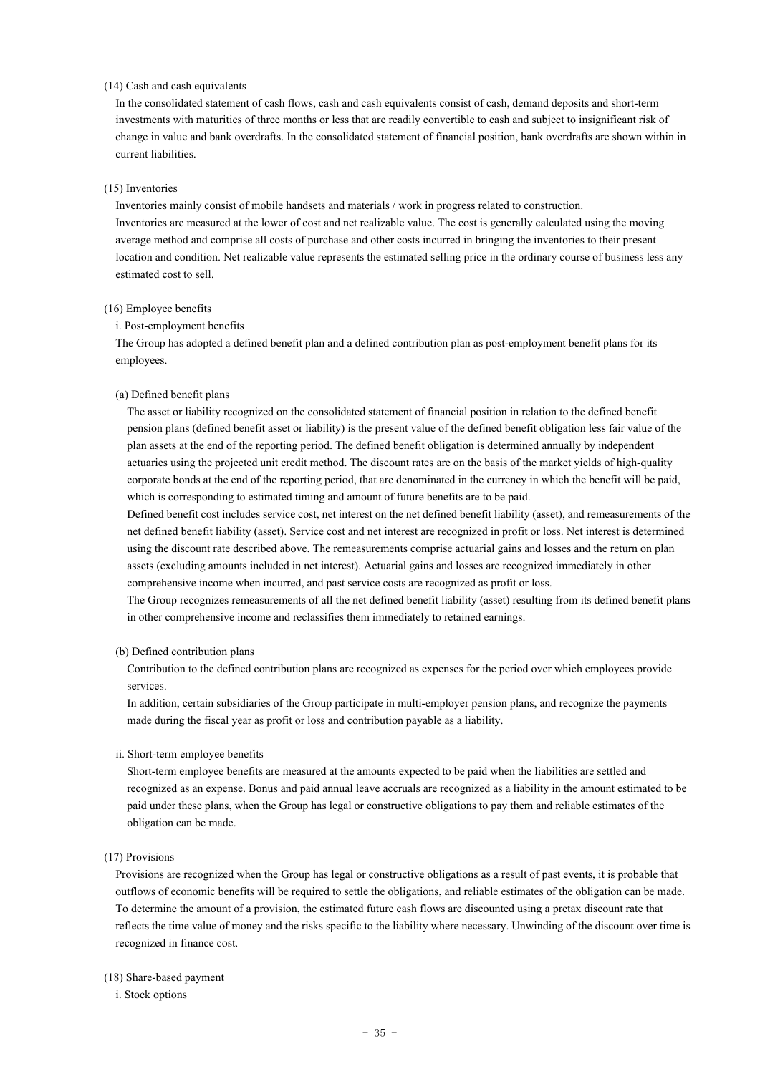#### (14) Cash and cash equivalents

In the consolidated statement of cash flows, cash and cash equivalents consist of cash, demand deposits and short-term investments with maturities of three months or less that are readily convertible to cash and subject to insignificant risk of change in value and bank overdrafts. In the consolidated statement of financial position, bank overdrafts are shown within in current liabilities.

### (15) Inventories

Inventories mainly consist of mobile handsets and materials / work in progress related to construction. Inventories are measured at the lower of cost and net realizable value. The cost is generally calculated using the moving average method and comprise all costs of purchase and other costs incurred in bringing the inventories to their present location and condition. Net realizable value represents the estimated selling price in the ordinary course of business less any estimated cost to sell.

## (16) Employee benefits

## i. Post-employment benefits

The Group has adopted a defined benefit plan and a defined contribution plan as post-employment benefit plans for its employees.

#### (a) Defined benefit plans

The asset or liability recognized on the consolidated statement of financial position in relation to the defined benefit pension plans (defined benefit asset or liability) is the present value of the defined benefit obligation less fair value of the plan assets at the end of the reporting period. The defined benefit obligation is determined annually by independent actuaries using the projected unit credit method. The discount rates are on the basis of the market yields of high-quality corporate bonds at the end of the reporting period, that are denominated in the currency in which the benefit will be paid, which is corresponding to estimated timing and amount of future benefits are to be paid.

Defined benefit cost includes service cost, net interest on the net defined benefit liability (asset), and remeasurements of the net defined benefit liability (asset). Service cost and net interest are recognized in profit or loss. Net interest is determined using the discount rate described above. The remeasurements comprise actuarial gains and losses and the return on plan assets (excluding amounts included in net interest). Actuarial gains and losses are recognized immediately in other comprehensive income when incurred, and past service costs are recognized as profit or loss.

The Group recognizes remeasurements of all the net defined benefit liability (asset) resulting from its defined benefit plans in other comprehensive income and reclassifies them immediately to retained earnings.

#### (b) Defined contribution plans

Contribution to the defined contribution plans are recognized as expenses for the period over which employees provide services.

In addition, certain subsidiaries of the Group participate in multi-employer pension plans, and recognize the payments made during the fiscal year as profit or loss and contribution payable as a liability.

#### ii. Short-term employee benefits

Short-term employee benefits are measured at the amounts expected to be paid when the liabilities are settled and recognized as an expense. Bonus and paid annual leave accruals are recognized as a liability in the amount estimated to be paid under these plans, when the Group has legal or constructive obligations to pay them and reliable estimates of the obligation can be made.

# (17) Provisions

Provisions are recognized when the Group has legal or constructive obligations as a result of past events, it is probable that outflows of economic benefits will be required to settle the obligations, and reliable estimates of the obligation can be made. To determine the amount of a provision, the estimated future cash flows are discounted using a pretax discount rate that reflects the time value of money and the risks specific to the liability where necessary. Unwinding of the discount over time is recognized in finance cost.

### (18) Share-based payment

i. Stock options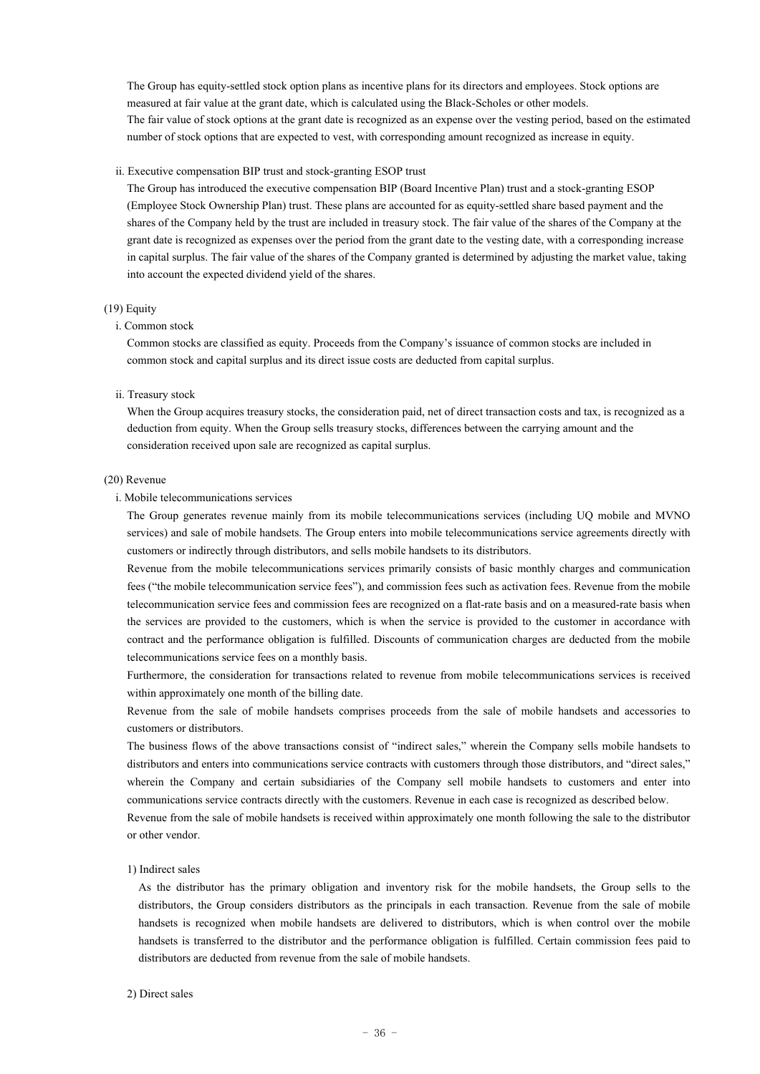The Group has equity-settled stock option plans as incentive plans for its directors and employees. Stock options are measured at fair value at the grant date, which is calculated using the Black-Scholes or other models. The fair value of stock options at the grant date is recognized as an expense over the vesting period, based on the estimated number of stock options that are expected to vest, with corresponding amount recognized as increase in equity.

#### ii. Executive compensation BIP trust and stock-granting ESOP trust

The Group has introduced the executive compensation BIP (Board Incentive Plan) trust and a stock-granting ESOP (Employee Stock Ownership Plan) trust. These plans are accounted for as equity-settled share based payment and the shares of the Company held by the trust are included in treasury stock. The fair value of the shares of the Company at the grant date is recognized as expenses over the period from the grant date to the vesting date, with a corresponding increase in capital surplus. The fair value of the shares of the Company granted is determined by adjusting the market value, taking into account the expected dividend yield of the shares.

#### (19) Equity

### i. Common stock

Common stocks are classified as equity. Proceeds from the Company's issuance of common stocks are included in common stock and capital surplus and its direct issue costs are deducted from capital surplus.

#### ii. Treasury stock

When the Group acquires treasury stocks, the consideration paid, net of direct transaction costs and tax, is recognized as a deduction from equity. When the Group sells treasury stocks, differences between the carrying amount and the consideration received upon sale are recognized as capital surplus.

#### (20) Revenue

#### i. Mobile telecommunications services

The Group generates revenue mainly from its mobile telecommunications services (including UQ mobile and MVNO services) and sale of mobile handsets. The Group enters into mobile telecommunications service agreements directly with customers or indirectly through distributors, and sells mobile handsets to its distributors.

Revenue from the mobile telecommunications services primarily consists of basic monthly charges and communication fees ("the mobile telecommunication service fees"), and commission fees such as activation fees. Revenue from the mobile telecommunication service fees and commission fees are recognized on a flat-rate basis and on a measured-rate basis when the services are provided to the customers, which is when the service is provided to the customer in accordance with contract and the performance obligation is fulfilled. Discounts of communication charges are deducted from the mobile telecommunications service fees on a monthly basis.

Furthermore, the consideration for transactions related to revenue from mobile telecommunications services is received within approximately one month of the billing date.

Revenue from the sale of mobile handsets comprises proceeds from the sale of mobile handsets and accessories to customers or distributors.

The business flows of the above transactions consist of "indirect sales," wherein the Company sells mobile handsets to distributors and enters into communications service contracts with customers through those distributors, and "direct sales," wherein the Company and certain subsidiaries of the Company sell mobile handsets to customers and enter into communications service contracts directly with the customers. Revenue in each case is recognized as described below.

Revenue from the sale of mobile handsets is received within approximately one month following the sale to the distributor or other vendor.

#### 1) Indirect sales

As the distributor has the primary obligation and inventory risk for the mobile handsets, the Group sells to the distributors, the Group considers distributors as the principals in each transaction. Revenue from the sale of mobile handsets is recognized when mobile handsets are delivered to distributors, which is when control over the mobile handsets is transferred to the distributor and the performance obligation is fulfilled. Certain commission fees paid to distributors are deducted from revenue from the sale of mobile handsets.

#### 2) Direct sales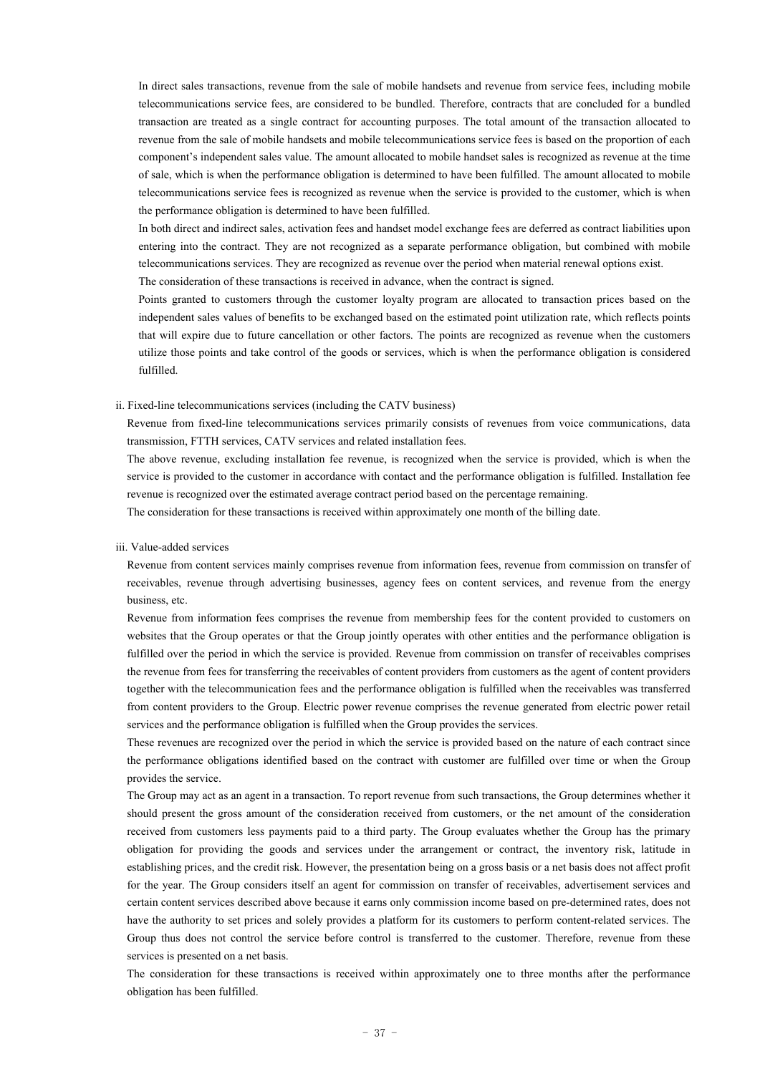In direct sales transactions, revenue from the sale of mobile handsets and revenue from service fees, including mobile telecommunications service fees, are considered to be bundled. Therefore, contracts that are concluded for a bundled transaction are treated as a single contract for accounting purposes. The total amount of the transaction allocated to revenue from the sale of mobile handsets and mobile telecommunications service fees is based on the proportion of each component's independent sales value. The amount allocated to mobile handset sales is recognized as revenue at the time of sale, which is when the performance obligation is determined to have been fulfilled. The amount allocated to mobile telecommunications service fees is recognized as revenue when the service is provided to the customer, which is when the performance obligation is determined to have been fulfilled.

In both direct and indirect sales, activation fees and handset model exchange fees are deferred as contract liabilities upon entering into the contract. They are not recognized as a separate performance obligation, but combined with mobile telecommunications services. They are recognized as revenue over the period when material renewal options exist. The consideration of these transactions is received in advance, when the contract is signed.

Points granted to customers through the customer loyalty program are allocated to transaction prices based on the independent sales values of benefits to be exchanged based on the estimated point utilization rate, which reflects points that will expire due to future cancellation or other factors. The points are recognized as revenue when the customers utilize those points and take control of the goods or services, which is when the performance obligation is considered fulfilled.

#### ii. Fixed-line telecommunications services (including the CATV business)

Revenue from fixed-line telecommunications services primarily consists of revenues from voice communications, data transmission, FTTH services, CATV services and related installation fees.

The above revenue, excluding installation fee revenue, is recognized when the service is provided, which is when the service is provided to the customer in accordance with contact and the performance obligation is fulfilled. Installation fee revenue is recognized over the estimated average contract period based on the percentage remaining.

The consideration for these transactions is received within approximately one month of the billing date.

#### iii. Value-added services

Revenue from content services mainly comprises revenue from information fees, revenue from commission on transfer of receivables, revenue through advertising businesses, agency fees on content services, and revenue from the energy business, etc.

Revenue from information fees comprises the revenue from membership fees for the content provided to customers on websites that the Group operates or that the Group jointly operates with other entities and the performance obligation is fulfilled over the period in which the service is provided. Revenue from commission on transfer of receivables comprises the revenue from fees for transferring the receivables of content providers from customers as the agent of content providers together with the telecommunication fees and the performance obligation is fulfilled when the receivables was transferred from content providers to the Group. Electric power revenue comprises the revenue generated from electric power retail services and the performance obligation is fulfilled when the Group provides the services.

These revenues are recognized over the period in which the service is provided based on the nature of each contract since the performance obligations identified based on the contract with customer are fulfilled over time or when the Group provides the service.

The Group may act as an agent in a transaction. To report revenue from such transactions, the Group determines whether it should present the gross amount of the consideration received from customers, or the net amount of the consideration received from customers less payments paid to a third party. The Group evaluates whether the Group has the primary obligation for providing the goods and services under the arrangement or contract, the inventory risk, latitude in establishing prices, and the credit risk. However, the presentation being on a gross basis or a net basis does not affect profit for the year. The Group considers itself an agent for commission on transfer of receivables, advertisement services and certain content services described above because it earns only commission income based on pre-determined rates, does not have the authority to set prices and solely provides a platform for its customers to perform content-related services. The Group thus does not control the service before control is transferred to the customer. Therefore, revenue from these services is presented on a net basis.

The consideration for these transactions is received within approximately one to three months after the performance obligation has been fulfilled.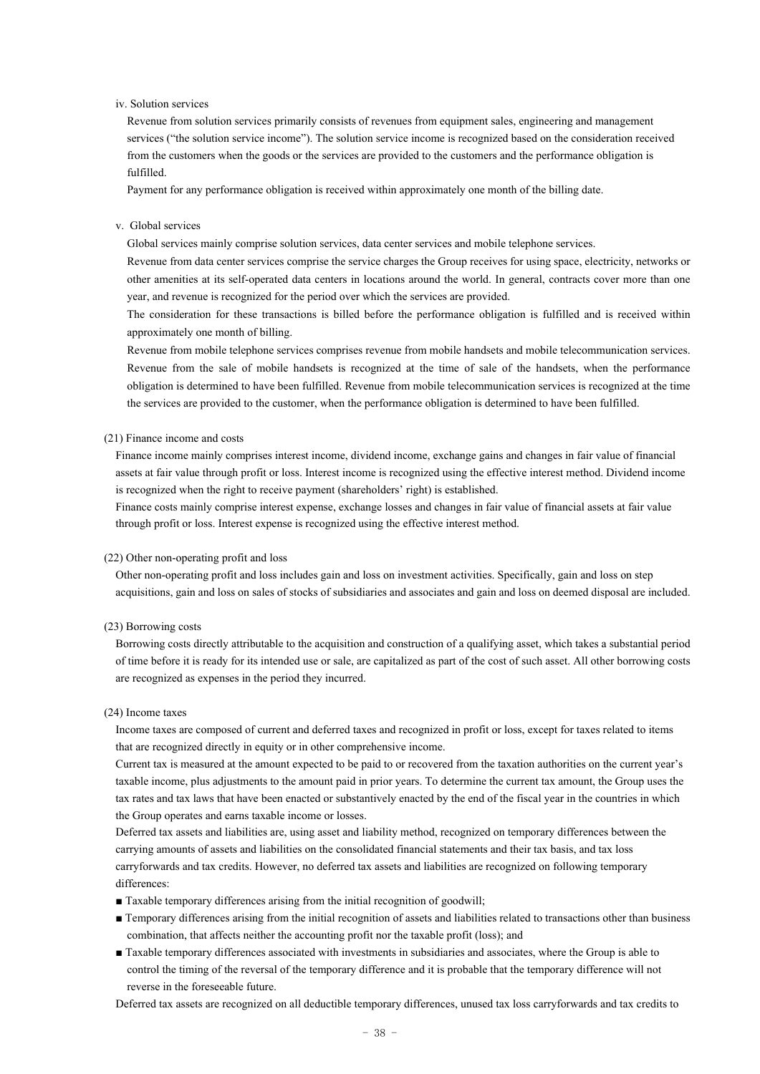#### iv. Solution services

Revenue from solution services primarily consists of revenues from equipment sales, engineering and management services ("the solution service income"). The solution service income is recognized based on the consideration received from the customers when the goods or the services are provided to the customers and the performance obligation is fulfilled.

Payment for any performance obligation is received within approximately one month of the billing date.

#### v. Global services

Global services mainly comprise solution services, data center services and mobile telephone services.

Revenue from data center services comprise the service charges the Group receives for using space, electricity, networks or other amenities at its self-operated data centers in locations around the world. In general, contracts cover more than one year, and revenue is recognized for the period over which the services are provided.

The consideration for these transactions is billed before the performance obligation is fulfilled and is received within approximately one month of billing.

Revenue from mobile telephone services comprises revenue from mobile handsets and mobile telecommunication services. Revenue from the sale of mobile handsets is recognized at the time of sale of the handsets, when the performance obligation is determined to have been fulfilled. Revenue from mobile telecommunication services is recognized at the time the services are provided to the customer, when the performance obligation is determined to have been fulfilled.

### (21) Finance income and costs

Finance income mainly comprises interest income, dividend income, exchange gains and changes in fair value of financial assets at fair value through profit or loss. Interest income is recognized using the effective interest method. Dividend income is recognized when the right to receive payment (shareholders' right) is established.

Finance costs mainly comprise interest expense, exchange losses and changes in fair value of financial assets at fair value through profit or loss. Interest expense is recognized using the effective interest method.

#### (22) Other non-operating profit and loss

Other non-operating profit and loss includes gain and loss on investment activities. Specifically, gain and loss on step acquisitions, gain and loss on sales of stocks of subsidiaries and associates and gain and loss on deemed disposal are included.

#### (23) Borrowing costs

Borrowing costs directly attributable to the acquisition and construction of a qualifying asset, which takes a substantial period of time before it is ready for its intended use or sale, are capitalized as part of the cost of such asset. All other borrowing costs are recognized as expenses in the period they incurred.

#### (24) Income taxes

Income taxes are composed of current and deferred taxes and recognized in profit or loss, except for taxes related to items that are recognized directly in equity or in other comprehensive income.

Current tax is measured at the amount expected to be paid to or recovered from the taxation authorities on the current year's taxable income, plus adjustments to the amount paid in prior years. To determine the current tax amount, the Group uses the tax rates and tax laws that have been enacted or substantively enacted by the end of the fiscal year in the countries in which the Group operates and earns taxable income or losses.

Deferred tax assets and liabilities are, using asset and liability method, recognized on temporary differences between the carrying amounts of assets and liabilities on the consolidated financial statements and their tax basis, and tax loss carryforwards and tax credits. However, no deferred tax assets and liabilities are recognized on following temporary differences:

- Taxable temporary differences arising from the initial recognition of goodwill;
- Temporary differences arising from the initial recognition of assets and liabilities related to transactions other than business combination, that affects neither the accounting profit nor the taxable profit (loss); and
- Taxable temporary differences associated with investments in subsidiaries and associates, where the Group is able to control the timing of the reversal of the temporary difference and it is probable that the temporary difference will not reverse in the foreseeable future.

Deferred tax assets are recognized on all deductible temporary differences, unused tax loss carryforwards and tax credits to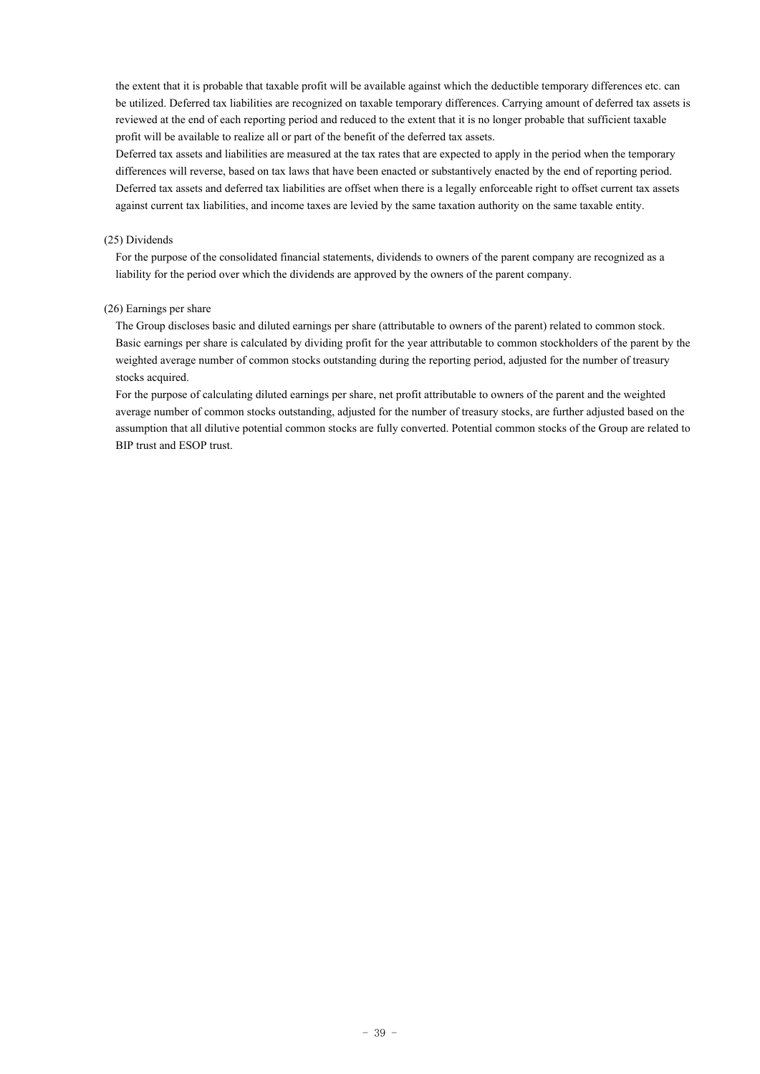the extent that it is probable that taxable profit will be available against which the deductible temporary differences etc. can be utilized. Deferred tax liabilities are recognized on taxable temporary differences. Carrying amount of deferred tax assets is reviewed at the end of each reporting period and reduced to the extent that it is no longer probable that sufficient taxable profit will be available to realize all or part of the benefit of the deferred tax assets.

Deferred tax assets and liabilities are measured at the tax rates that are expected to apply in the period when the temporary differences will reverse, based on tax laws that have been enacted or substantively enacted by the end of reporting period. Deferred tax assets and deferred tax liabilities are offset when there is a legally enforceable right to offset current tax assets against current tax liabilities, and income taxes are levied by the same taxation authority on the same taxable entity.

### (25) Dividends

For the purpose of the consolidated financial statements, dividends to owners of the parent company are recognized as a liability for the period over which the dividends are approved by the owners of the parent company.

## (26) Earnings per share

The Group discloses basic and diluted earnings per share (attributable to owners of the parent) related to common stock. Basic earnings per share is calculated by dividing profit for the year attributable to common stockholders of the parent by the weighted average number of common stocks outstanding during the reporting period, adjusted for the number of treasury stocks acquired.

For the purpose of calculating diluted earnings per share, net profit attributable to owners of the parent and the weighted average number of common stocks outstanding, adjusted for the number of treasury stocks, are further adjusted based on the assumption that all dilutive potential common stocks are fully converted. Potential common stocks of the Group are related to BIP trust and ESOP trust.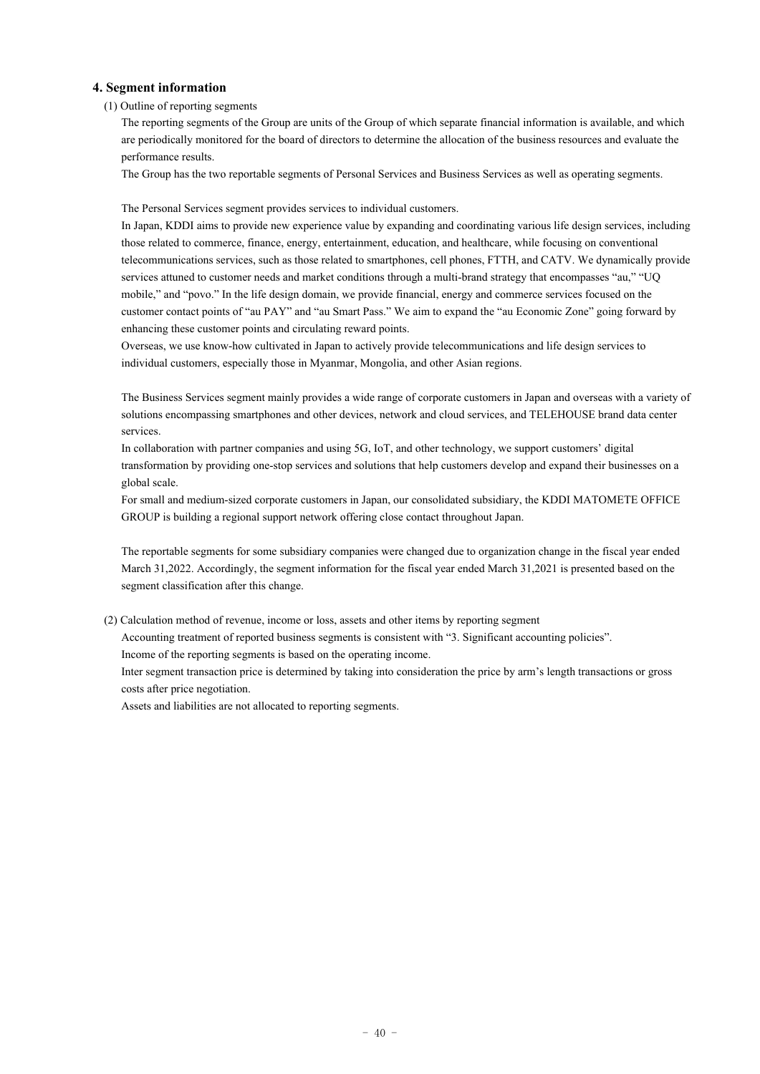# **4. Segment information**

## (1) Outline of reporting segments

The reporting segments of the Group are units of the Group of which separate financial information is available, and which are periodically monitored for the board of directors to determine the allocation of the business resources and evaluate the performance results.

The Group has the two reportable segments of Personal Services and Business Services as well as operating segments.

The Personal Services segment provides services to individual customers.

In Japan, KDDI aims to provide new experience value by expanding and coordinating various life design services, including those related to commerce, finance, energy, entertainment, education, and healthcare, while focusing on conventional telecommunications services, such as those related to smartphones, cell phones, FTTH, and CATV. We dynamically provide services attuned to customer needs and market conditions through a multi-brand strategy that encompasses "au," "UQ mobile," and "povo." In the life design domain, we provide financial, energy and commerce services focused on the customer contact points of "au PAY" and "au Smart Pass." We aim to expand the "au Economic Zone" going forward by enhancing these customer points and circulating reward points.

Overseas, we use know-how cultivated in Japan to actively provide telecommunications and life design services to individual customers, especially those in Myanmar, Mongolia, and other Asian regions.

The Business Services segment mainly provides a wide range of corporate customers in Japan and overseas with a variety of solutions encompassing smartphones and other devices, network and cloud services, and TELEHOUSE brand data center services.

In collaboration with partner companies and using 5G, IoT, and other technology, we support customers' digital transformation by providing one-stop services and solutions that help customers develop and expand their businesses on a global scale.

For small and medium-sized corporate customers in Japan, our consolidated subsidiary, the KDDI MATOMETE OFFICE GROUP is building a regional support network offering close contact throughout Japan.

The reportable segments for some subsidiary companies were changed due to organization change in the fiscal year ended March 31,2022. Accordingly, the segment information for the fiscal year ended March 31,2021 is presented based on the segment classification after this change.

(2) Calculation method of revenue, income or loss, assets and other items by reporting segment

Accounting treatment of reported business segments is consistent with "3. Significant accounting policies".

Income of the reporting segments is based on the operating income.

Inter segment transaction price is determined by taking into consideration the price by arm's length transactions or gross costs after price negotiation.

Assets and liabilities are not allocated to reporting segments.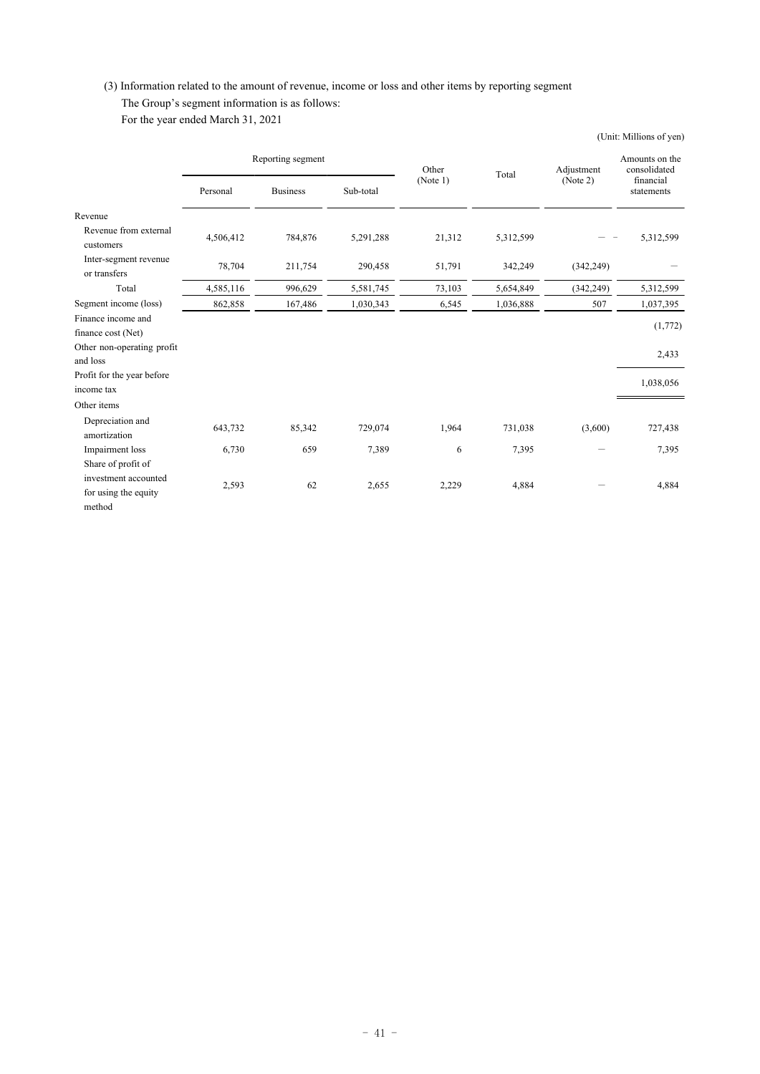# (3) Information related to the amount of revenue, income or loss and other items by reporting segment

# The Group's segment information is as follows:

For the year ended March 31, 2021

|                                       |                   |                 |                   |        |                        |                                             | (Unit: Millions of yen) |
|---------------------------------------|-------------------|-----------------|-------------------|--------|------------------------|---------------------------------------------|-------------------------|
|                                       | Reporting segment |                 | Other<br>(Note 1) | Total  | Adjustment<br>(Note 2) | Amounts on the<br>consolidated<br>financial |                         |
|                                       | Personal          | <b>Business</b> | Sub-total         |        |                        |                                             | statements              |
| Revenue                               |                   |                 |                   |        |                        |                                             |                         |
| Revenue from external<br>customers    | 4,506,412         | 784,876         | 5,291,288         | 21,312 | 5,312,599              |                                             | 5,312,599               |
| Inter-segment revenue<br>or transfers | 78,704            | 211,754         | 290,458           | 51,791 | 342,249                | (342, 249)                                  |                         |
| Total                                 | 4,585,116         | 996,629         | 5,581,745         | 73,103 | 5,654,849              | (342, 249)                                  | 5,312,599               |
| Segment income (loss)                 | 862,858           | 167,486         | 1,030,343         | 6,545  | 1,036,888              | 507                                         | 1,037,395               |
| Finance income and                    |                   |                 |                   |        |                        |                                             | (1,772)                 |
| finance cost (Net)                    |                   |                 |                   |        |                        |                                             |                         |
| Other non-operating profit            |                   |                 |                   |        |                        |                                             | 2,433                   |
| and loss                              |                   |                 |                   |        |                        |                                             |                         |
| Profit for the year before            |                   |                 |                   |        |                        |                                             | 1,038,056               |
| income tax                            |                   |                 |                   |        |                        |                                             |                         |
| Other items                           |                   |                 |                   |        |                        |                                             |                         |
| Depreciation and<br>amortization      | 643,732           | 85,342          | 729,074           | 1,964  | 731,038                | (3,600)                                     | 727,438                 |
| Impairment loss                       | 6,730             | 659             | 7,389             | 6      | 7,395                  |                                             | 7,395                   |
| Share of profit of                    |                   |                 |                   |        |                        |                                             |                         |
| investment accounted                  |                   | 62              |                   |        |                        |                                             |                         |
| for using the equity                  | 2,593             |                 | 2,655             | 2,229  | 4,884                  |                                             | 4,884                   |
| method                                |                   |                 |                   |        |                        |                                             |                         |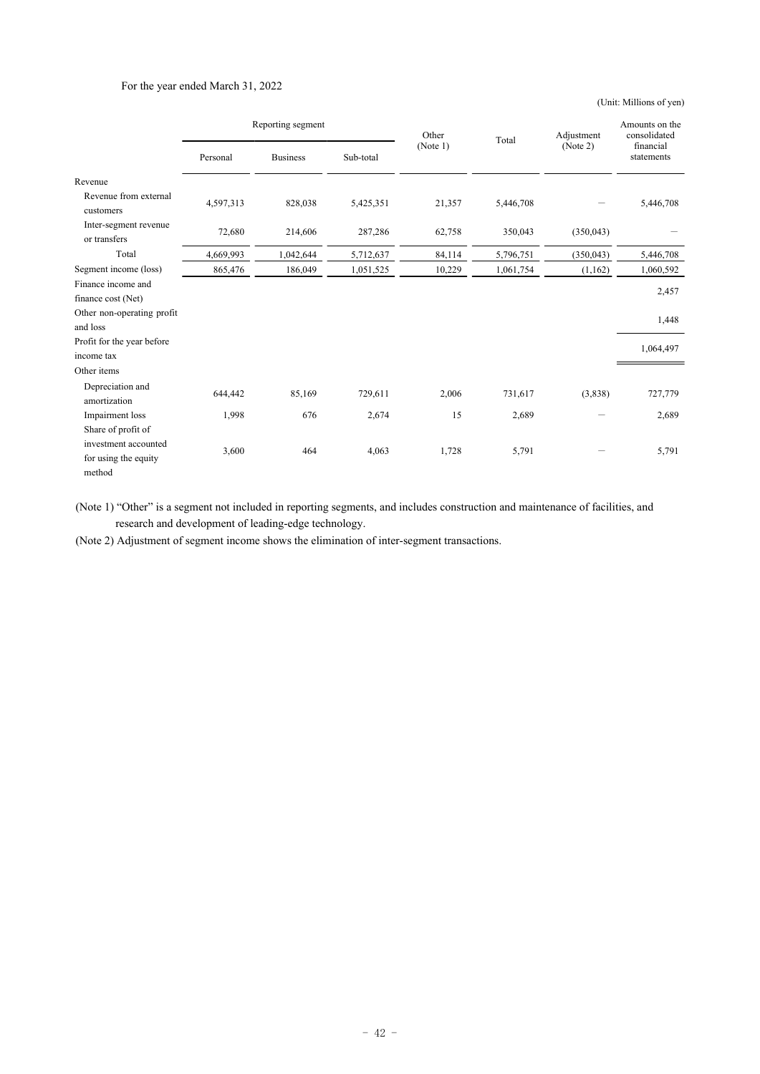## For the year ended March 31, 2022

(Unit: Millions of yen)

|                                          | Reporting segment |                 | Other     | Total    | Adjustment | Amounts on the<br>consolidated |                         |
|------------------------------------------|-------------------|-----------------|-----------|----------|------------|--------------------------------|-------------------------|
|                                          | Personal          | <b>Business</b> | Sub-total | (Note 1) |            | (Note 2)                       | financial<br>statements |
| Revenue                                  |                   |                 |           |          |            |                                |                         |
| Revenue from external<br>customers       | 4,597,313         | 828,038         | 5,425,351 | 21,357   | 5,446,708  |                                | 5,446,708               |
| Inter-segment revenue<br>or transfers    | 72,680            | 214,606         | 287,286   | 62,758   | 350,043    | (350, 043)                     |                         |
| Total                                    | 4,669,993         | 1,042,644       | 5,712,637 | 84,114   | 5,796,751  | (350, 043)                     | 5,446,708               |
| Segment income (loss)                    | 865,476           | 186,049         | 1,051,525 | 10,229   | 1,061,754  | (1,162)                        | 1,060,592               |
| Finance income and<br>finance cost (Net) |                   |                 |           |          |            |                                | 2,457                   |
| Other non-operating profit<br>and loss   |                   |                 |           |          |            |                                | 1,448                   |
| Profit for the year before<br>income tax |                   |                 |           |          |            |                                | 1,064,497               |
| Other items                              |                   |                 |           |          |            |                                |                         |
| Depreciation and<br>amortization         | 644,442           | 85,169          | 729,611   | 2,006    | 731,617    | (3,838)                        | 727,779                 |
| Impairment loss                          | 1,998             | 676             | 2,674     | 15       | 2,689      |                                | 2,689                   |
| Share of profit of                       |                   |                 |           |          |            |                                |                         |
| investment accounted                     | 3,600             | 464             | 4,063     | 1,728    | 5,791      |                                | 5,791                   |
| for using the equity                     |                   |                 |           |          |            |                                |                         |
| method                                   |                   |                 |           |          |            |                                |                         |

(Note 1) "Other" is a segment not included in reporting segments, and includes construction and maintenance of facilities, and research and development of leading-edge technology.

(Note 2) Adjustment of segment income shows the elimination of inter-segment transactions.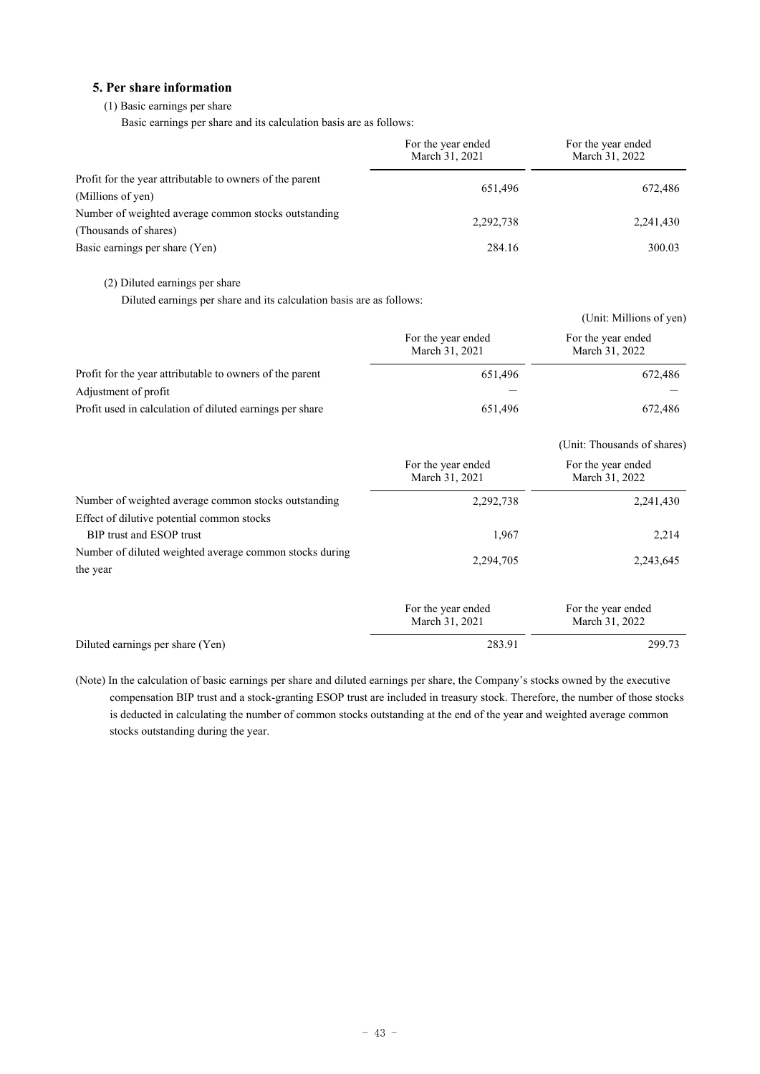# **5. Per share information**

# (1) Basic earnings per share

Basic earnings per share and its calculation basis are as follows:

|                                                                               | For the year ended<br>March 31, 2021 | For the year ended<br>March 31, 2022 |
|-------------------------------------------------------------------------------|--------------------------------------|--------------------------------------|
| Profit for the year attributable to owners of the parent<br>(Millions of yen) | 651.496                              | 672,486                              |
| Number of weighted average common stocks outstanding<br>(Thousands of shares) | 2,292,738                            | 2,241,430                            |
| Basic earnings per share (Yen)                                                | 284.16                               | 300.03                               |

(2) Diluted earnings per share

Diluted earnings per share and its calculation basis are as follows:

|                                                          |                                      | (Unit: Millions of yen)              |
|----------------------------------------------------------|--------------------------------------|--------------------------------------|
|                                                          | For the year ended<br>March 31, 2021 | For the year ended<br>March 31, 2022 |
| Profit for the year attributable to owners of the parent | 651.496                              | 672,486                              |
| Adjustment of profit                                     |                                      |                                      |
| Profit used in calculation of diluted earnings per share | 651,496                              | 672,486                              |

|                                                                     |                                      | (Unit: Thousands of shares)          |
|---------------------------------------------------------------------|--------------------------------------|--------------------------------------|
|                                                                     | For the year ended<br>March 31, 2021 | For the year ended<br>March 31, 2022 |
| Number of weighted average common stocks outstanding                | 2,292,738                            | 2,241,430                            |
| Effect of dilutive potential common stocks                          |                                      |                                      |
| BIP trust and ESOP trust                                            | 1,967                                | 2,214                                |
| Number of diluted weighted average common stocks during<br>the year | 2,294,705                            | 2,243,645                            |
|                                                                     | For the year ended<br>March 31, 2021 | For the year ended<br>March 31, 2022 |
| Diluted earnings per share (Yen)                                    | 283.91                               | 299.73                               |

(Note) In the calculation of basic earnings per share and diluted earnings per share, the Company's stocks owned by the executive compensation BIP trust and a stock-granting ESOP trust are included in treasury stock. Therefore, the number of those stocks is deducted in calculating the number of common stocks outstanding at the end of the year and weighted average common stocks outstanding during the year.